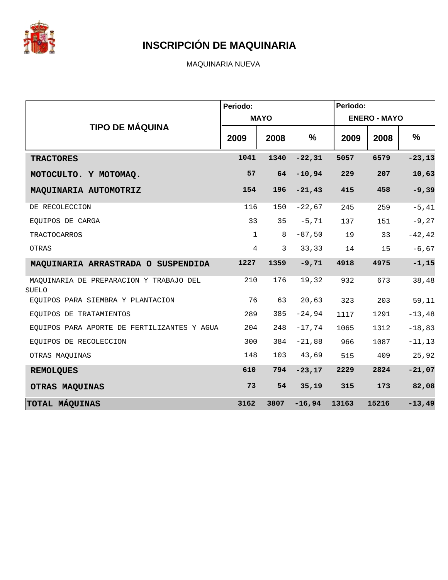

MAQUINARIA NUEVA

|                                                         | Periodo:       |              |               | Periodo: |                     |           |
|---------------------------------------------------------|----------------|--------------|---------------|----------|---------------------|-----------|
| <b>TIPO DE MÁQUINA</b>                                  |                | <b>MAYO</b>  |               |          | <b>ENERO - MAYO</b> |           |
|                                                         | 2009           | 2008         | $\frac{9}{6}$ | 2009     | 2008                | $\%$      |
| <b>TRACTORES</b>                                        | 1041           | 1340         | $-22, 31$     | 5057     | 6579                | $-23, 13$ |
| MOTOCULTO. Y MOTOMAQ.                                   | 57             | 64           | $-10,94$      | 229      | 207                 | 10,63     |
| MAQUINARIA AUTOMOTRIZ                                   | 154            | 196          | $-21,43$      | 415      | 458                 | $-9,39$   |
| DE RECOLECCION                                          | 116            | 150          | $-22,67$      | 245      | 259                 | $-5, 41$  |
| EQUIPOS DE CARGA                                        | 33             | 35           | $-5, 71$      | 137      | 151                 | $-9,27$   |
| TRACTOCARROS                                            | $\mathbf{1}$   | 8            | $-87,50$      | 19       | 33                  | $-42, 42$ |
| OTRAS                                                   | $\overline{4}$ | $\mathbf{3}$ | 33,33         | 14       | 15                  | $-6, 67$  |
| MAQUINARIA ARRASTRADA O SUSPENDIDA                      | 1227           | 1359         | $-9,71$       | 4918     | 4975                | $-1, 15$  |
| MAOUINARIA DE PREPARACION Y TRABAJO DEL<br><b>SUELO</b> | 210            | 176          | 19,32         | 932      | 673                 | 38,48     |
| EQUIPOS PARA SIEMBRA Y PLANTACION                       | 76             | 63           | 20,63         | 323      | 203                 | 59,11     |
| EOUIPOS DE TRATAMIENTOS                                 | 289            | 385          | $-24,94$      | 1117     | 1291                | $-13, 48$ |
| EQUIPOS PARA APORTE DE FERTILIZANTES Y AGUA             | 204            | 248          | $-17,74$      | 1065     | 1312                | $-18,83$  |
| EQUIPOS DE RECOLECCION                                  | 300            | 384          | $-21,88$      | 966      | 1087                | $-11, 13$ |
| OTRAS MAQUINAS                                          | 148            | 103          | 43,69         | 515      | 409                 | 25,92     |
| <b>REMOLQUES</b>                                        | 610            | 794          | $-23, 17$     | 2229     | 2824                | $-21,07$  |
| OTRAS MAQUINAS                                          | 73             | 54           | 35,19         | 315      | 173                 | 82,08     |
| <b>TOTAL MÁQUINAS</b>                                   | 3162           | 3807         | $-16,94$      | 13163    | 15216               | $-13,49$  |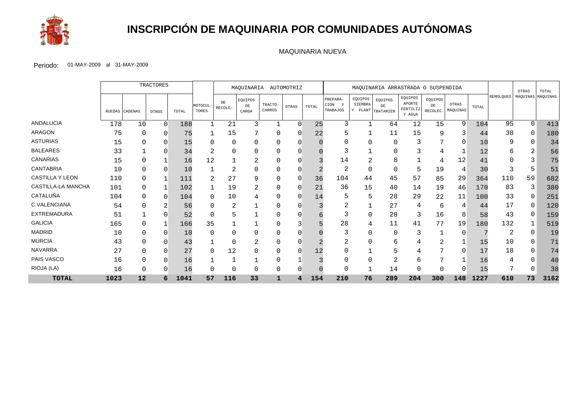

## **INSCRIPCIÓN DE MAQUINARIA POR COMUNIDADES AUTÓNOMAS**

#### MAQUINARIA NUEVA

|                        |        | <b>TRACTORES</b> |          |       |                  | AUTOMOTRIZ<br>MAOUINARIA |                        |                   | MAQUINARIA ARRASTRADA O SUSPENDIDA |           |                              |                    |                                    |                                         |                                 | OTRAS             | TOTAL |                  |                   |      |
|------------------------|--------|------------------|----------|-------|------------------|--------------------------|------------------------|-------------------|------------------------------------|-----------|------------------------------|--------------------|------------------------------------|-----------------------------------------|---------------------------------|-------------------|-------|------------------|-------------------|------|
|                        | RUEDAS | <b>CADENAS</b>   | OTROS    | TOTAL | MOTOCUL<br>TORES | DE<br>RECOLE-            | EQUIPOS<br>DE<br>CARGA | TRACTO-<br>CARROS | OTRAS                              | TOTAL     | PREPARA-<br>CIÓN<br>TRABAJOS | EQUIPOS<br>SIEMBRA | EQUIPOS<br>DE<br>Y PLANT TRATAMIEN | EQUIPOS<br>APORTE<br>FERTILIZ<br>Y AGUA | EQUIPOS<br>DE<br><b>RECOLEC</b> | OTRAS<br>MÁQUINAS | TOTAL | <b>REMOLQUES</b> | MÁQUINAS MÁQUINAS |      |
| <b>ANDALUCIA</b>       | 178    | 10               | $\Omega$ | 188   |                  | 21                       | 3                      |                   | <sup>0</sup>                       | 25        | 3                            |                    | 64                                 | 12                                      | 15                              | 9                 | 104   | 95               | 0                 | 413  |
| <b>ARAGON</b>          | 75     |                  | 0        | 75    |                  | 15                       |                        |                   |                                    | 22        |                              |                    | 11                                 | 15                                      | 9                               | 3                 | 44    | 38               | 0                 | 180  |
| <b>ASTURIAS</b>        | 15     |                  | O        | 15    |                  | 0                        |                        |                   |                                    |           |                              |                    | $\Omega$                           |                                         |                                 | O                 | 10    | 9                | 0                 | 34   |
| <b>BALEARES</b>        | 33     |                  | $\Omega$ | 34    |                  | $\Omega$                 |                        |                   |                                    |           |                              |                    |                                    |                                         |                                 |                   | 12    | 6                | 2                 | 56   |
| <b>CANARIAS</b>        | 15     |                  |          | 16    | 12               |                          | z                      |                   |                                    |           | 14                           |                    | 8                                  |                                         |                                 | 12                | 41    |                  | 3                 | 75   |
| <b>CANTABRIA</b>       | 10     |                  | O        | 10    |                  | 2                        |                        |                   |                                    |           | 2                            | 0                  | $\Omega$                           | 5                                       | 19                              | 4                 | 30    | 3                | 5                 | 51   |
| <b>CASTILLA Y LEON</b> | 110    |                  |          | 111   |                  | 27                       | 9                      |                   |                                    | 36        | 104                          | 44                 | 45                                 | 57                                      | 85                              | 29                | 364   | 110              | 59                | 682  |
| CASTILLA-LA MANCHA     | 101    |                  |          | 102   |                  | 19                       | 4                      |                   |                                    | 21        | 36                           | 15                 | 40                                 | 14                                      | 19                              | 46                | 170   | 83               | 3                 | 380  |
| CATALUÑA               | 104    | 0                | O        | 104   |                  | 10                       |                        |                   | 0                                  | 14        | 5                            | 5                  | 28                                 | 29                                      | 22                              | 11                | 100   | 33               | 0                 | 251  |
| C.VALENCIANA           | 54     |                  |          | 56    |                  | 2                        |                        |                   |                                    |           |                              |                    | 27                                 | 4                                       | 6                               | 4                 | 44    | 17               | 0                 | 120  |
| <b>EXTREMADURA</b>     | 51     |                  | 0        | 52    |                  | 5                        |                        |                   |                                    |           |                              | 0                  | 28                                 |                                         | 16                              | 8                 | 58    | 43               | U                 | 159  |
| <b>GALICIA</b>         | 165    |                  | 1        | 166   | 35               |                          |                        |                   |                                    |           | 28                           | 4                  | 11                                 | 41                                      | 77                              | 19                | 180   | 132              |                   | 519  |
| <b>MADRID</b>          | 10     |                  | $\Omega$ | 10    |                  | $\Omega$                 |                        |                   |                                    |           |                              |                    | $\Omega$                           | 3                                       |                                 | O                 |       | 2                |                   | 19   |
| <b>MURCIA</b>          | 43     |                  |          | 43    |                  | 0                        |                        |                   |                                    |           |                              |                    | h                                  |                                         |                                 |                   | 15    | 10               |                   | 71   |
| <b>NAVARRA</b>         | 27     |                  | O        | 27    |                  | 12                       |                        |                   |                                    | $\perp 2$ |                              |                    |                                    |                                         |                                 | $\Omega$          | 17    | 18               | 0                 | 74   |
| PAIS VASCO             | 16     |                  | $\Omega$ | 16    |                  |                          |                        |                   |                                    |           |                              |                    |                                    |                                         |                                 |                   | 16    | 4                |                   | 40   |
| RIOJA (LA)             | 16     |                  |          | 16    |                  | 0                        |                        |                   |                                    |           |                              |                    | 14                                 |                                         |                                 |                   | 15    |                  |                   | 38   |
| <b>TOTAL</b>           | 1023   | 12               | 6        | 1041  | 57               | 116                      | 33                     |                   | 4                                  | 154       | 210                          | 76                 | 289                                | 204                                     | 300                             | 148               | 1227  | 610              | 73                | 3162 |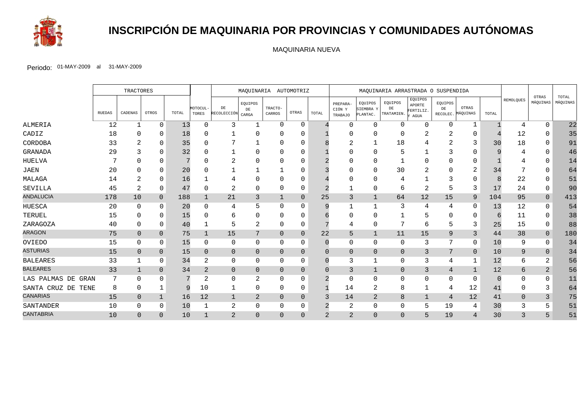

## **INSCRIPCIÓN DE MAQUINARIA POR PROVINCIAS Y COMUNIDADES AUTÓNOMAS**

MAQUINARIA NUEVA

|                    |               | <b>TRACTORES</b> |              |       |                   | MAQUINARIA AUTOMOTRIZ   |                      |                   |                | MAQUINARIA ARRASTRADA O SUSPENDIDA |                               |                                  |                             |                                        |                |                            |          |           |                   |                   |
|--------------------|---------------|------------------|--------------|-------|-------------------|-------------------------|----------------------|-------------------|----------------|------------------------------------|-------------------------------|----------------------------------|-----------------------------|----------------------------------------|----------------|----------------------------|----------|-----------|-------------------|-------------------|
|                    | <b>RUEDAS</b> | CADENAS          | OTROS        | TOTAL | MOTOCUL-<br>TORES | DE<br>RECOLECCIÓN CARGA | EQUIPOS<br>$\rm{DE}$ | TRACTO-<br>CARROS | OTRAS          | TOTAL                              | PREPARA-<br>CIÓN Y<br>TRABAJO | EQUIPOS<br>SIEMBRA Y<br>PLANTAC. | EQUIPOS<br>DE<br>TRATAMIEN. | EQUIPOS<br>APORTE<br>FERTILIZ.<br>AGUA | EQUIPOS<br>DE  | OTRAS<br>RECOLEC. MÁQUINAS | TOTAL    | REMOLQUES | OTRAS<br>MÁQUINAS | TOTAL<br>MÁQUINAS |
| ALMERIA            | 12            | -1               | $\Omega$     | 13    | 0                 | 3                       | -1                   | $\Omega$          | $\Omega$       |                                    | $\Omega$                      | $\Omega$                         | 0                           | $\mathbf 0$                            | $\Omega$       |                            |          | 4         | $\Omega$          | 22                |
| CADIZ              | 18            |                  | $\Omega$     | 18    |                   |                         |                      |                   |                |                                    |                               |                                  | O                           |                                        |                | ∩                          |          | 12        | 0                 | 35                |
| CORDOBA            | 33            |                  | $\Omega$     | 35    |                   |                         |                      | ∩                 |                |                                    |                               |                                  | 18                          |                                        |                | 3                          | 30       | 18        | ∩                 | 91                |
| GRANADA            | 29            |                  | <sup>0</sup> | 32    |                   |                         |                      |                   |                |                                    |                               |                                  |                             |                                        |                |                            |          | 4         |                   | 46                |
| HUELVA             |               |                  | $\Omega$     |       |                   | 2                       |                      |                   |                |                                    |                               |                                  |                             | $\Omega$                               |                |                            |          |           |                   | 14                |
| <b>JAEN</b>        | 20            |                  | $\Omega$     | 20    |                   |                         |                      |                   |                |                                    |                               | $\Omega$                         | 30                          | $\overline{2}$                         |                | 2                          | 34       |           |                   | 64                |
| MALAGA             | 14            |                  | $\Omega$     | 16    |                   | 4                       |                      |                   |                |                                    |                               |                                  |                             |                                        |                | 0                          |          | 22        | $\Omega$          | 51                |
| SEVILLA            | 45            | 2                | 0            | 47    |                   | 2                       | $\Omega$             | 0                 | 0              |                                    |                               | $\Omega$                         | 6                           | 2                                      |                | 3                          | 17       | 24        | 0                 | 90                |
| <b>ANDALUCIA</b>   | 178           | 10               | $\mathbf{0}$ | 188   |                   | 21                      | 3                    |                   | $\overline{0}$ | 25                                 | 3                             | $\mathbf{1}$                     | 64                          | 12                                     | 15             | 9                          | 104      | 95        | $\overline{0}$    | 413               |
| <b>HUESCA</b>      | 20            | $\Omega$         | $\Omega$     | 20    |                   | 4                       |                      | 0                 | 0              |                                    |                               |                                  | 3                           | 4                                      | 4              | $\Omega$                   | 13       | 12        | $\Omega$          | 54                |
| TERUEL             | 15            |                  | $\Omega$     | 15    |                   | 6                       |                      | ∩                 |                |                                    |                               |                                  |                             | 5                                      |                | $\Omega$                   |          | 11        | 0                 | 38                |
| ZARAGOZA           | 40            | 0                | $\Omega$     | 40    |                   | 5                       | $\overline{2}$       | 0                 |                |                                    | 4                             | $\Omega$                         |                             | 6                                      |                | 3                          | 25       | 15        | $\Omega$          | 88                |
| <b>ARAGON</b>      | 75            | $\overline{0}$   | $\Omega$     | 75    |                   | 15                      | $\mathbf{r}$         | $\Omega$          | $\Omega$       | 22                                 | 5                             | $\mathbf{1}$                     | 11                          | 15                                     | 9              | 3                          | 44       | 38        | $\overline{0}$    | 180               |
| OVIEDO             | 15            | 0                | $\Omega$     | 15    | $\Omega$          | 0                       | $\Omega$             | 0                 | 0              |                                    | 0                             | $\Omega$                         | 0                           | 3                                      |                | 0                          | 10       | 9         | $\mathbf 0$       | 34                |
| <b>ASTURIAS</b>    | 15            | $\overline{0}$   | $\Omega$     | 15    | $\Omega$          | $\mathbf 0$             | $\mathbf{0}$         | $\Omega$          | $\Omega$       |                                    | $\overline{0}$                | $\overline{0}$                   | $\overline{0}$              | 3                                      | 7              | $\mathbf{0}$               | 10       | 9         | $\overline{0}$    | 34                |
| <b>BALEARES</b>    | 33            |                  | 0            | 34    | 2                 | 0                       | 0                    | 0                 | 0              |                                    | 3                             |                                  | 0                           | 3                                      | 4              |                            | 12       | 6         | 2                 | 56                |
| <b>BALEARES</b>    | 33            |                  | $\mathbf{0}$ | 34    | 2                 | $\overline{0}$          | $\mathbf{0}$         | 0                 | $\overline{0}$ |                                    | 3                             | $\mathbf{1}$                     | $\overline{0}$              | 3                                      | $\overline{4}$ |                            | 12       | 6         | 2                 | 56                |
| LAS PALMAS DE GRAN | 7             | U                | $\Omega$     |       | 2                 | $\mathbf{0}$            | 2                    | $\Omega$          | 0              |                                    | $\mathbf 0$                   | $\Omega$                         | $\Omega$                    | 0                                      | $\Omega$       | $\Omega$                   | $\Omega$ | ∩         | $\Omega$          | 11                |
| SANTA CRUZ DE TENE | 8             | 0                |              | q     | 10                | 1                       | $\Omega$             | 0                 | 0              |                                    | 14                            | $\overline{2}$                   | 8                           | 1                                      | 4              | 12                         | 41       | 0         | 3                 | 64                |
| <b>CANARIAS</b>    | 15            | $\overline{0}$   |              | 16    | 12                | $\mathbf{1}$            | 2                    | 0                 | $\Omega$       | 3                                  | 14                            | $\overline{2}$                   | 8                           | $\mathbf 1$                            | 4              | 12                         | 41       | $\Omega$  | 3                 | 75                |
| SANTANDER          | $10$          | 0                | $\Omega$     | 10    |                   | $\overline{c}$          | 0                    | 0                 | 0              |                                    | $\overline{2}$                | $\mathbf 0$                      | $\Omega$                    | 5                                      | 19             | 4                          | 30       | 3         |                   | 51                |
| <b>CANTABRIA</b>   | 10            | $\Omega$         | $\Omega$     | 10    |                   | $\overline{a}$          | $\mathbf{0}$         | $\Omega$          | $\Omega$       | $\overline{2}$                     | $\overline{2}$                | $\overline{0}$                   | $\overline{0}$              | 5                                      | 19             | $\overline{4}$             | 30       | 3         |                   | 51                |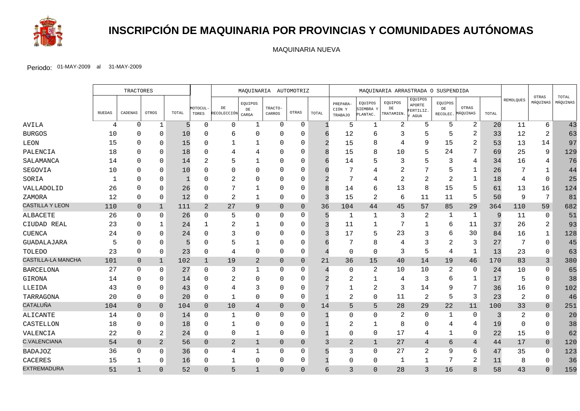

# **INSCRIPCIÓN DE MAQUINARIA POR PROVINCIAS Y COMUNIDADES AUTÓNOMAS**

MAQUINARIA NUEVA

|                        |        | TRACTORES      |                |              |                   | MAQUINARIA AUTOMOTRIZ    |                        |                   | MAQUINARIA ARRASTRADA O SUSPENDIDA |                |                               |                                  |                             |                                                         | OTRAS         |                            |       |                |                |                   |
|------------------------|--------|----------------|----------------|--------------|-------------------|--------------------------|------------------------|-------------------|------------------------------------|----------------|-------------------------------|----------------------------------|-----------------------------|---------------------------------------------------------|---------------|----------------------------|-------|----------------|----------------|-------------------|
|                        | RUEDAS | CADENAS        | OTROS          | TOTAL        | MOTOCUL-<br>TORES | $\rm{DE}$<br>RECOLECCIÓN | EQUIPOS<br>DE<br>CARGA | TRACTO-<br>CARROS | OTRAS                              | TOTAL          | PREPARA-<br>CIÓN Y<br>TRABAJO | EQUIPOS<br>SIEMBRA Y<br>PLANTAC. | EQUIPOS<br>DE<br>TRATAMIEN. | EQUIPOS<br>APORTE<br>FERTILIZ.<br>$\operatorname{AGUA}$ | EQUIPOS<br>DE | OTRAS<br>RECOLEC. MÁQUINAS | TOTAL | REMOLQUES      | MÁQUINAS       | TOTAL<br>MÁQUINAS |
| AVILA                  | 4      | $\Omega$       | $\mathbf 1$    | 5            | $\Omega$          | $\mathbf 0$              |                        | $\mathbf 0$       | $\mathbf 0$                        | $\mathbf{1}$   | 5                             | $\mathbf{1}$                     | 2                           | 5                                                       | 5             | 2                          | 20    | 11             | 6              | 43                |
| <b>BURGOS</b>          | 10     | $\Omega$       | 0              | 10           | ∩                 | 6                        | $\Omega$               | $\Omega$          | 0                                  |                | 12                            | 6                                | 3                           | 5                                                       | 5             | $\overline{2}$             | 33    | 12             | 2              | 63                |
| LEON                   | 15     | 0              | $\Omega$       | 15           |                   | 1                        | 1                      | $\Omega$          | 0                                  | $\mathfrak{D}$ | 15                            | 8                                | 4                           | 9                                                       | 15            | 2                          | 53    | 13             | 14             | 97                |
| PALENCIA               | 18     | $\Omega$       | 0              | 18           |                   | 4                        |                        | $\Omega$          | $\Omega$                           |                | 15                            | 8                                | 10                          | 5                                                       | 24            | 7                          | 69    | 25             | 9              | 129               |
| SALAMANCA              | 14     | $\Omega$       | $\Omega$       | 14           |                   | 5                        |                        | $\Omega$          | $\Omega$                           |                | 14                            | 5                                | 3                           | 5                                                       | 3             | 4                          | 34    | 16             | 4              | 76                |
| SEGOVIA                | 10     | $\Omega$       | $\Omega$       | 10           |                   | $\Omega$                 | $\cap$                 | $\Omega$          | $\Omega$                           |                | 7                             |                                  | 2                           | 7                                                       |               | $\mathbf 1$                | 26    |                | 1              | 44                |
| SORIA                  | 1      | $\Omega$       | $\Omega$       | $\mathbf{1}$ |                   | 2                        | <sup>0</sup>           | $\Omega$          | $\Omega$                           |                | 7                             | 4                                | 2                           | $\overline{2}$                                          | 2             | $\mathbf 1$                | 18    | $\overline{4}$ | $\Omega$       | 25                |
| VALLADOLID             | 26     | $\Omega$       | $\Omega$       | 26           |                   | 7                        |                        | $\Omega$          | $\Omega$                           |                | 14                            | 6                                | 13                          | 8                                                       | 15            | 5                          | 61    | 13             | 16             | 124               |
| ZAMORA                 | 12     | $\Omega$       | $\Omega$       | 12           | $\Omega$          | $\overline{2}$           | 1                      | $\Omega$          | 0                                  | 3              | 15                            | $\overline{c}$                   | 6                           | 11                                                      | 11            | 5                          | 50    | 9              | 7              | 81                |
| <b>CASTILLA Y LEON</b> | 110    | $\overline{0}$ | $\mathbf{1}$   | 111          | $\overline{2}$    | 27                       | 9                      | $\overline{0}$    | $\overline{0}$                     | 36             | 104                           | 44                               | 45                          | 57                                                      | 85            | 29                         | 364   | 110            | 59             | 682               |
| ALBACETE               | 26     | $\Omega$       | 0              | 26           | $\Omega$          | 5                        | $\Omega$               | 0                 | 0                                  | 5              | 1                             | 1                                | 3                           | 2                                                       | $\mathbf{1}$  | 1                          | 9     | 11             | 0              | 51                |
| CIUDAD REAL            | 23     | $\Omega$       | $\mathbf 1$    | 24           |                   | $\overline{2}$           |                        | $\Omega$          | $\Omega$                           |                | 11                            | $\mathbf{1}$                     |                             | 1                                                       | 6             | 11                         | 37    | 26             | 2              | 93                |
| <b>CUENCA</b>          | 24     | $\Omega$       | $\Omega$       | 24           |                   | 3                        | $\Omega$               | $\Omega$          | $\mathbf 0$                        |                | 17                            | 5                                | 23                          | 3                                                       | 6             | 30                         | 84    | 16             | 1              | 128               |
| GUADALAJARA            | 5      | $\Omega$       | $\Omega$       | 5            |                   | 5                        |                        | $\Omega$          | $\Omega$                           |                |                               | 8                                |                             | 3                                                       | 2             | 3                          | 27    | 7              | $\Omega$       | 45                |
| TOLEDO                 | 23     | $\Omega$       | $\Omega$       | 23           | $\Omega$          | 4                        | $\Omega$               | $\Omega$          | 0                                  |                | $\mathbf 0$                   | $\Omega$                         | 3                           | 5                                                       | 4             | $\mathbf 1$                | 13    | 23             | $\mathbf 0$    | 63                |
| CASTILLA-LA MANCHA     | 101    | $\overline{0}$ | $\mathbf 1$    | 102          | $\mathbf 1$       | 19                       | $\sqrt{2}$             | $\mathbf 0$       | $\overline{0}$                     | 21             | 36                            | 15                               | 40                          | 14                                                      | 19            | 46                         | 170   | 83             | $\overline{3}$ | 380               |
| <b>BARCELONA</b>       | 27     | $\Omega$       | $\Omega$       | 27           | 0                 | 3                        |                        | $\Omega$          | $\Omega$                           |                | $\mathbf 0$                   | 2                                | 10                          | 10                                                      | 2             | 0                          | 24    | 10             | $\mathbf 0$    | 65                |
| GIRONA                 | 14     | $\Omega$       | $\Omega$       | 14           |                   | $\overline{2}$           | $\Omega$               | $\Omega$          | $\Omega$                           |                | 2                             | $\mathbf 1$                      | 4                           | 3                                                       | 6             | 1                          | 17    | 5              | $\Omega$       | 38                |
| LLEIDA                 | 43     | $\Omega$       | $\Omega$       | 43           |                   | 4                        | 3                      | $\Omega$          | $\Omega$                           |                |                               | 2                                | 3                           | 14                                                      | 9             | 7                          | 36    | 16             | $\Omega$       | 102               |
| TARRAGONA              | 20     | $\Omega$       | $\mathbf 0$    | 20           | $\Omega$          | $\mathbf 1$              | 0                      | $\Omega$          | 0                                  |                | 2                             | $\mathbf 0$                      | 11                          | 2                                                       | 5             | 3                          | 23    | 2              | $\mathbf 0$    | 46                |
| <b>CATALUÑA</b>        | 104    | $\overline{0}$ | $\overline{0}$ | 104          | $\overline{0}$    | $10$                     | 4                      | $\overline{0}$    | $\overline{0}$                     | 14             | 5                             | 5                                | 28                          | 29                                                      | 22            | 11                         | 100   | 33             | $\mathbf{0}$   | 251               |
| ALICANTE               | 14     | $\Omega$       | 0              | 14           | $\Omega$          | 1                        | $\Omega$               | $\Omega$          | 0                                  |                | 0                             | $\mathbf 0$                      | 2                           | 0                                                       | 1             | 0                          | 3     | 2              | $\mathbf 0$    | 20                |
| CASTELLON              | 18     | $\Omega$       | $\Omega$       | 18           | ∩                 | $\mathbf 1$              | $\Omega$               | $\Omega$          | 0                                  |                | $\overline{2}$                | $\mathbf{1}$                     | 8                           | $\mathbf 0$                                             | 4             | 4                          | 19    | $\Omega$       | $\Omega$       | 38                |
| VALENCIA               | 22     | 0              | 2              | 24           | 0                 | 0                        |                        | 0                 | $\mathbf 0$                        |                | 0                             | $\mathbf 0$                      | 17                          | 4                                                       |               | 0                          | 22    | 15             | $\mathbf 0$    | 62                |
| <b>C.VALENCIANA</b>    | 54     | $\overline{0}$ | 2              | 56           | $\overline{0}$    | $\overline{2}$           | $\mathbf 1$            | $\overline{0}$    | $\overline{0}$                     | 3              | $\overline{a}$                | $\mathbf 1$                      | 27                          | 4                                                       | 6             | 4                          | 44    | 17             | $\mathbf 0$    | 120               |
| <b>BADAJOZ</b>         | 36     | $\Omega$       | $\Omega$       | 36           | $\Omega$          | 4                        | 1                      | $\Omega$          | $\mathbf 0$                        |                | 3                             | $\Omega$                         | 27                          | $\mathbf{2}$                                            | 9             | 6                          | 47    | 35             | $\Omega$       | 123               |
| CACERES                | 15     |                | $\Omega$       | 16           | $\Omega$          | $\mathbf 1$              | $\Omega$               | $\Omega$          | 0                                  |                | 0                             | $\mathbf 0$                      | 1                           | $\mathbf 1$                                             | 7             | 2                          | 11    | 8              | $\mathbf 0$    | 36                |
| <b>EXTREMADURA</b>     | 51     | $\mathbf{1}$   | $\Omega$       | 52           | $\Omega$          | 5                        | $\mathbf{1}$           | $\Omega$          | $\Omega$                           | 6              | $\mathcal{R}$                 | $\Omega$                         | 28                          | 3                                                       | 16            | 8                          | 58    | 43             | $\Omega$       | 159               |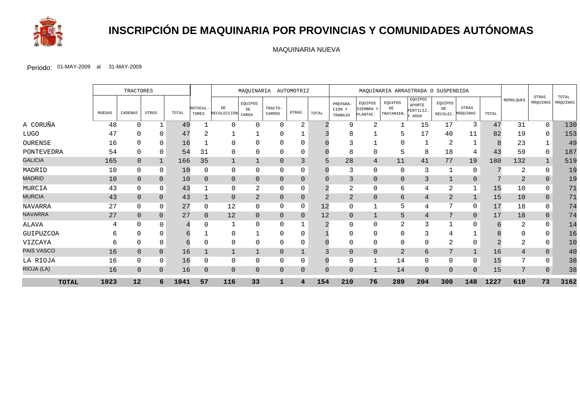

# **INSCRIPCIÓN DE MAQUINARIA POR PROVINCIAS Y COMUNIDADES AUTÓNOMAS**

MAQUINARIA NUEVA

|                |        | TRACTORES      |                |       |                   | MAOUINARIA AUTOMOTRIZ    |                        |                   | MAQUINARIA ARRASTRADA O SUSPENDIDA |          |                                      |                                  |                             |                                        |                           |                   |       |                        |                   |                   |
|----------------|--------|----------------|----------------|-------|-------------------|--------------------------|------------------------|-------------------|------------------------------------|----------|--------------------------------------|----------------------------------|-----------------------------|----------------------------------------|---------------------------|-------------------|-------|------------------------|-------------------|-------------------|
|                | RUEDAS | CADENAS        | OTROS          | TOTAL | MOTOCUL-<br>TORES | $\rm{DE}$<br>RECOLECCIÓN | EQUIPOS<br>DE<br>CARGA | TRACTO-<br>CARROS | OTRAS                              | TOTAL    | PREPARA-<br>CIÓN Y<br><b>TRABAJO</b> | EQUIPOS<br>SIEMBRA Y<br>PLANTAC. | EQUIPOS<br>DE<br>TRATAMIEN. | EQUIPOS<br>APORTE<br>FERTILIZ.<br>AGUA | EQUIPOS<br>DE<br>RECOLEC. | OTRAS<br>MÁQUINAS | TOTAL | REMOLQUES              | OTRAS<br>MÁQUINAS | TOTAL<br>MÁQUINAS |
| A CORUÑA       | 48     | $\Omega$       |                | 49    |                   | $\Omega$                 | $\Omega$               | $\Omega$          | 2                                  |          | 9                                    | 2                                |                             | 15                                     | 17                        | 3                 | 47    | 31                     | $\Omega$          | 130               |
| <b>LUGO</b>    | 47     |                |                | 47    | ∠                 |                          |                        |                   |                                    |          | 8                                    |                                  |                             | 17                                     | 40                        | 11                | 82    | 19                     | 0                 | 153               |
| OURENSE        | 16     |                |                | 16    |                   | $\Omega$                 | ∩                      | <sup>0</sup>      |                                    |          |                                      |                                  |                             |                                        |                           |                   |       | 23                     |                   | 49                |
| PONTEVEDRA     | 54     |                | 0              | 54    | 31                | 0                        | $\Omega$               | 0                 | 0                                  |          | 8                                    | $\Omega$                         |                             | 8                                      | 18                        | 4                 | 43    | 59                     | $\Omega$          | 187               |
| <b>GALICIA</b> | 165    | $\overline{0}$ |                | 166   | 35                | $\mathbf{1}$             |                        | $\Omega$          | 3                                  | 5        | 28                                   | $\overline{4}$                   | 11                          | 41                                     | 77                        | 19                | 180   | 132                    |                   | 519               |
| MADRID         | 10     | $\Omega$       |                | 10    |                   | 0                        | $\Omega$               | $\Omega$          | 0                                  |          | 3                                    | $\mathbf 0$                      | $\Omega$                    | 3                                      |                           | $\Omega$          |       | 2                      |                   | 19                |
| <b>MADRID</b>  | 10     | $\overline{0}$ | $\overline{0}$ | 10    | $\Omega$          | $\mathbf{0}$             | $\overline{0}$         | $\overline{0}$    | $\overline{0}$                     |          | 3                                    | $\overline{0}$                   | $\mathbf{0}$                | 3                                      |                           | $\Omega$          |       | $\overline{2}$         | $\overline{0}$    | 19                |
| MURCIA         | 43     |                | 0              | 43    |                   | 0                        | 2                      | 0                 | 0                                  |          | 2                                    | $\mathbf 0$                      | 6                           | 4                                      | 2                         |                   | 15    | 10                     | $\Omega$          | 71                |
| <b>MURCIA</b>  | 43     | $\Omega$       | $\Omega$       | 43    |                   | $\mathbf{0}$             | $\overline{2}$         | $\Omega$          | $\Omega$                           |          | $\overline{2}$                       | $\overline{0}$                   | 6                           | $\overline{4}$                         | 2                         |                   | 15    | 10                     | $\Omega$          | 71                |
| <b>NAVARRA</b> | 27     | 0              | 0              | 27    | 0                 | 12                       | 0                      | 0                 | $\mathbf 0$                        | 12       | $\mathbf 0$                          |                                  | 5                           | 4                                      | $\mathbf{r}$              | 0                 | 17    | 18                     | $\Omega$          | 74                |
| <b>NAVARRA</b> | 27     | $\overline{0}$ | $\Omega$       | 27    | $\overline{0}$    | 12                       | $\overline{0}$         | $\Omega$          | 0                                  | 12       | $\overline{0}$                       |                                  | 5                           | 4                                      |                           | $\Omega$          | 17    | 18                     | $\overline{0}$    | 74                |
| <b>ALAVA</b>   |        |                |                |       |                   |                          | <sup>0</sup>           | <sup>0</sup>      |                                    |          | $\Omega$                             | $\Omega$                         |                             | 3                                      |                           |                   |       |                        |                   | 14                |
| GUIPUZCOA      |        |                |                |       |                   | 0                        |                        | $\Omega$          | 0                                  |          | 0                                    | $\Omega$                         | $\Omega$                    | 3                                      | 4                         |                   |       |                        |                   | 16                |
| VIZCAYA        | h      |                |                | 6     |                   | 0                        | $\Omega$               | $\Omega$          | 0                                  |          | 0                                    | $\mathbf 0$                      | $\Omega$                    | 0                                      | 2                         | $\Omega$          |       |                        |                   | 10                |
| PAIS VASCO     | 16     | $\Omega$       | $\Omega$       | 16    |                   | $\mathbf{1}$             |                        | $\Omega$          |                                    |          | $\mathbf 0$                          | $\overline{0}$                   | $\overline{2}$              | 6                                      |                           |                   | 16    |                        |                   | 40                |
| LA RIOJA       | 16     | $\Omega$       | 0              | 16    |                   | 0                        | $\Omega$               | $\Omega$          | 0                                  |          | 0                                    |                                  | 14                          | $\Omega$                               | $\Omega$                  | $\Omega$          | 15    | $\mathbf{\mathcal{L}}$ | $\Omega$          | 38                |
| RIOJA (LA)     | 16     | $\Omega$       | $\Omega$       | 16    | $\Omega$          | $\overline{0}$           | $\Omega$               | $\Omega$          | $\Omega$                           | $\Omega$ | $\overline{0}$                       |                                  | 14                          | $\mathbf{0}$                           | $\Omega$                  | $\Omega$          | 15    |                        | $\Omega$          | 38                |
| <b>TOTAL</b>   | 1023   | 12             |                | 1041  | 57                | 116                      | 33                     |                   |                                    | 154      | 210                                  | 76                               | 289                         | 204                                    | 300                       | 148               | 1227  | 610                    | 73                | 3162              |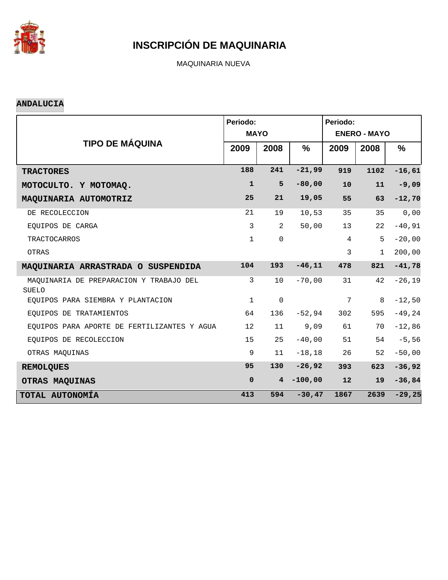

MAQUINARIA NUEVA

#### **ANDALUCIA**

|                                                  | Periodo:     |                |           | Periodo:       |                     |               |
|--------------------------------------------------|--------------|----------------|-----------|----------------|---------------------|---------------|
| <b>TIPO DE MÁQUINA</b>                           | <b>MAYO</b>  |                |           |                | <b>ENERO - MAYO</b> |               |
|                                                  | 2009         | 2008           | %         | 2009           | 2008                | $\frac{9}{6}$ |
| <b>TRACTORES</b>                                 | 188          | 241            | $-21,99$  | 919            | 1102                | $-16,61$      |
| MOTOCULTO. Y MOTOMAQ.                            | $\mathbf{1}$ | 5              | $-80,00$  | 10             | 11                  | $-9,09$       |
| MAQUINARIA AUTOMOTRIZ                            | 25           | 21             | 19,05     | 55             | 63                  | $-12,70$      |
| DE RECOLECCION                                   | 21           | 19             | 10,53     | 35             | 35                  | 0,00          |
| EQUIPOS DE CARGA                                 | $\mathbf{3}$ | $\overline{2}$ | 50,00     | 13             | 22                  | $-40,91$      |
| <b>TRACTOCARROS</b>                              | $\mathbf{1}$ | $\mathbf 0$    |           | $\overline{4}$ | 5                   | $-20,00$      |
| OTRAS                                            |              |                |           | 3              | $\mathbf{1}$        | 200,00        |
| MAQUINARIA ARRASTRADA O SUSPENDIDA               | 104          | 193            | $-46, 11$ | 478            | 821                 | $-41,78$      |
| MAQUINARIA DE PREPARACION Y TRABAJO DEL<br>SUELO | 3            | 10             | $-70,00$  | 31             | 42                  | $-26, 19$     |
| EQUIPOS PARA SIEMBRA Y PLANTACION                | $\mathbf{1}$ | $\mathbf 0$    |           | 7              | 8                   | $-12,50$      |
| EQUIPOS DE TRATAMIENTOS                          | 64           | 136            | $-52,94$  | 302            | 595                 | $-49,24$      |
| EQUIPOS PARA APORTE DE FERTILIZANTES Y AGUA      | 12           | 11             | 9,09      | 61             | 70                  | $-12,86$      |
| EQUIPOS DE RECOLECCION                           | 15           | 25             | $-40,00$  | 51             | 54                  | $-5,56$       |
| OTRAS MAQUINAS                                   | 9            | 11             | $-18, 18$ | 26             | 52                  | $-50,00$      |
| <b>REMOLQUES</b>                                 | 95           | 130            | $-26,92$  | 393            | 623                 | $-36,92$      |
| OTRAS MAQUINAS                                   | $\mathbf 0$  | $\overline{4}$ | $-100,00$ | 12             | 19                  | $-36,84$      |
| TOTAL AUTONOMÍA                                  | 413          | 594            | $-30, 47$ | 1867           | 2639                | $-29,25$      |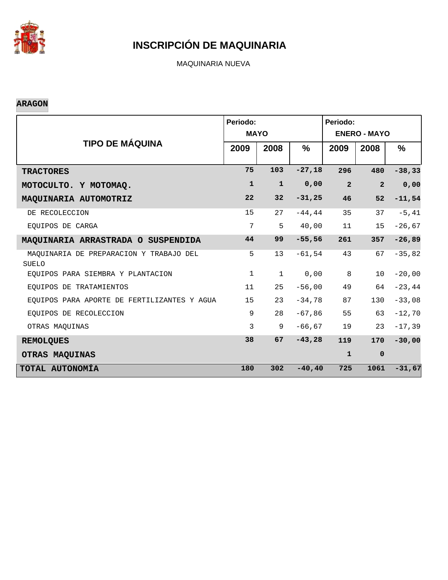

MAQUINARIA NUEVA

### **ARAGON**

|                                                         | Periodo:<br><b>MAYO</b> |                 |               | Periodo:<br><b>ENERO - MAYO</b> |                |           |  |
|---------------------------------------------------------|-------------------------|-----------------|---------------|---------------------------------|----------------|-----------|--|
| <b>TIPO DE MÁQUINA</b>                                  | 2009                    | 2008            | $\frac{9}{6}$ | 2009                            | 2008           | %         |  |
| <b>TRACTORES</b>                                        | 75                      | 103             | $-27,18$      | 296                             | 480            | $-38, 33$ |  |
| MOTOCULTO. Y MOTOMAQ.                                   | 1                       | $\mathbf{1}$    | 0,00          | $\overline{2}$                  | $\overline{2}$ | 0,00      |  |
| MAQUINARIA AUTOMOTRIZ                                   | 22                      | 32 <sup>2</sup> | $-31,25$      | 46                              | 52             | $-11,54$  |  |
| DE RECOLECCION                                          | 15                      | 27              | $-44, 44$     | 35                              | 37             | $-5, 41$  |  |
| EQUIPOS DE CARGA                                        | 7                       | 5               | 40,00         | 11                              | 15             | $-26,67$  |  |
| MAQUINARIA ARRASTRADA O SUSPENDIDA                      | 44                      | 99              | $-55,56$      | 261                             | 357            | $-26,89$  |  |
| MAQUINARIA DE PREPARACION Y TRABAJO DEL<br><b>SUELO</b> | 5                       | 13              | $-61,54$      | 43                              | 67             | $-35,82$  |  |
| EQUIPOS PARA SIEMBRA Y PLANTACION                       | $1\,$                   | $\mathbf{1}$    | 0,00          | 8                               | 10             | $-20,00$  |  |
| EOUIPOS DE TRATAMIENTOS                                 | 11                      | 25              | $-56,00$      | 49                              | 64             | $-23, 44$ |  |
| EQUIPOS PARA APORTE DE FERTILIZANTES Y AGUA             | 15                      | 23              | $-34,78$      | 87                              | 130            | $-33,08$  |  |
| EQUIPOS DE RECOLECCION                                  | 9                       | 28              | $-67,86$      | 55                              | 63             | $-12,70$  |  |
| OTRAS MAQUINAS                                          | 3                       | 9               | $-66, 67$     | 19                              | 23             | $-17,39$  |  |
| <b>REMOLQUES</b>                                        | 38                      | 67              | $-43,28$      | 119                             | 170            | $-30,00$  |  |
| OTRAS MAQUINAS                                          |                         |                 |               | $\mathbf{1}$                    | $\mathbf 0$    |           |  |
| TOTAL AUTONOMÍA                                         | 180                     | 302             | $-40, 40$     | 725                             | 1061           | $-31,67$  |  |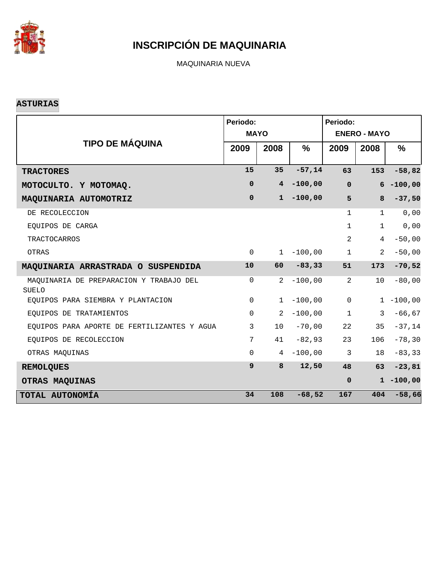

MAQUINARIA NUEVA

#### **ASTURIAS**

|                                                         | Periodo:<br><b>MAYO</b> |                |               | Periodo:<br><b>ENERO - MAYO</b> |                |               |  |
|---------------------------------------------------------|-------------------------|----------------|---------------|---------------------------------|----------------|---------------|--|
| <b>TIPO DE MÁQUINA</b>                                  | 2009                    | 2008           | $\frac{9}{6}$ | 2009                            | 2008           | $\frac{9}{6}$ |  |
| <b>TRACTORES</b>                                        | 15                      | 35             | $-57,14$      | 63                              | 153            | $-58,82$      |  |
| MOTOCULTO. Y MOTOMAQ.                                   | $\mathbf 0$             | $4^{\circ}$    | $-100,00$     | $\pmb{0}$                       |                | $6 - 100,00$  |  |
| MAQUINARIA AUTOMOTRIZ                                   | $\mathbf 0$             | $\mathbf{1}$   | $-100,00$     | 5                               | 8              | $-37,50$      |  |
| DE RECOLECCION                                          |                         |                |               | $\mathbf{1}$                    | $\mathbf{1}$   | 0,00          |  |
| EQUIPOS DE CARGA                                        |                         |                |               | $\mathbf{1}$                    | $\mathbf{1}$   | 0,00          |  |
| TRACTOCARROS                                            |                         |                |               | 2                               | $\overline{4}$ | $-50,00$      |  |
| OTRAS                                                   | $\mathbf 0$             | 1              | $-100,00$     | $\mathbf{1}$                    | 2              | $-50,00$      |  |
| MAQUINARIA ARRASTRADA O SUSPENDIDA                      | 10                      | 60             | $-83, 33$     | 51                              | 173            | $-70,52$      |  |
| MAQUINARIA DE PREPARACION Y TRABAJO DEL<br><b>SUELO</b> | $\Omega$                | $\overline{2}$ | $-100,00$     | 2                               | 10             | $-80,00$      |  |
| EQUIPOS PARA SIEMBRA Y PLANTACION                       | $\mathbf 0$             | $\mathbf{1}$   | $-100,00$     | $\mathbf 0$                     |                | $1 - 100,00$  |  |
| EQUIPOS DE TRATAMIENTOS                                 | $\mathbf 0$             | $\overline{2}$ | $-100,00$     | $\mathbf{1}$                    | 3              | $-66, 67$     |  |
| EQUIPOS PARA APORTE DE FERTILIZANTES Y AGUA             | 3                       | 10             | $-70,00$      | 22                              | 35             | $-37,14$      |  |
| EOUIPOS DE RECOLECCION                                  | 7                       | 41             | $-82,93$      | 23                              | 106            | $-78, 30$     |  |
| OTRAS MAQUINAS                                          | $\mathbf 0$             | 4              | $-100,00$     | $\mathbf{3}$                    | 18             | $-83, 33$     |  |
| <b>REMOLQUES</b>                                        | 9                       | 8              | 12,50         | 48                              | 63             | $-23,81$      |  |
| OTRAS MAQUINAS                                          |                         |                |               | $\mathbf 0$                     |                | $1 - 100,00$  |  |
| TOTAL AUTONOMÍA                                         | 34                      | 108            | $-68,52$      | 167                             | 404            | $-58,66$      |  |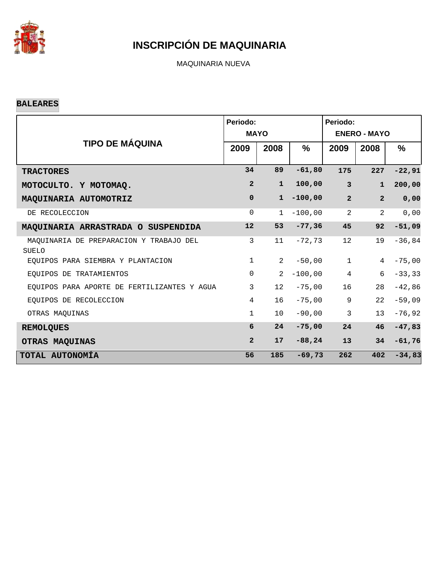

MAQUINARIA NUEVA

#### **BALEARES**

|                                                         | Periodo:       |                 |               | Periodo:       |                     |           |
|---------------------------------------------------------|----------------|-----------------|---------------|----------------|---------------------|-----------|
|                                                         | <b>MAYO</b>    |                 |               |                | <b>ENERO - MAYO</b> |           |
| <b>TIPO DE MÁQUINA</b>                                  | 2009           | 2008            | $\frac{9}{6}$ | 2009           | 2008                | $\%$      |
|                                                         |                |                 |               |                |                     |           |
| <b>TRACTORES</b>                                        | 34             | 89              | $-61,80$      | 175            | 227                 | $-22,91$  |
| MOTOCULTO. Y MOTOMAQ.                                   | $\overline{2}$ | $\mathbf{1}$    | 100,00        | $\mathbf{3}$   | $\mathbf{1}$        | 200,00    |
| MAQUINARIA AUTOMOTRIZ                                   | $\Omega$       | $\mathbf{1}$    | $-100,00$     | $\overline{2}$ | $\overline{2}$      | 0,00      |
| DE RECOLECCION                                          | $\Omega$       | $\mathbf{1}$    | $-100,00$     | 2              | 2                   | 0,00      |
| MAQUINARIA ARRASTRADA O SUSPENDIDA                      | 12             | 53              | $-77,36$      | 45             | 92                  | $-51,09$  |
| MAOUINARIA DE PREPARACION Y TRABAJO DEL<br><b>SUELO</b> | 3              | 11              | $-72,73$      | 12             | 19                  | $-36,84$  |
| EOUIPOS PARA SIEMBRA Y PLANTACION                       | $\mathbf 1$    | $\overline{a}$  | $-50,00$      | $\mathbf{1}$   | 4                   | $-75,00$  |
| EOUIPOS DE TRATAMIENTOS                                 | $\Omega$       | 2               | $-100,00$     | $\overline{4}$ | 6                   | $-33, 33$ |
| EQUIPOS PARA APORTE DE FERTILIZANTES Y AGUA             | 3              | 12 <sub>2</sub> | $-75,00$      | 16             | 28                  | $-42,86$  |
| EOUIPOS DE RECOLECCION                                  | $\overline{4}$ | 16              | $-75,00$      | 9              | 22                  | $-59,09$  |
| OTRAS MAQUINAS                                          | 1              | 10 <sup>°</sup> | $-90,00$      | $\overline{3}$ | 13                  | $-76,92$  |
| <b>REMOLQUES</b>                                        | 6              | 24              | $-75,00$      | 24             | 46                  | $-47,83$  |
| OTRAS MAQUINAS                                          | $\overline{a}$ | 17 <sup>2</sup> | $-88,24$      | 13             | 34                  | $-61,76$  |
| TOTAL AUTONOMÍA                                         | 56             | 185             | $-69,73$      | 262            | 402                 | $-34,83$  |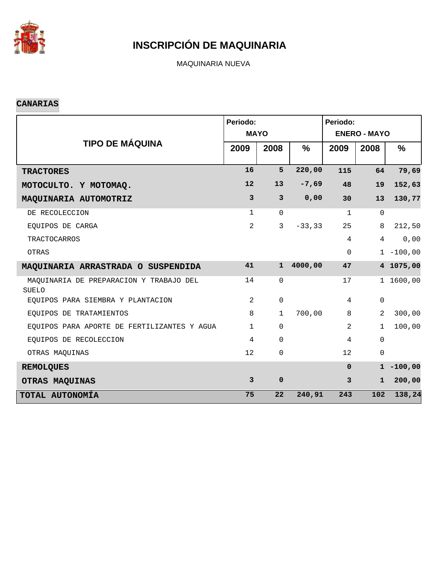

MAQUINARIA NUEVA

#### **CANARIAS**

|                                                         | Periodo:<br><b>MAYO</b> |              |               | Periodo:<br><b>ENERO - MAYO</b> |                |              |  |
|---------------------------------------------------------|-------------------------|--------------|---------------|---------------------------------|----------------|--------------|--|
| <b>TIPO DE MÁQUINA</b>                                  | 2009                    | 2008         | $\frac{9}{6}$ | 2009                            | 2008           | $\%$         |  |
| <b>TRACTORES</b>                                        | 16                      | 5            | 220,00        | 115                             | 64             | 79,69        |  |
| MOTOCULTO. Y MOTOMAQ.                                   | 12                      | 13           | $-7,69$       | 48                              | 19             | 152,63       |  |
| MAQUINARIA AUTOMOTRIZ                                   | $\mathbf{3}$            | $\mathbf{3}$ | 0,00          | 30                              | 13             | 130,77       |  |
| DE RECOLECCION                                          | $\mathbf{1}$            | $\Omega$     |               | $\mathbf{1}$                    | $\Omega$       |              |  |
| EQUIPOS DE CARGA                                        | $\overline{2}$          | $\mathbf{3}$ | $-33, 33$     | 25                              | 8              | 212,50       |  |
| <b>TRACTOCARROS</b>                                     |                         |              |               | $\overline{4}$                  | $\overline{4}$ | 0,00         |  |
| OTRAS                                                   |                         |              |               | $\Omega$                        |                | $1 - 100,00$ |  |
| MAQUINARIA ARRASTRADA O SUSPENDIDA                      | 41                      | $\mathbf{1}$ | 4000,00       | 47                              |                | 4 1075,00    |  |
| MAQUINARIA DE PREPARACION Y TRABAJO DEL<br><b>SUELO</b> | 14                      | $\mathbf 0$  |               | 17                              |                | 1 1600,00    |  |
| EOUIPOS PARA SIEMBRA Y PLANTACION                       | 2                       | $\mathbf 0$  |               | $\overline{4}$                  | $\mathbf 0$    |              |  |
| EQUIPOS DE TRATAMIENTOS                                 | 8                       | $\mathbf{1}$ | 700,00        | 8                               | 2              | 300,00       |  |
| EQUIPOS PARA APORTE DE FERTILIZANTES Y AGUA             | $\mathbf{1}$            | $\Omega$     |               | 2                               | $\mathbf{1}$   | 100,00       |  |
| EQUIPOS DE RECOLECCION                                  | $\overline{4}$          | $\mathbf 0$  |               | $\overline{4}$                  | $\mathbf 0$    |              |  |
| OTRAS MAQUINAS                                          | 12                      | 0            |               | 12 <sup>°</sup>                 | $\mathbf 0$    |              |  |
| <b>REMOLQUES</b>                                        |                         |              |               | $\mathbf{0}$                    | $\mathbf{1}$   | $-100,00$    |  |
| OTRAS MAQUINAS                                          | $\mathbf{3}$            | $\Omega$     |               | 3                               | $\mathbf{1}$   | 200,00       |  |
| TOTAL AUTONOMÍA                                         | 75                      | 22           | 240,91        | 243                             | 102            | 138,24       |  |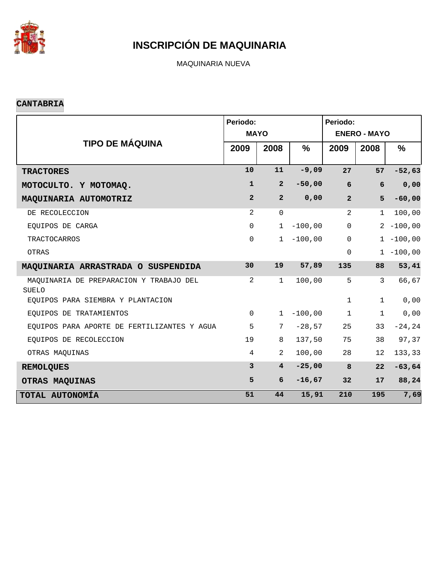

MAQUINARIA NUEVA

#### **CANTABRIA**

|                                                         | Periodo:<br><b>MAYO</b> |                |               | Periodo:<br><b>ENERO - MAYO</b> |                 |              |  |
|---------------------------------------------------------|-------------------------|----------------|---------------|---------------------------------|-----------------|--------------|--|
| <b>TIPO DE MÁQUINA</b>                                  | 2009                    | 2008           | $\frac{9}{6}$ | 2009                            | 2008            | $\%$         |  |
| <b>TRACTORES</b>                                        | 10                      | 11             | $-9,09$       | 27                              | 57              | $-52,63$     |  |
| MOTOCULTO. Y MOTOMAQ.                                   | $\mathbf{1}$            | $\overline{2}$ | $-50,00$      | 6                               | 6               | 0,00         |  |
| MAQUINARIA AUTOMOTRIZ                                   | $\overline{2}$          | $\overline{a}$ | 0,00          | $\overline{a}$                  | 5               | $-60,00$     |  |
| DE RECOLECCION                                          | 2                       | $\Omega$       |               | 2                               | $\mathbf{1}$    | 100,00       |  |
| EQUIPOS DE CARGA                                        | $\mathbf 0$             | $\mathbf{1}$   | $-100,00$     | $\mathsf{O}\xspace$             |                 | $2 - 100,00$ |  |
| TRACTOCARROS                                            | $\mathbf 0$             | $\mathbf{1}$   | $-100,00$     | $\mathbf 0$                     |                 | $1 - 100,00$ |  |
| OTRAS                                                   |                         |                |               | $\mathbf 0$                     |                 | $1 - 100,00$ |  |
| MAQUINARIA ARRASTRADA O SUSPENDIDA                      | 30                      | 19             | 57,89         | 135                             | 88              | 53,41        |  |
| MAQUINARIA DE PREPARACION Y TRABAJO DEL<br><b>SUELO</b> | $\overline{a}$          | $\mathbf{1}$   | 100,00        | 5                               | 3               | 66,67        |  |
| EQUIPOS PARA SIEMBRA Y PLANTACION                       |                         |                |               | $\mathbf{1}$                    | $\mathbf{1}$    | 0,00         |  |
| EQUIPOS DE TRATAMIENTOS                                 | $\mathbf 0$             | $\mathbf{1}$   | $-100,00$     | $\mathbf{1}$                    | $\mathbf{1}$    | 0,00         |  |
| EQUIPOS PARA APORTE DE FERTILIZANTES Y AGUA             | 5                       | 7              | $-28,57$      | 25                              | 33              | $-24, 24$    |  |
| EQUIPOS DE RECOLECCION                                  | 19                      | 8              | 137,50        | 75                              | 38              | 97,37        |  |
| OTRAS MAQUINAS                                          | $\overline{4}$          | $\overline{a}$ | 100,00        | 28                              | 12              | 133,33       |  |
| <b>REMOLQUES</b>                                        | $\overline{3}$          | $\overline{4}$ | $-25,00$      | 8                               | 22              | $-63,64$     |  |
| OTRAS MAQUINAS                                          | 5                       | 6              | $-16,67$      | 32                              | 17 <sup>2</sup> | 88,24        |  |
| TOTAL AUTONOMÍA                                         | 51                      | 44             | 15,91         | 210                             | 195             | 7,69         |  |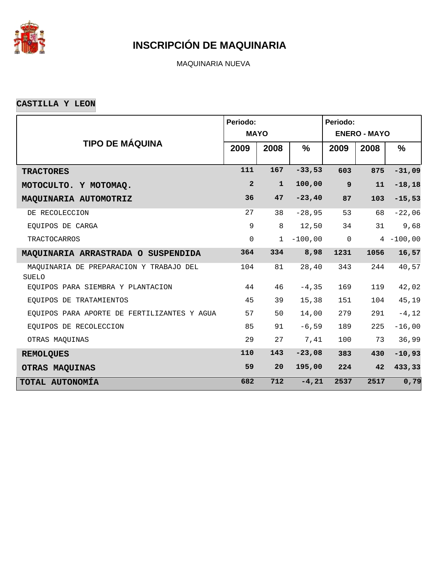

MAQUINARIA NUEVA

**CASTILLA Y LEON**

|                                                  | Periodo:<br><b>MAYO</b> |              |               | Periodo:<br><b>ENERO - MAYO</b> |      |              |  |
|--------------------------------------------------|-------------------------|--------------|---------------|---------------------------------|------|--------------|--|
| <b>TIPO DE MÁQUINA</b>                           | 2009                    | 2008         | $\frac{9}{6}$ | 2009                            | 2008 | $\%$         |  |
| <b>TRACTORES</b>                                 | 111                     | 167          | $-33,53$      | 603                             | 875  | $-31,09$     |  |
| MOTOCULTO. Y MOTOMAQ.                            | $\overline{a}$          | $\mathbf{1}$ | 100,00        | $\boldsymbol{9}$                | 11   | $-18, 18$    |  |
| MAQUINARIA AUTOMOTRIZ                            | 36                      | 47           | $-23, 40$     | 87                              | 103  | $-15,53$     |  |
| DE RECOLECCION                                   | 27                      | 38           | $-28,95$      | 53                              | 68   | $-22,06$     |  |
| EQUIPOS DE CARGA                                 | 9                       | 8            | 12,50         | 34                              | 31   | 9,68         |  |
| <b>TRACTOCARROS</b>                              | $\mathbf 0$             | $\mathbf{1}$ | $-100,00$     | $\mathsf{O}$                    |      | $4 - 100,00$ |  |
| MAQUINARIA ARRASTRADA O SUSPENDIDA               | 364                     | 334          | 8,98          | 1231                            | 1056 | 16,57        |  |
| MAOUINARIA DE PREPARACION Y TRABAJO DEL<br>SUELO | 104                     | 81           | 28,40         | 343                             | 244  | 40,57        |  |
| EQUIPOS PARA SIEMBRA Y PLANTACION                | 44                      | 46           | $-4, 35$      | 169                             | 119  | 42,02        |  |
| EOUIPOS DE TRATAMIENTOS                          | 45                      | 39           | 15,38         | 151                             | 104  | 45,19        |  |
| EQUIPOS PARA APORTE DE FERTILIZANTES Y AGUA      | 57                      | 50           | 14,00         | 279                             | 291  | $-4, 12$     |  |
| EQUIPOS DE RECOLECCION                           | 85                      | 91           | $-6,59$       | 189                             | 225  | $-16,00$     |  |
| OTRAS MAQUINAS                                   | 29                      | 27           | 7,41          | 100                             | 73   | 36,99        |  |
| <b>REMOLQUES</b>                                 | 110                     | 143          | $-23,08$      | 383                             | 430  | $-10,93$     |  |
| <b>OTRAS MAQUINAS</b>                            | 59                      | 20           | 195,00        | 224                             | 42   | 433,33       |  |
| TOTAL AUTONOMÍA                                  | 682                     | 712          | $-4, 21$      | 2537                            | 2517 | 0,79         |  |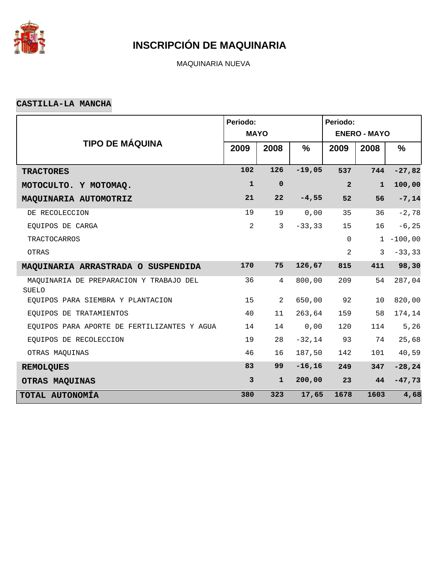

MAQUINARIA NUEVA

### **CASTILLA-LA MANCHA**

|                                                         | Periodo:     |                |               | Periodo:       |                     |              |
|---------------------------------------------------------|--------------|----------------|---------------|----------------|---------------------|--------------|
|                                                         | <b>MAYO</b>  |                |               |                | <b>ENERO - MAYO</b> |              |
| <b>TIPO DE MÁQUINA</b>                                  | 2009         | 2008           | $\frac{9}{6}$ | 2009           | 2008                | %            |
| <b>TRACTORES</b>                                        | 102          | 126            | $-19,05$      | 537            | 744                 | $-27,82$     |
| MOTOCULTO. Y MOTOMAQ.                                   | $\mathbf{1}$ | $\mathbf 0$    |               | $\overline{a}$ | $\mathbf{1}$        | 100,00       |
| MAQUINARIA AUTOMOTRIZ                                   | 21           | 22             | $-4,55$       | 52             | 56                  | $-7,14$      |
| DE RECOLECCION                                          | 19           | 19             | 0,00          | 35             | 36                  | $-2,78$      |
| EOUIPOS DE CARGA                                        | 2            | $\mathbf{3}$   | $-33, 33$     | 15             | 16                  | $-6, 25$     |
| <b>TRACTOCARROS</b>                                     |              |                |               | $\mathsf{O}$   |                     | $1 - 100,00$ |
| OTRAS                                                   |              |                |               | 2              | 3                   | $-33, 33$    |
| MAQUINARIA ARRASTRADA O SUSPENDIDA                      | 170          | 75             | 126,67        | 815            | 411                 | 98,30        |
| MAQUINARIA DE PREPARACION Y TRABAJO DEL<br><b>SUELO</b> | 36           | $\overline{4}$ | 800,00        | 209            | 54                  | 287,04       |
| EOUIPOS PARA SIEMBRA Y PLANTACION                       | 15           | 2              | 650,00        | 92             | 10                  | 820,00       |
| EQUIPOS DE TRATAMIENTOS                                 | 40           | 11             | 263,64        | 159            | 58                  | 174,14       |
| EQUIPOS PARA APORTE DE FERTILIZANTES Y AGUA             | 14           | 14             | 0,00          | 120            | 114                 | 5,26         |
| EOUIPOS DE RECOLECCION                                  | 19           | 28             | $-32,14$      | 93             | 74                  | 25,68        |
| OTRAS MAQUINAS                                          | 46           | 16             | 187,50        | 142            | 101                 | 40,59        |
| <b>REMOLQUES</b>                                        | 83           | 99             | $-16, 16$     | 249            | 347                 | $-28, 24$    |
| OTRAS MAQUINAS                                          | $\mathbf{3}$ | $\mathbf{1}$   | 200,00        | 23             | 44                  | $-47,73$     |
| TOTAL AUTONOMÍA                                         | 380          | 323            | 17,65         | 1678           | 1603                | 4,68         |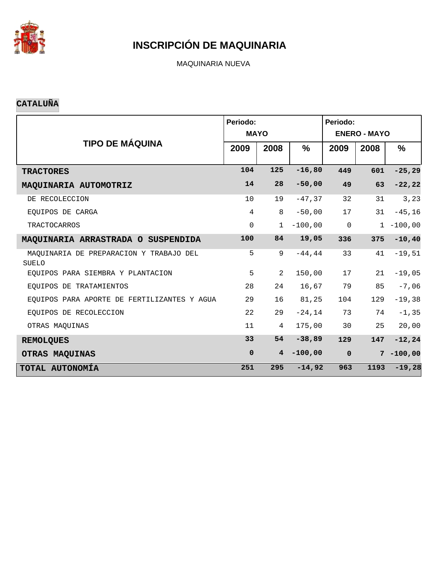

MAQUINARIA NUEVA

### **CATALUÑA**

|                                                         | Periodo:<br><b>MAYO</b> |                 |           | Periodo:<br><b>ENERO - MAYO</b> |      |              |  |  |
|---------------------------------------------------------|-------------------------|-----------------|-----------|---------------------------------|------|--------------|--|--|
| <b>TIPO DE MÁQUINA</b>                                  | 2009                    | 2008            | $\%$      | 2009                            | 2008 | %            |  |  |
| <b>TRACTORES</b>                                        | 104                     | 125             | $-16,80$  | 449                             | 601  | $-25, 29$    |  |  |
| MAQUINARIA AUTOMOTRIZ                                   | 14                      | 28              | $-50,00$  | 49                              | 63   | $-22, 22$    |  |  |
| DE RECOLECCION                                          | 10                      | 19              | $-47, 37$ | 32                              | 31   | 3, 23        |  |  |
| EOUIPOS DE CARGA                                        | $\overline{4}$          | 8               | $-50,00$  | 17                              | 31   | $-45, 16$    |  |  |
| <b>TRACTOCARROS</b>                                     | $\mathbf 0$             | $\mathbf{1}$    | $-100,00$ | $\mathsf{O}$                    |      | $1 - 100,00$ |  |  |
| MAQUINARIA ARRASTRADA O SUSPENDIDA                      | 100                     | 84              | 19,05     | 336                             | 375  | $-10, 40$    |  |  |
| MAQUINARIA DE PREPARACION Y TRABAJO DEL<br><b>SUELO</b> | 5                       | 9               | $-44, 44$ | 33                              | 41   | $-19,51$     |  |  |
| EQUIPOS PARA SIEMBRA Y PLANTACION                       | 5                       | 2               | 150,00    | 17                              | 21   | $-19,05$     |  |  |
| EOUIPOS DE TRATAMIENTOS                                 | 28                      | 24              | 16,67     | 79                              | 85   | $-7,06$      |  |  |
| EQUIPOS PARA APORTE DE FERTILIZANTES Y AGUA             | 29                      | 16              | 81,25     | 104                             | 129  | $-19,38$     |  |  |
| EOUIPOS DE RECOLECCION                                  | 22                      | 29              | $-24, 14$ | 73                              | 74   | $-1, 35$     |  |  |
| OTRAS MAQUINAS                                          | 11                      | 4               | 175,00    | 30                              | 25   | 20,00        |  |  |
| <b>REMOLQUES</b>                                        | 33                      | 54              | $-38,89$  | 129                             | 147  | $-12, 24$    |  |  |
| OTRAS MAQUINAS                                          | $\mathbf 0$             | $4\overline{ }$ | $-100,00$ | $\mathbf 0$                     | 7    | $-100,00$    |  |  |
| TOTAL AUTONOMÍA                                         | 251                     | 295             | $-14,92$  | 963                             | 1193 | $-19,28$     |  |  |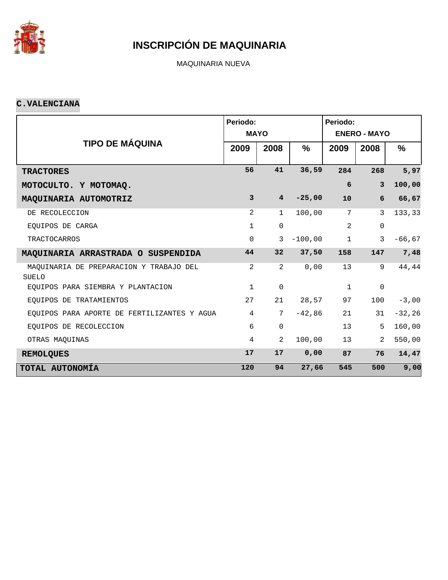

MAQUINARIA NUEVA

#### **C.VALENCIANA**

|                                                         | Periodo:<br><b>MAYO</b> |                 |           | Periodo:<br><b>ENERO - MAYO</b> |                |               |  |  |
|---------------------------------------------------------|-------------------------|-----------------|-----------|---------------------------------|----------------|---------------|--|--|
| <b>TIPO DE MÁQUINA</b>                                  | 2009                    | 2008            | $\%$      | 2009                            | 2008           | $\frac{9}{6}$ |  |  |
| <b>TRACTORES</b>                                        | 56                      | 41              | 36,59     | 284                             | 268            | 5,97          |  |  |
| MOTOCULTO. Y MOTOMAQ.                                   |                         |                 |           | 6                               | $\overline{3}$ | 100,00        |  |  |
| MAQUINARIA AUTOMOTRIZ                                   | $\mathbf{3}$            | $4^{\circ}$     | $-25,00$  | 10                              | 6              | 66,67         |  |  |
| DE RECOLECCION                                          | $\overline{2}$          | $\mathbf 1$     | 100,00    | 7                               | 3              | 133,33        |  |  |
| EOUIPOS DE CARGA                                        | 1                       | $\mathsf 0$     |           | $\overline{a}$                  | $\mathsf 0$    |               |  |  |
| <b>TRACTOCARROS</b>                                     | 0                       | 3               | $-100,00$ | $\mathbf{1}$                    | $\overline{3}$ | $-66, 67$     |  |  |
| MAQUINARIA ARRASTRADA O SUSPENDIDA                      | 44                      | 32 <sub>2</sub> | 37,50     | 158                             | 147            | 7,48          |  |  |
| MAQUINARIA DE PREPARACION Y TRABAJO DEL<br><b>SUELO</b> | $\overline{2}$          | $\overline{2}$  | 0,00      | 13                              | 9              | 44,44         |  |  |
| EQUIPOS PARA SIEMBRA Y PLANTACION                       | $\mathbf{1}$            | $\mathbf 0$     |           | $\mathbf{1}$                    | 0              |               |  |  |
| EQUIPOS DE TRATAMIENTOS                                 | 27                      | 21              | 28,57     | 97                              | 100            | $-3,00$       |  |  |
| EQUIPOS PARA APORTE DE FERTILIZANTES Y AGUA             | 4                       | $7\phantom{.}$  | $-42,86$  | 21                              | 31             | $-32, 26$     |  |  |
| EQUIPOS DE RECOLECCION                                  | 6                       | $\Omega$        |           | 13                              | 5              | 160,00        |  |  |
| OTRAS MAQUINAS                                          | 4                       | $\overline{2}$  | 100,00    | 13                              | 2              | 550,00        |  |  |
| <b>REMOLQUES</b>                                        | 17                      | 17              | 0,00      | 87                              | 76             | 14,47         |  |  |
| TOTAL AUTONOMÍA                                         | 120                     | 94              | 27,66     | 545                             | 500            | 9,00          |  |  |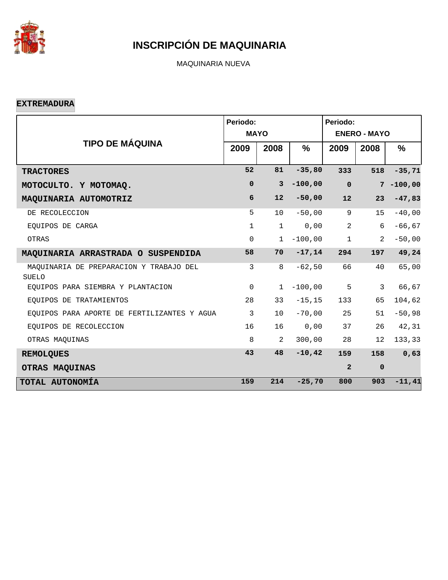

MAQUINARIA NUEVA

#### **EXTREMADURA**

|                                                  | Periodo:<br><b>MAYO</b> |                |           | Periodo:<br><b>ENERO - MAYO</b> |                |           |  |  |
|--------------------------------------------------|-------------------------|----------------|-----------|---------------------------------|----------------|-----------|--|--|
| <b>TIPO DE MÁQUINA</b>                           | 2009                    | 2008           | %         | 2009                            | 2008           | %         |  |  |
| <b>TRACTORES</b>                                 | 52                      | 81             | $-35,80$  | 333                             | 518            | $-35,71$  |  |  |
| MOTOCULTO. Y MOTOMAQ.                            | $\mathbf 0$             | $\overline{3}$ | $-100,00$ | $\mathbf 0$                     | 7              | $-100,00$ |  |  |
| MAQUINARIA AUTOMOTRIZ                            | 6                       | 12             | $-50,00$  | 12                              | 23             | $-47,83$  |  |  |
| DE RECOLECCION                                   | 5                       | 10             | $-50,00$  | 9                               | 15             | $-40,00$  |  |  |
| EQUIPOS DE CARGA                                 | $\mathbf{1}$            | $\mathbf{1}$   | 0,00      | $\overline{a}$                  | 6              | $-66, 67$ |  |  |
| OTRAS                                            | $\mathbf 0$             | $\mathbf{1}$   | $-100,00$ | $\mathbf 1$                     | $\overline{2}$ | $-50,00$  |  |  |
| MAQUINARIA ARRASTRADA O SUSPENDIDA               | 58                      | 70             | $-17,14$  | 294                             | 197            | 49,24     |  |  |
| MAQUINARIA DE PREPARACION Y TRABAJO DEL<br>SUELO | 3                       | 8              | $-62,50$  | 66                              | 40             | 65,00     |  |  |
| EQUIPOS PARA SIEMBRA Y PLANTACION                | $\mathbf 0$             | $\mathbf{1}$   | $-100,00$ | 5                               | $\mathbf{3}$   | 66,67     |  |  |
| EOUIPOS DE TRATAMIENTOS                          | 28                      | 33             | $-15, 15$ | 133                             | 65             | 104,62    |  |  |
| EQUIPOS PARA APORTE DE FERTILIZANTES Y AGUA      | 3                       | 10             | $-70,00$  | 25                              | 51             | $-50,98$  |  |  |
| EQUIPOS DE RECOLECCION                           | 16                      | 16             | 0,00      | 37                              | 26             | 42,31     |  |  |
| OTRAS MAQUINAS                                   | 8                       | 2              | 300,00    | 28                              | 12             | 133,33    |  |  |
| <b>REMOLQUES</b>                                 | 43                      | 48             | $-10, 42$ | 159                             | 158            | 0,63      |  |  |
| OTRAS MAQUINAS                                   |                         |                |           | $\overline{a}$                  | $\mathbf 0$    |           |  |  |
| TOTAL AUTONOMÍA                                  | 159                     | 214            | $-25,70$  | 800                             | 903            | $-11, 41$ |  |  |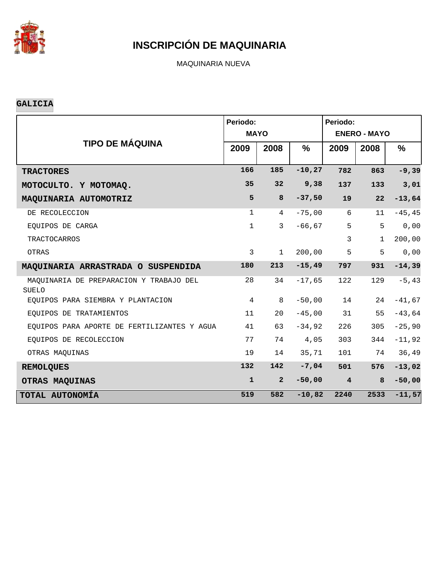

MAQUINARIA NUEVA

### **GALICIA**

|                                                         | Periodo:<br><b>MAYO</b> |                |               | Periodo:<br><b>ENERO - MAYO</b> |              |           |  |  |
|---------------------------------------------------------|-------------------------|----------------|---------------|---------------------------------|--------------|-----------|--|--|
| <b>TIPO DE MÁQUINA</b>                                  | 2009                    | 2008           | $\frac{9}{6}$ | 2009                            | 2008         | %         |  |  |
| <b>TRACTORES</b>                                        | 166                     | 185            | $-10, 27$     | 782                             | 863          | $-9,39$   |  |  |
| MOTOCULTO. Y MOTOMAQ.                                   | 35                      | 32             | 9,38          | 137                             | 133          | 3,01      |  |  |
| MAQUINARIA AUTOMOTRIZ                                   | 5                       | 8              | $-37,50$      | 19                              | 22           | $-13,64$  |  |  |
| DE RECOLECCION                                          | $\mathbf{1}$            | $\overline{4}$ | $-75,00$      | 6                               | 11           | $-45, 45$ |  |  |
| EQUIPOS DE CARGA                                        | $\mathbf{1}$            | $\mathbf{3}$   | $-66, 67$     | 5                               | 5            | 0,00      |  |  |
| TRACTOCARROS                                            |                         |                |               | 3                               | $\mathbf{1}$ | 200,00    |  |  |
| OTRAS                                                   | 3                       | $\mathbf{1}$   | 200,00        | 5                               | 5            | 0,00      |  |  |
| MAQUINARIA ARRASTRADA O SUSPENDIDA                      | 180                     | 213            | $-15,49$      | 797                             | 931          | $-14,39$  |  |  |
| MAQUINARIA DE PREPARACION Y TRABAJO DEL<br><b>SUELO</b> | 28                      | 34             | $-17,65$      | 122                             | 129          | $-5, 43$  |  |  |
| EOUIPOS PARA SIEMBRA Y PLANTACION                       | $\overline{4}$          | 8              | $-50,00$      | 14                              | 24           | $-41,67$  |  |  |
| EQUIPOS DE TRATAMIENTOS                                 | 11                      | 20             | $-45,00$      | 31                              | 55           | $-43,64$  |  |  |
| EQUIPOS PARA APORTE DE FERTILIZANTES Y AGUA             | 41                      | 63             | $-34,92$      | 226                             | 305          | $-25,90$  |  |  |
| EQUIPOS DE RECOLECCION                                  | 77                      | 74             | 4,05          | 303                             | 344          | $-11,92$  |  |  |
| OTRAS MAQUINAS                                          | 19                      | 14             | 35,71         | 101                             | 74           | 36,49     |  |  |
| <b>REMOLQUES</b>                                        | 132                     | 142            | $-7,04$       | 501                             | 576          | $-13,02$  |  |  |
| OTRAS MAQUINAS                                          | $\mathbf{1}$            | $\overline{2}$ | $-50,00$      | $\overline{4}$                  | 8            | $-50,00$  |  |  |
| TOTAL AUTONOMÍA                                         | 519                     | 582            | $-10,82$      | 2240                            | 2533         | $-11,57$  |  |  |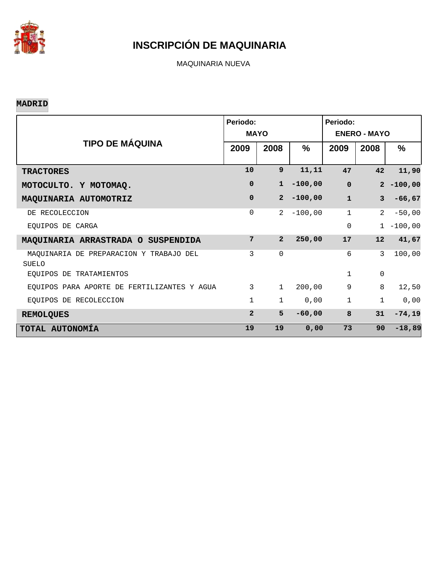

MAQUINARIA NUEVA

#### **MADRID**

|                                                  | Periodo:       | <b>MAYO</b>    |           | Periodo:<br><b>ENERO - MAYO</b> |                |           |  |  |
|--------------------------------------------------|----------------|----------------|-----------|---------------------------------|----------------|-----------|--|--|
| <b>TIPO DE MÁQUINA</b>                           | 2009           | 2008           | $\%$      | 2009                            | 2008           | $\%$      |  |  |
| <b>TRACTORES</b>                                 | 10             | $\mathbf{9}$   | 11, 11    | 47                              | 42             | 11,90     |  |  |
| MOTOCULTO. Y MOTOMAQ.                            | $\mathbf 0$    | $\mathbf{1}$   | $-100,00$ | $\mathbf{0}$                    | $\overline{2}$ | $-100,00$ |  |  |
| MAQUINARIA AUTOMOTRIZ                            | $\mathbf 0$    | 2 <sup>1</sup> | $-100,00$ | $\mathbf{1}$                    | $\overline{3}$ | $-66, 67$ |  |  |
| DE RECOLECCION                                   | $\Omega$       | 2              | $-100,00$ | $\mathbf{1}$                    | 2              | $-50,00$  |  |  |
| EQUIPOS DE CARGA                                 |                |                |           | $\mathbf 0$                     | $\mathbf{1}$   | $-100,00$ |  |  |
| MAQUINARIA ARRASTRADA O SUSPENDIDA               | 7              | $\overline{2}$ | 250,00    | 17                              | 12             | 41,67     |  |  |
| MAQUINARIA DE PREPARACION Y TRABAJO DEL<br>SUELO | 3              | $\Omega$       |           | 6                               | 3              | 100,00    |  |  |
| EOUIPOS DE TRATAMIENTOS                          |                |                |           | $\mathbf{1}$                    | $\mathsf 0$    |           |  |  |
| EOUIPOS PARA APORTE DE FERTILIZANTES Y AGUA      | 3              | $\mathbf{1}$   | 200,00    | $\overline{9}$                  | 8              | 12,50     |  |  |
| EQUIPOS DE RECOLECCION                           | $\mathbf{1}$   | 1              | 0,00      | $\mathbf{1}$                    | $\mathbf{1}$   | 0,00      |  |  |
| <b>REMOLQUES</b>                                 | $\overline{a}$ | 5              | $-60,00$  | 8                               | 31             | $-74,19$  |  |  |
| TOTAL AUTONOMÍA                                  | 19             | 19             | 0,00      | 73                              | 90             | $-18,89$  |  |  |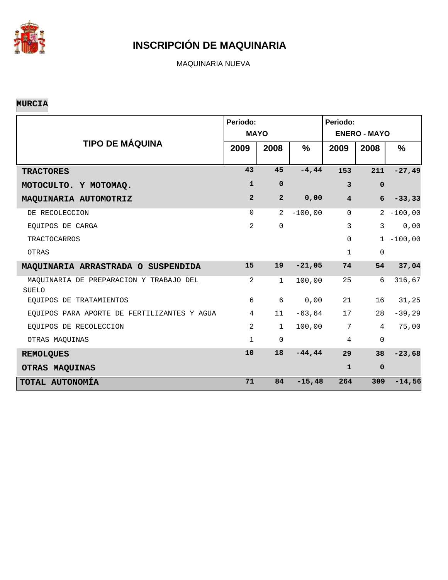

MAQUINARIA NUEVA

#### **MURCIA**

|                                                  | Periodo:<br><b>MAYO</b> |                |           | Periodo:<br><b>ENERO - MAYO</b> |                 |              |  |  |
|--------------------------------------------------|-------------------------|----------------|-----------|---------------------------------|-----------------|--------------|--|--|
| <b>TIPO DE MÁQUINA</b>                           | 2009                    | 2008           | %         | 2009                            | 2008            | %            |  |  |
| <b>TRACTORES</b>                                 | 43                      | 45             | $-4, 44$  | 153                             | 211             | $-27,49$     |  |  |
| MOTOCULTO. Y MOTOMAQ.                            | $\mathbf{1}$            | $\mathbf 0$    |           | $\mathbf{3}$                    | $\mathbf 0$     |              |  |  |
| MAQUINARIA AUTOMOTRIZ                            | $\overline{2}$          | $\overline{2}$ | 0,00      | $\overline{\mathbf{4}}$         | $6\overline{6}$ | $-33, 33$    |  |  |
| DE RECOLECCION                                   | $\Omega$                | $\overline{2}$ | $-100,00$ | $\Omega$                        |                 | $2 - 100,00$ |  |  |
| EOUIPOS DE CARGA                                 | $\overline{2}$          | $\Omega$       |           | 3                               | 3               | 0,00         |  |  |
| <b>TRACTOCARROS</b>                              |                         |                |           | $\mathsf{O}$                    |                 | $1 - 100,00$ |  |  |
| OTRAS                                            |                         |                |           | $\mathbf{1}$                    | $\mathbf 0$     |              |  |  |
| MAQUINARIA ARRASTRADA O SUSPENDIDA               | 15                      | 19             | $-21,05$  | 74                              | 54              | 37,04        |  |  |
| MAQUINARIA DE PREPARACION Y TRABAJO DEL<br>SUELO | 2                       | $\mathbf 1$    | 100,00    | 25                              | 6               | 316,67       |  |  |
| EOUIPOS DE TRATAMIENTOS                          | 6                       | 6              | 0,00      | 21                              | 16              | 31,25        |  |  |
| EQUIPOS PARA APORTE DE FERTILIZANTES Y AGUA      | 4                       | 11             | $-63,64$  | 17                              | 28              | $-39,29$     |  |  |
| EOUIPOS DE RECOLECCION                           | $\overline{2}$          | $\mathbf 1$    | 100,00    | $\overline{7}$                  | $\overline{4}$  | 75,00        |  |  |
| OTRAS MAQUINAS                                   | $\mathbf{1}$            | $\mathbf 0$    |           | $\overline{4}$                  | $\mathbf 0$     |              |  |  |
| <b>REMOLQUES</b>                                 | 10                      | 18             | $-44, 44$ | 29                              | 38              | $-23,68$     |  |  |
| OTRAS MAQUINAS                                   |                         |                |           | $\mathbf{1}$                    | $\mathbf 0$     |              |  |  |
| TOTAL AUTONOMÍA                                  | 71                      | 84             | $-15,48$  | 264                             | 309             | $-14,56$     |  |  |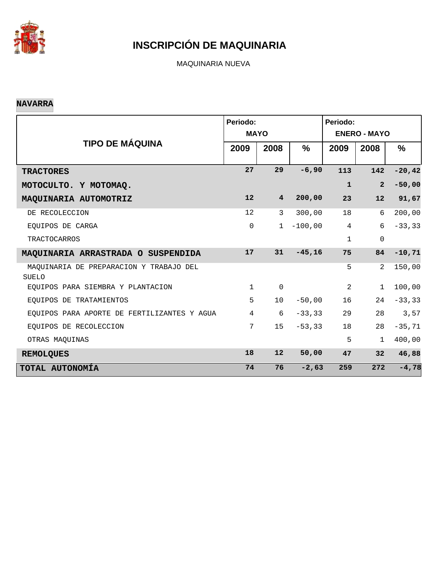

MAQUINARIA NUEVA

#### **NAVARRA**

|                                                         | Periodo:<br><b>MAYO</b> |                 |           | Periodo:<br><b>ENERO - MAYO</b> |                |               |  |  |
|---------------------------------------------------------|-------------------------|-----------------|-----------|---------------------------------|----------------|---------------|--|--|
| <b>TIPO DE MÁQUINA</b>                                  | 2009                    | 2008            | %         | 2009                            | 2008           | $\frac{9}{6}$ |  |  |
| <b>TRACTORES</b>                                        | 27                      | 29              | $-6,90$   | 113                             | 142            | $-20, 42$     |  |  |
| MOTOCULTO. Y MOTOMAQ.                                   |                         |                 |           | $\mathbf{1}$                    | $\overline{a}$ | $-50,00$      |  |  |
| MAQUINARIA AUTOMOTRIZ                                   | $12 \overline{ }$       | $4\overline{ }$ | 200,00    | 23                              | 12             | 91,67         |  |  |
| DE RECOLECCION                                          | 12                      | 3               | 300,00    | 18                              | 6              | 200,00        |  |  |
| EQUIPOS DE CARGA                                        | $\mathsf 0$             | $\mathbf{1}$    | $-100,00$ | $\overline{4}$                  | 6              | $-33, 33$     |  |  |
| <b>TRACTOCARROS</b>                                     |                         |                 |           | $\mathbf{1}$                    | $\mathbf 0$    |               |  |  |
| MAQUINARIA ARRASTRADA O SUSPENDIDA                      | 17                      | 31              | $-45, 16$ | 75                              | 84             | $-10,71$      |  |  |
| MAQUINARIA DE PREPARACION Y TRABAJO DEL<br><b>SUELO</b> |                         |                 |           | 5                               | 2              | 150,00        |  |  |
| EOUIPOS PARA SIEMBRA Y PLANTACION                       | $\mathbf{1}$            | 0               |           | $\overline{2}$                  | $\mathbf{1}$   | 100,00        |  |  |
| EOUIPOS DE TRATAMIENTOS                                 | 5                       | 10              | $-50,00$  | 16                              | 24             | $-33, 33$     |  |  |
| EQUIPOS PARA APORTE DE FERTILIZANTES Y AGUA             | 4                       | 6               | $-33, 33$ | 29                              | 28             | 3,57          |  |  |
| EOUIPOS DE RECOLECCION                                  | 7                       | 15              | $-53, 33$ | 18                              | 28             | $-35,71$      |  |  |
| OTRAS MAQUINAS                                          |                         |                 |           | 5                               | $\mathbf{1}$   | 400,00        |  |  |
| <b>REMOLQUES</b>                                        | 18                      | 12              | 50,00     | 47                              | 32             | 46,88         |  |  |
| TOTAL AUTONOMÍA                                         | 74                      | 76              | $-2,63$   | 259                             | 272            | $-4,78$       |  |  |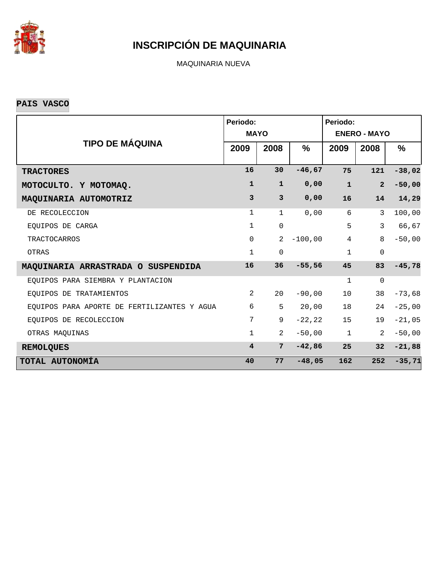

MAQUINARIA NUEVA

**PAIS VASCO**

|                                             | Periodo:<br><b>MAYO</b> |                |               | Periodo:<br><b>ENERO - MAYO</b> |                |           |  |  |
|---------------------------------------------|-------------------------|----------------|---------------|---------------------------------|----------------|-----------|--|--|
| <b>TIPO DE MÁQUINA</b>                      | 2009                    | 2008           | $\frac{9}{6}$ | 2009                            | 2008           | $\%$      |  |  |
| <b>TRACTORES</b>                            | 16                      | 30             | $-46,67$      | 75                              | 121            | $-38,02$  |  |  |
| MOTOCULTO. Y MOTOMAQ.                       | 1                       | $\mathbf{1}$   | 0,00          | $\mathbf{1}$                    | $\overline{a}$ | $-50,00$  |  |  |
| MAQUINARIA AUTOMOTRIZ                       | 3                       | $\mathbf{3}$   | 0,00          | 16                              | 14             | 14,29     |  |  |
| DE RECOLECCION                              | $\mathbf 1$             | $\mathbf{1}$   | 0,00          | 6                               | 3              | 100,00    |  |  |
| EOUIPOS DE CARGA                            | $\mathbf 1$             | $\mathbf 0$    |               | 5                               | 3              | 66,67     |  |  |
| <b>TRACTOCARROS</b>                         | $\Omega$                | 2              | $-100,00$     | $\overline{4}$                  | 8              | $-50,00$  |  |  |
| <b>OTRAS</b>                                | $\mathbf{1}$            | $\mathbf 0$    |               | $\mathbf{1}$                    | $\mathbf 0$    |           |  |  |
| MAQUINARIA ARRASTRADA O SUSPENDIDA          | 16                      | 36             | $-55,56$      | 45                              | 83             | $-45,78$  |  |  |
| EQUIPOS PARA SIEMBRA Y PLANTACION           |                         |                |               | $\mathbf{1}$                    | $\mathbf 0$    |           |  |  |
| EQUIPOS DE TRATAMIENTOS                     | 2                       | 20             | $-90,00$      | 10                              | 38             | $-73,68$  |  |  |
| EQUIPOS PARA APORTE DE FERTILIZANTES Y AGUA | 6                       | 5              | 20,00         | 18                              | 24             | $-25,00$  |  |  |
| EQUIPOS DE RECOLECCION                      | 7                       | 9              | $-22, 22$     | 15                              | 19             | $-21,05$  |  |  |
| OTRAS MAQUINAS                              | $\mathbf{1}$            | $\overline{2}$ | $-50,00$      | $\mathbf{1}$                    | 2              | $-50,00$  |  |  |
| <b>REMOLQUES</b>                            | $\overline{\mathbf{4}}$ | $7\phantom{.}$ | $-42,86$      | 25                              | 32             | $-21,88$  |  |  |
| TOTAL AUTONOMÍA                             | 40                      | 77             | $-48,05$      | 162                             | 252            | $-35, 71$ |  |  |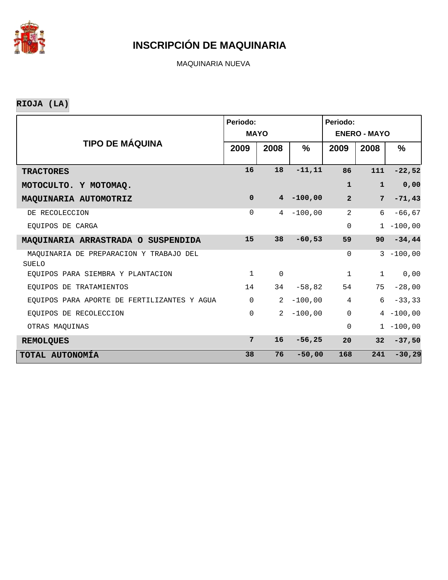

MAQUINARIA NUEVA

**RIOJA (LA)**

|                                                         | Periodo:     |                 |               | Periodo:            |                 |              |  |  |  |
|---------------------------------------------------------|--------------|-----------------|---------------|---------------------|-----------------|--------------|--|--|--|
|                                                         |              | <b>MAYO</b>     |               | <b>ENERO - MAYO</b> |                 |              |  |  |  |
| <b>TIPO DE MÁQUINA</b>                                  | 2009         | 2008            | $\frac{9}{6}$ | 2009                | 2008            | %            |  |  |  |
|                                                         |              |                 |               |                     |                 |              |  |  |  |
| <b>TRACTORES</b>                                        | 16           | 18              | $-11, 11$     | 86                  | 111             | $-22,52$     |  |  |  |
| MOTOCULTO. Y MOTOMAQ.                                   |              |                 |               | $\mathbf{1}$        | $\mathbf{1}$    | 0,00         |  |  |  |
| MAQUINARIA AUTOMOTRIZ                                   | $\mathbf 0$  | $\overline{4}$  | $-100,00$     | $\overline{2}$      | $7\phantom{.0}$ | $-71,43$     |  |  |  |
| DE RECOLECCION                                          | $\Omega$     | $4\overline{ }$ | $-100.00$     | 2                   | 6               | $-66, 67$    |  |  |  |
| EQUIPOS DE CARGA                                        |              |                 |               | $\Omega$            |                 | $1 - 100,00$ |  |  |  |
| MAQUINARIA ARRASTRADA O SUSPENDIDA                      | 15           | 38              | $-60,53$      | 59                  | 90              | $-34, 44$    |  |  |  |
| MAQUINARIA DE PREPARACION Y TRABAJO DEL<br><b>SUELO</b> |              |                 |               | $\mathsf{O}$        |                 | $3 - 100,00$ |  |  |  |
| EOUIPOS PARA SIEMBRA Y PLANTACION                       | $\mathbf{1}$ | $\Omega$        |               | $\mathbf 1$         | $\mathbf 1$     | 0,00         |  |  |  |
| EOUIPOS DE TRATAMIENTOS                                 | 14           | 34              | $-58,82$      | 54                  | 75              | $-28,00$     |  |  |  |
| EQUIPOS PARA APORTE DE FERTILIZANTES Y AGUA             | $\Omega$     | 2               | $-100,00$     | $\overline{4}$      | 6               | $-33, 33$    |  |  |  |
| EQUIPOS DE RECOLECCION                                  | $\Omega$     | $\overline{2}$  | $-100,00$     | $\mathsf{O}$        |                 | $4 - 100,00$ |  |  |  |
| OTRAS MAQUINAS                                          |              |                 |               | $\Omega$            |                 | $1 - 100,00$ |  |  |  |
| <b>REMOLQUES</b>                                        | 7            | 16              | $-56, 25$     | 20                  | 32              | $-37,50$     |  |  |  |
| TOTAL AUTONOMÍA                                         | 38           | 76              | $-50,00$      | 168                 | 241             | $-30, 29$    |  |  |  |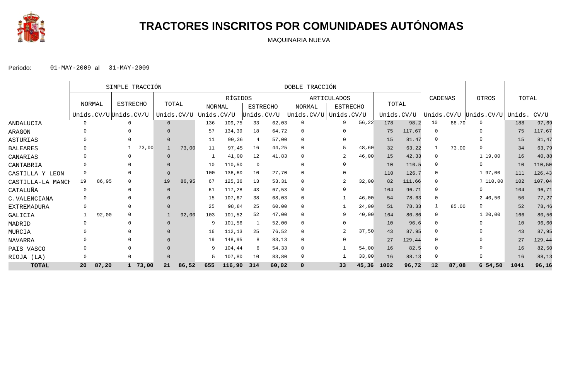

## **TRACTORES INSCRITOS POR COMUNIDADES AUTÓNOMAS**

MAQUINARIA NUEVA

|                   |                |       | SIMPLE TRACCIÓN       |           |               |       | DOBLE TRACCIÓN |         |                 |       |                       |                    |       |       |            |                |       |                       |        |        |
|-------------------|----------------|-------|-----------------------|-----------|---------------|-------|----------------|---------|-----------------|-------|-----------------------|--------------------|-------|-------|------------|----------------|-------|-----------------------|--------|--------|
|                   |                |       |                       |           |               |       |                | RÍGIDOS |                 |       |                       | <b>ARTICULADOS</b> |       |       |            | CADENAS        |       | OTROS                 | TOTAL  |        |
|                   | <b>NORMAL</b>  |       | <b>ESTRECHO</b>       |           | TOTAL         |       | <b>NORMAL</b>  |         | <b>ESTRECHO</b> |       | NORMAL                | <b>ESTRECHO</b>    |       | TOTAL |            |                |       |                       |        |        |
|                   |                |       | Unids.CV/U Unids.CV/U |           | Unids. $CV/U$ |       | Unids.CV/U     |         | Unids.CV/U      |       | Unids.CV/U Unids.CV/U |                    |       |       | Unids.CV/U |                |       | Unids.CV/U Unids.CV/U | Unids. | CV/U   |
| ANDALUCIA         | $\Omega$       |       | $\Omega$              |           | $\Omega$      |       | 136            | 109,75  | 33              | 62,03 | $\mathbf 0$           | 9                  | 56,22 | 178   | 98.2       | 10             | 88.70 | $\Omega$              | 188    | 97,69  |
| ARAGON            |                |       |                       |           |               |       | -57            | 134,39  | 18              | 64,72 | 0                     |                    |       | 75    | 117.67     | $\Omega$       |       |                       | 75     | 117,67 |
| ASTURIAS          |                |       |                       |           |               |       | 11             | 90,36   | 4               | 57,00 | $\mathbf{0}$          |                    |       | 15    | 81.47      | $\Omega$       |       |                       | 15     | 81,47  |
| BALEARES          |                |       |                       | 73,00     |               | 73,00 | 11             | 97,45   | 16              | 44,25 | $\mathbf{0}$          |                    | 48,60 | 32    | 63.22      |                | 73.00 |                       | 34     | 63,79  |
| CANARIAS          |                |       |                       |           |               |       |                | 41,00   | 12              | 41,83 | $\mathbf{0}$          |                    | 46,00 | 15    | 42.33      | $\Omega$       |       | 119,00                | 16     | 40,88  |
| CANTABRIA         |                |       |                       |           |               |       | 10             | 110,50  | $\mathbf 0$     |       | $\Omega$              | $\Omega$           |       | 10    | 110.5      |                |       |                       | 10     | 110,50 |
| CASTILLA Y LEON   | $\overline{0}$ |       |                       |           |               |       | 100            | 136,60  | 10              | 27,70 | $\mathbf 0$           |                    |       | 110   | 126.7      | $\Omega$       |       | 1 97,00               | 111    | 126,43 |
| CASTILLA-LA MANCH | 19             | 86,95 |                       |           | 19            | 86,95 | 67             | 125,36  | 13              | 53,31 | $\mathbf{0}$          |                    | 32,00 | 82    | 111.66     | - 0            |       | 1110,00               | 102    | 107,04 |
| CATALUÑA          | 0              |       |                       |           |               |       | -61            | 117,28  | 43              | 67,53 | $\mathbf 0$           | $\Omega$           |       | 104   | 96.71      |                |       | $\Omega$              | 104    | 96,71  |
| C.VALENCIANA      |                |       |                       |           |               |       | 15             | 107,67  | 38              | 68,03 | $\mathbf 0$           |                    | 46,00 | 54    | 78.63      | $\overline{0}$ |       | 240,50                | 56     | 77,27  |
| EXTREMADURA       |                |       |                       |           |               |       | 25             | 98,84   | 25              | 60,00 | $\Omega$              |                    | 24,00 | 51    | 78.33      |                | 85.00 |                       | 52     | 78,46  |
| GALICIA           |                | 92,00 |                       |           |               | 92,00 | 103            | 101,52  | 52              | 47,00 | $\Omega$              | 9                  | 40,00 | 164   | 80.86      | $\Omega$       |       | 1, 20, 00             | 166    | 80,56  |
| MADRID            |                |       |                       |           |               |       |                | 101,56  |                 | 52,00 | $\Omega$              |                    |       | 10    | 96.6       | $\Omega$       |       |                       | 10     | 96,60  |
| MURCIA            |                |       |                       |           |               |       | 16             | 112,13  | 25              | 76,52 | 0                     |                    | 37,50 | 43    | 87.95      |                |       |                       | 43     | 87,95  |
| NAVARRA           |                |       |                       |           |               |       | 19             | 148,95  | 8               | 83,13 | $\mathbf{0}$          | $\Omega$           |       | 27    | 129.44     | $\Omega$       |       |                       | 27     | 129,44 |
| PAIS VASCO        |                |       |                       |           |               |       |                | 104,44  | 6               | 54,33 | $\mathbf{0}$          |                    | 54,00 | 16    | 82.5       | - 0            |       |                       | 16     | 82,50  |
| RIOJA<br>(LA)     |                |       |                       |           |               |       |                | 107,80  | 10              | 83,80 | 0                     |                    | 33,00 | 16    | 88.13      | - 0            |       |                       | 16     | 88,13  |
| <b>TOTAL</b>      | 20             | 87,20 |                       | 1, 73, 00 | 21            | 86,52 | 655            | 116,90  | 314             | 60,02 | 0                     | 33                 | 45,36 | 1002  | 96,72      | 12             | 87,08 | 654,50                | 1041   | 96,16  |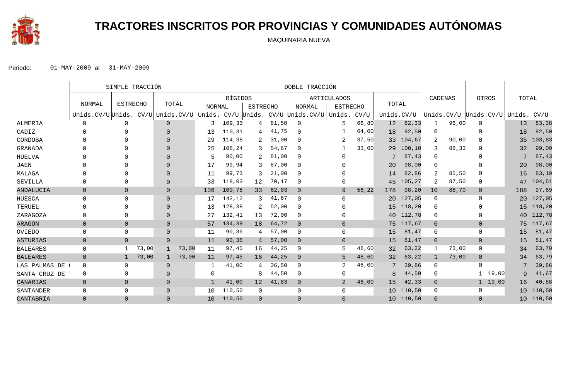

# **TRACTORES INSCRITOS POR PROVINCIAS Y COMUNIDADES AUTÓNOMAS**

MAQUINARIA NUEVA

|                 |                                                                                  | SIMPLE TRACCIÓN |          | DOBLE TRACCIÓN |         |                 |       |                |                 |       |                 |           |                |       |                       |                 |        |
|-----------------|----------------------------------------------------------------------------------|-----------------|----------|----------------|---------|-----------------|-------|----------------|-----------------|-------|-----------------|-----------|----------------|-------|-----------------------|-----------------|--------|
|                 |                                                                                  |                 |          |                | RÍGIDOS |                 |       |                | ARTICULADOS     |       |                 |           | CADENAS        |       | OTROS                 | TOTAL           |        |
|                 | <b>NORMAL</b>                                                                    | <b>ESTRECHO</b> | TOTAL    | <b>NORMAL</b>  |         | <b>ESTRECHO</b> |       | NORMAL         | <b>ESTRECHO</b> |       | TOTAL           |           |                |       |                       |                 |        |
|                 | Unids.CV/U Unids. CV/U Unids.CV/U Unids. CV/U Unids. CV/U Unids.CV/U Unids. CV/U |                 |          |                |         |                 |       |                |                 |       | Unids.CV/U      |           |                |       | Unids.CV/U Unids.CV/U | Unids.          | CV/U   |
| ALMERIA         | $\Omega$                                                                         |                 | $\Omega$ | 3              | 109,33  | 4               | 81,50 | 0              | 5               | 66,80 | 12              | 82,33     | 1              | 96,00 | 0                     | 13              | 83,38  |
| CADIZ           |                                                                                  |                 |          | 13             | 110,31  | 4               | 41,75 | $\Omega$       |                 | 64,00 | 18              | 92,50     | 0              |       | O                     | 18              | 92,50  |
| CORDOBA         |                                                                                  |                 |          | 29             | 114,38  |                 | 31,00 | $\Omega$       |                 | 37,50 | 33 <sup>2</sup> | 104,67    | 2              | 90,00 | $\Omega$              | 35              | 103,83 |
| GRANADA         |                                                                                  |                 |          | 25             | 108,24  |                 | 54,67 | $\Omega$       |                 | 33,00 | 29              | 100,10    | 3              | 88,33 | $\Omega$              | 32              | 99,00  |
| HUELVA          |                                                                                  |                 |          | 5              | 90,00   |                 | 81,00 | $\Omega$       |                 |       |                 | 87,43     | 0              |       |                       |                 | 87,43  |
| JAEN            |                                                                                  |                 |          | 17             | 99,94   |                 | 87,00 | $\Omega$       |                 |       | 20              | 98,00     | 0              |       |                       | 20              | 98,00  |
| MALAGA          |                                                                                  |                 |          | 11             | 99,73   |                 | 21,00 | $\Omega$       |                 |       | 14              | 82,86     | 2              | 85,50 |                       | 16              | 83,19  |
| SEVILLA         |                                                                                  |                 |          | 33             | 118,03  | 12              | 70,17 | $\Omega$       |                 |       | 45              | 105,27    | 2              | 87,50 | 0                     | 47              | 104,51 |
| ANDALUCIA       | $\overline{0}$                                                                   | $\overline{0}$  | $\Omega$ | 136            | 109,75  | 33              | 62,03 | $\overline{0}$ | 9               | 56,22 | 178             | 98,20     | 10             | 88,70 | $\overline{0}$        | 188             | 97,69  |
| HUESCA          | $\Omega$                                                                         |                 | O        | 17             | 142,12  |                 | 41,67 | $\Omega$       | $\Omega$        |       | 20              | 127,05    | $\mathbf 0$    |       | $\Omega$              | 20              | 127,05 |
| TERUEL          |                                                                                  |                 |          | 13             | 128,38  |                 | 52,00 | $\Omega$       |                 |       | 15 <sub>1</sub> | 118,20    | $\Omega$       |       |                       | 15              | 118,20 |
| ZARAGOZA        | O                                                                                |                 |          | 27             | 132,41  | 13              | 72,00 | $\Omega$       | O               |       |                 | 40 112,78 | 0              |       |                       | 40              | 112,78 |
| ARAGON          | $\overline{0}$                                                                   | $\mathbf 0$     | $\Omega$ | 57             | 134,39  | 18              | 64,72 | $\overline{0}$ | $\overline{0}$  |       | 75              | 117,67    | $\overline{0}$ |       | $\mathbf 0$           | 75              | 117,67 |
| OVIEDO          | $\Omega$                                                                         | $\Omega$        | 0        | 11             | 90,36   | 4               | 57,00 | $\Omega$       | $\mathbf 0$     |       | 15              | 81,47     | 0              |       | $\mathbf{0}$          | 15              | 81,47  |
| ASTURIAS        | $\Omega$                                                                         | $\overline{0}$  | $\Omega$ | 11             | 90,36   | 4               | 57,00 | $\Omega$       | $\Omega$        |       | 15              | 81,47     | $\mathbf 0$    |       | $\Omega$              | 15              | 81,47  |
| BALEARES        | $\mathbf{0}$                                                                     | 73,00           | 73,00    | 11             | 97,45   | 16              | 44,25 | 0              | 5               | 48,60 | 32              | 63,22     | 1              | 73,00 | $\mathbf{0}$          | 34              | 63,79  |
| <b>BALEARES</b> | $\overline{0}$                                                                   | 73,00           | 73,00    | 11             | 97,45   | 16              | 44,25 | $\Omega$       | 5               | 48,60 | 32              | 63,22     | $\mathbf 1$    | 73,00 | $\overline{0}$        | 34              | 63,79  |
| LAS PALMAS DE   | $\Omega$                                                                         |                 | 0        |                | 41,00   |                 | 36,50 | $\Omega$       | 2               | 46,00 | 7               | 39,86     | 0              |       | $\mathbf{0}$          |                 | 39,86  |
| SANTA CRUZ DE T | $\mathbf{0}$                                                                     |                 |          | 0              |         | 8               | 44,50 | $\Omega$       | $\Omega$        |       | 8               | 44,50     | 0              |       | 19,00<br>$\mathbf{1}$ | 9               | 41,67  |
| CANARIAS        | $\Omega$                                                                         | $\overline{0}$  | $\Omega$ | 1              | 41,00   | 12              | 41,83 | $\overline{0}$ | 2               | 46,00 | 15              | 42,33     | $\overline{0}$ |       | 1 19,00               | 16              | 40,88  |
| SANTANDER       | $\Omega$                                                                         | $\Omega$        |          | 10             | 110,50  | $\Omega$        |       | $\Omega$       | $\Omega$        |       | 10 <sup>°</sup> | 110,50    | 0              |       | 0                     | 10 <sup>°</sup> | 110,50 |
| CANTABRIA       | $\Omega$                                                                         | $\Omega$        | 0        | 10             | 110,50  | $\Omega$        |       | $\Omega$       | $\Omega$        |       |                 | 10 110,50 | $\Omega$       |       | $\Omega$              | 10 <sup>°</sup> | 110,50 |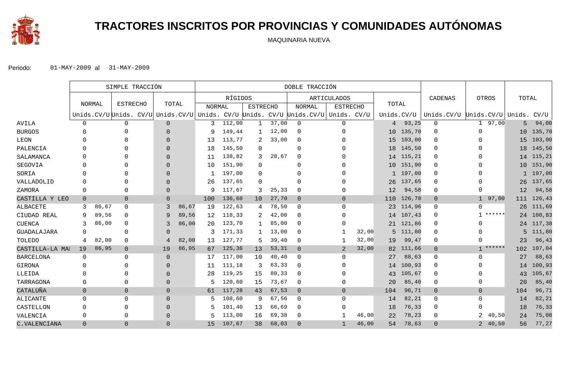

# **TRACTORES INSCRITOS POR PROVINCIAS Y COMUNIDADES AUTÓNOMAS**

MAQUINARIA NUEVA

|                  | SIMPLE TRACCIÓN |               |                                                                                  |          |       | DOBLE TRACCIÓN |         |                 |       |                |                    |       |                 |           |                                   |                       |                 |           |
|------------------|-----------------|---------------|----------------------------------------------------------------------------------|----------|-------|----------------|---------|-----------------|-------|----------------|--------------------|-------|-----------------|-----------|-----------------------------------|-----------------------|-----------------|-----------|
|                  |                 |               |                                                                                  |          |       |                | RÍGIDOS |                 |       |                | <b>ARTICULADOS</b> |       |                 |           | CADENAS                           | <b>OTROS</b>          | TOTAL           |           |
|                  |                 | <b>NORMAL</b> | <b>ESTRECHO</b>                                                                  | TOTAL    |       | NORMAL         |         | <b>ESTRECHO</b> |       | <b>NORMAL</b>  | <b>ESTRECHO</b>    |       | TOTAL           |           |                                   |                       |                 |           |
|                  |                 |               | Unids.CV/U Unids. CV/U Unids.CV/U Unids. CV/U Unids. CV/U Unids.CV/U Unids. CV/U |          |       |                |         |                 |       |                |                    |       | Unids.CV/U      |           | Unids.CV/U Unids.CV/U Unids. CV/U |                       |                 |           |
| AVILA            | $\mathbf 0$     |               | $\mathbf{0}$                                                                     | $\Omega$ |       | 3              | 112,00  |                 | 37,00 | $\Omega$       | $\mathbf 0$        |       | $4\overline{ }$ | 93,25     | $\mathbf 0$                       | 97,00<br>$\mathbf{1}$ | $5^{\circ}$     | 94,00     |
| <b>BURGOS</b>    |                 |               | 0                                                                                | $\Omega$ |       | 9              | 149,44  |                 | 12,00 | $\mathbf 0$    | U                  |       |                 | 10 135,70 | $\Omega$                          | <sup>0</sup>          | 10              | 135,70    |
| LEON             |                 |               |                                                                                  | $\Omega$ |       | 13             | 113,77  |                 | 33,00 | $\mathbf 0$    |                    |       | 15              | 103,00    | $\Omega$                          |                       | 15              | 103,00    |
| PALENCIA         |                 |               | $\Omega$                                                                         | $\Omega$ |       | 18             | 145,50  | $\Omega$        |       | $\mathbf 0$    |                    |       |                 | 18 145,50 | $\Omega$                          |                       | 18              | 145,50    |
| SALAMANCA        |                 |               |                                                                                  | $\Omega$ |       | -11            | 138,82  | 3               | 28,67 | $\Omega$       |                    |       |                 | 14 115,21 | 0                                 |                       |                 | 14 115,21 |
| SEGOVIA          |                 |               |                                                                                  | $\Omega$ |       | 10             | 151,90  | $\Omega$        |       | $\Omega$       |                    |       |                 | 10 151,90 | $\Omega$                          |                       | 10 <sup>°</sup> | 151,90    |
| SORIA            |                 |               |                                                                                  | $\Omega$ |       |                | 197,00  | $\Omega$        |       | 0              |                    |       |                 | 1 197,00  | 0                                 |                       | $\mathbf{1}$    | 197,00    |
| VALLADOLID       |                 |               | 0                                                                                | $\Omega$ |       | 26             | 137,65  | $\Omega$        |       | $\Omega$       |                    |       |                 | 26 137,65 | 0                                 |                       | 26              | 137,65    |
| ZAMORA           | $\Omega$        |               | 0                                                                                | $\Omega$ |       | 9              | 117,67  |                 | 25,33 | $\mathbf 0$    | 0                  |       | 12              | 94,58     | 0                                 | 0                     | 12              | 94,58     |
| CASTILLA Y LEO   | $\overline{0}$  |               | $\mathbf 0$                                                                      | $\Omega$ |       | 100            | 136,60  | 10              | 27,70 | $\overline{0}$ | $\overline{0}$     |       | 110             | 126,70    | $\overline{0}$                    | 97,00<br>$\mathbf{1}$ | 111             | 126,43    |
| <b>ALBACETE</b>  | 3               | 86,67         | $\mathbf 0$                                                                      | 3        | 86,67 | 19             | 122,63  | 4               | 78,50 | $\mathbf 0$    | $\Omega$           |       |                 | 23 114,96 | 0                                 | $\mathbf{0}$          | 26              | 111,69    |
| CIUDAD REAL      | 9               | 89,56         | $\mathbf{0}$                                                                     | 9        | 89,56 | 12             | 118,33  | 2               | 42,00 | $\mathbf 0$    | U                  |       |                 | 14 107,43 | 0                                 | ******                |                 | 24 100,83 |
| <b>CUENCA</b>    | 3               | 86,00         | 0                                                                                | 3        | 86,00 | 20             | 123,70  |                 | 85,00 | 0              |                    |       |                 | 21 121,86 | 0                                 |                       |                 | 24 117,38 |
| GUADALAJARA      |                 |               | 0                                                                                | $\Omega$ |       | 3              | 171,33  |                 | 13,00 | $\Omega$       |                    | 32,00 | $5^{\circ}$     | 111,80    | 0                                 |                       | 5               | 111,80    |
| TOLEDO           | 4               | 82,00         | 0                                                                                | 4        | 82,00 | 13             | 127,77  |                 | 39,40 | $\mathbf 0$    |                    | 32,00 | 19              | 99,47     | 0                                 | 0                     | 23              | 96,43     |
| CASTILLA-LA MAI  | 19              | 86,95         | $\overline{0}$                                                                   | 19       | 86,95 | 67             | 125,36  | 13              | 53,31 | $\Omega$       | 2                  | 32,00 | 82              | 111,66    | $\overline{0}$                    | $1******$             | 102             | 107,04    |
| <b>BARCELONA</b> | $\Omega$        |               | $\Omega$                                                                         | $\Omega$ |       | 17             | 117,00  | 10              | 40,40 | $\Omega$       | 0                  |       | 27              | 88,63     | 0                                 | $\Omega$              | 27              | 88,63     |
| GIRONA           | ∩               |               | $\Omega$                                                                         | $\Omega$ |       | 11             | 111,18  |                 | 63,33 | $\mathbf 0$    |                    |       |                 | 14 100,93 | 0                                 | ∩                     | 14              | 100,93    |
| LLEIDA           |                 |               | $\Omega$                                                                         | $\Omega$ |       | 28             | 119,25  | 15              | 80,33 | $\mathbf 0$    |                    |       |                 | 43 105,67 | $\Omega$                          |                       | 43              | 105,67    |
| TARRAGONA        | $\Omega$        |               | 0                                                                                | $\Omega$ |       | 5              | 120,60  | 15              | 73,67 | 0              | $\Omega$           |       | 20              | 85,40     | 0                                 | $\mathbf 0$           | 20              | 85,40     |
| CATALUÑA         | $\overline{0}$  |               | $\overline{0}$                                                                   | $\Omega$ |       | 61             | 117,28  | 43              | 67,53 | $\overline{0}$ | $\overline{0}$     |       | 104             | 96,71     | $\overline{0}$                    | $\overline{0}$        | 104             | 96,71     |
| ALICANTE         | $\Omega$        |               | $\mathbf 0$                                                                      | $\Omega$ |       | 5              | 108,60  | 9               | 67,56 | $\mathbf 0$    | $\Omega$           |       | 14              | 82,21     | $\mathbf 0$                       | $\mathbf 0$           | 14              | 82,21     |
| CASTELLON        | $\Omega$        |               | 0                                                                                | $\Omega$ |       | 5              | 101,40  | 13              | 66,69 | $\mathbf 0$    | U                  |       | 18              | 76,33     | $\Omega$                          | <sup>n</sup>          | 18              | 76,33     |
| VALENCIA         | $\Omega$        |               | 0                                                                                | $\Omega$ |       | 5              | 113,00  | 16              | 69,38 | 0              |                    | 46,00 | 22              | 78,23     | 0                                 | 2<br>40,50            | 24              | 75,08     |
| C. VALENCIANA    | $\Omega$        |               | $\Omega$                                                                         | $\Omega$ |       | 15             | 107,67  | 38              | 68,03 | $\Omega$       | -1                 | 46,00 | 54              | 78,63     | $\Omega$                          | 2 40,50               | 56              | 77,27     |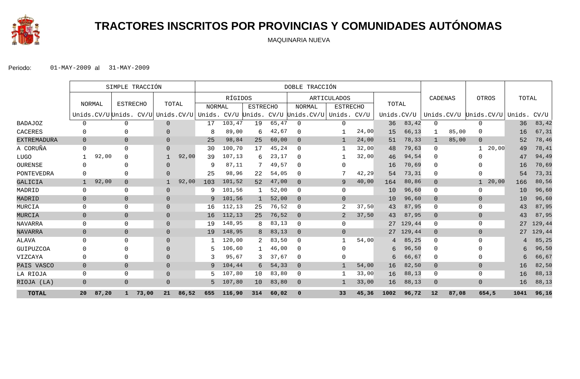

# **TRACTORES INSCRITOS POR PROVINCIAS Y COMUNIDADES AUTÓNOMAS**

MAQUINARIA NUEVA

|                    | SIMPLE TRACCIÓN |        |                 |       |                |       | DOBLE TRACCIÓN |         |                 |       |                                                                                  |                    |       |            |        |                |       |                              |       |        |
|--------------------|-----------------|--------|-----------------|-------|----------------|-------|----------------|---------|-----------------|-------|----------------------------------------------------------------------------------|--------------------|-------|------------|--------|----------------|-------|------------------------------|-------|--------|
|                    |                 |        |                 |       |                |       |                | RÍGIDOS |                 |       |                                                                                  | <b>ARTICULADOS</b> |       |            |        | CADENAS        |       | OTROS                        | TOTAL |        |
|                    |                 | NORMAL | <b>ESTRECHO</b> |       | TOTAL          |       | NORMAL         |         | <b>ESTRECHO</b> |       | NORMAL                                                                           | <b>ESTRECHO</b>    |       | TOTAL      |        |                |       |                              |       |        |
|                    |                 |        |                 |       |                |       |                |         |                 |       | Unids.CV/U Unids. CV/U Unids.CV/U Unids. CV/U Unids. CV/U Unids.CV/U Unids. CV/U |                    |       | Unids.CV/U |        |                |       | Unids.CV/U Unids.CV/U Unids. |       | CV/U   |
| <b>BADAJOZ</b>     | $\Omega$        |        | $\Omega$        |       | $\overline{0}$ |       | 17             | 103,47  | 19              | 65,47 | $\mathbf{0}$                                                                     | $\Omega$           |       | 36         | 83,42  | $\mathbf{0}$   |       | $\mathbf 0$                  | 36    | 83,42  |
| CACERES            | $\Omega$        |        |                 |       | $\Omega$       |       | 8              | 89,00   | 6               | 42,67 | 0                                                                                |                    | 24,00 | 15         | 66,13  |                | 85,00 | $\Omega$                     | 16    | 67,31  |
| <b>EXTREMADURA</b> | $\Omega$        |        | $\overline{0}$  |       | $\overline{0}$ |       | 25             | 98,84   | 25              | 60,00 | $\overline{0}$                                                                   |                    | 24,00 | 51         | 78,33  |                | 85,00 | $\Omega$                     | 52    | 78,46  |
| A CORUÑA           | $\Omega$        |        | $\Omega$        |       | $\Omega$       |       | 30             | 100,70  | 17              | 45,24 | $\Omega$                                                                         |                    | 32,00 | 48         | 79,63  | $\mathbf 0$    |       | 20,00                        | 49    | 78,41  |
| LUGO               |                 | 92,00  | $\Omega$        |       |                | 92,00 | 39             | 107,13  | 6               | 23,17 | $\Omega$                                                                         |                    | 32,00 | 46         | 94,54  | $\mathbf 0$    |       | $\Omega$                     | 47    | 94,49  |
| OURENSE            | $\Omega$        |        |                 |       | $\Omega$       |       | 9              | 87,11   |                 | 49,57 | $\Omega$                                                                         | $\Omega$           |       | 16         | 70,69  | $\Omega$       |       | <sup>0</sup>                 | 16    | 70,69  |
| PONTEVEDRA         | $\Omega$        |        |                 |       | $\Omega$       |       | 25             | 98,96   | 22              | 54,05 | $\Omega$                                                                         |                    | 42,29 | 54         | 73,31  | $\mathbf 0$    |       | $\Omega$                     | 54    | 73,31  |
| GALICIA            | $\mathbf{1}$    | 92,00  | $\overline{0}$  |       |                | 92,00 | 103            | 101,52  | 52              | 47,00 | $\overline{0}$                                                                   | 9                  | 40,00 | 164        | 80,86  | $\overline{0}$ |       | 20,00                        | 166   | 80,56  |
| MADRID             | 0               |        | $\mathbf 0$     |       | $\overline{0}$ |       | 9              | 101,56  |                 | 52,00 | 0                                                                                | $\mathbf 0$        |       | 10         | 96,60  | $\mathbf 0$    |       | $\mathbf 0$                  | 10    | 96,60  |
| MADRID             | $\Omega$        |        | $\mathbf 0$     |       | $\overline{0}$ |       | 9              | 101,56  |                 | 52,00 | $\overline{0}$                                                                   | $\Omega$           |       | 10         | 96,60  | $\mathbf 0$    |       | $\overline{0}$               | 10    | 96,60  |
| MURCIA             | $\Omega$        |        | 0               |       | $\mathbf{0}$   |       | 16             | 112,13  | 25              | 76,52 | 0                                                                                | $\overline{2}$     | 37,50 | 43         | 87,95  | $\mathbf{0}$   |       | $\mathbf 0$                  | 43    | 87,95  |
| MURCIA             | $\overline{0}$  |        | $\overline{0}$  |       | $\overline{0}$ |       | 16             | 112,13  | 25              | 76,52 | $\overline{0}$                                                                   | 2                  | 37,50 | 43         | 87,95  | $\overline{0}$ |       | $\overline{0}$               | 43    | 87,95  |
| NAVARRA            | 0               |        | $\mathbf 0$     |       | $\mathbf{0}$   |       | 19             | 148,95  | 8               | 83,13 | 0                                                                                | $\Omega$           |       | 27         | 129,44 | $\mathbf{0}$   |       | $\mathbf 0$                  | 27    | 129,44 |
| <b>NAVARRA</b>     | $\overline{0}$  |        | $\mathbf 0$     |       | $\overline{0}$ |       | 19             | 148,95  | 8               | 83,13 | $\overline{0}$                                                                   | $\Omega$           |       | 27         | 129,44 | $\mathbf 0$    |       | $\overline{0}$               | 27    | 129,44 |
| ALAVA              | $\Omega$        |        | $\Omega$        |       | $\Omega$       |       |                | 120,00  | 2               | 83,50 | $\Omega$                                                                         |                    | 54,00 | 4          | 85,25  | $\mathbf{0}$   |       | $\Omega$                     | 4     | 85,25  |
| GUIPUZCOA          | $\Omega$        |        |                 |       | $\overline{0}$ |       | 5              | 106,60  |                 | 46,00 | $\Omega$                                                                         | $\Omega$           |       | 6          | 96,50  | $\mathbf{0}$   |       | <sup>n</sup>                 | 6     | 96,50  |
| VIZCAYA            | $\Omega$        |        |                 |       | $\Omega$       |       | 3              | 95,67   | 3.              | 37,67 | $\Omega$                                                                         | $\Omega$           |       | 6          | 66,67  | $\mathbf 0$    |       | $\Omega$                     | 6     | 66,67  |
| PAIS VASCO         | $\overline{0}$  |        | $\mathbf 0$     |       | $\overline{0}$ |       | 9              | 104,44  | 6               | 54,33 | $\overline{0}$                                                                   |                    | 54,00 | 16         | 82,50  | $\mathbf 0$    |       | $\mathbf{0}$                 | 16    | 82,50  |
| LA RIOJA           | $\Omega$        |        | $\Omega$        |       | $\mathbf{0}$   |       | 5              | 107,80  | 10              | 83,80 | 0                                                                                | -1                 | 33,00 | 16         | 88,13  | 0              |       | $\Omega$                     | 16    | 88,13  |
| RIOJA (LA)         | $\overline{0}$  |        | $\overline{0}$  |       | $\overline{0}$ |       | 5              | 107,80  | 10              | 83,80 | $\overline{0}$                                                                   |                    | 33,00 | 16         | 88,13  | $\overline{0}$ |       | $\overline{0}$               | 16    | 88,13  |
| <b>TOTAL</b>       | 20              | 87,20  | $\mathbf{1}$    | 73,00 | 21             | 86,52 | 655            | 116,90  | 314             | 60,02 | $\mathbf 0$                                                                      | 33                 | 45,36 | 1002       | 96,72  | 12             | 87,08 | 654,5                        | 1041  | 96, 16 |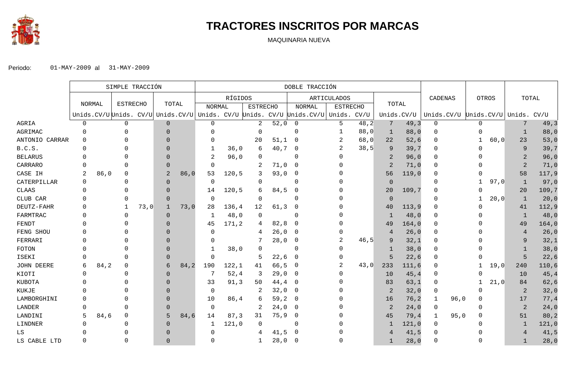

## **TRACTORES INSCRITOS POR MARCAS**

MAQUINARIA NUEVA

|                | SIMPLE TRACCIÓN |      |                 |      |                | DOBLE TRACCIÓN |               |         |                 |          |                                                                                  |                 |       |                |       |              |                                   |                |       |
|----------------|-----------------|------|-----------------|------|----------------|----------------|---------------|---------|-----------------|----------|----------------------------------------------------------------------------------|-----------------|-------|----------------|-------|--------------|-----------------------------------|----------------|-------|
|                |                 |      |                 |      |                |                |               | RÍGIDOS |                 |          |                                                                                  | ARTICULADOS     |       |                |       | CADENAS      | <b>OTROS</b>                      |                | TOTAL |
|                | NORMAL          |      | <b>ESTRECHO</b> |      | TOTAL          |                | <b>NORMAL</b> |         | <b>ESTRECHO</b> |          | <b>NORMAL</b>                                                                    | <b>ESTRECHO</b> |       | TOTAL          |       |              |                                   |                |       |
|                |                 |      |                 |      |                |                |               |         |                 |          | Unids.CV/U Unids. CV/U Unids.CV/U Unids. CV/U Unids. CV/U Unids.CV/U Unids. CV/U |                 |       | Unids.CV/U     |       |              | Unids.CV/U Unids.CV/U Unids. CV/U |                |       |
| AGRIA          | $\Omega$        |      | $\mathbf 0$     |      | $\overline{0}$ |                | $\mathbf 0$   |         | 2               | 52,0     | $\mathbf 0$                                                                      | 5               | 48,2  | 7              | 49,3  | $\mathbf 0$  | 0                                 | 7              | 49,3  |
| AGRIMAC        | $\Omega$        |      | $\Omega$        |      | $\Omega$       |                | $\Omega$      |         | $\overline{0}$  |          | $\Omega$                                                                         |                 | 88,0  | -1             | 88,0  | $\Omega$     | 0                                 | $\mathbf{1}$   | 88,0  |
| ANTONIO CARRAR | $\Omega$        |      |                 |      | $\Omega$       |                | $\Omega$      |         | 20              | 51,1     | - 0                                                                              | 2               | 68,0  | 22             | 52,6  | $\Omega$     | 60, 0                             | 23             | 53,0  |
| B.C.S.         | $\Omega$        |      |                 |      | $\Omega$       |                | 1             | 36,0    | 6               | 40,7     | 0                                                                                |                 | 38,5  | 9              | 39,7  | <sup>n</sup> |                                   | 9              | 39,7  |
| <b>BELARUS</b> |                 |      |                 |      | $\Omega$       |                | 2             | 96,0    | $\Omega$        |          | $\Omega$                                                                         |                 |       | -2             | 96,0  |              |                                   | $\overline{2}$ | 96,0  |
| CARRARO        |                 |      |                 |      | $\Omega$       |                | $\mathbf 0$   |         | 2               | 71,0     | - 0                                                                              |                 |       | 2              | 71,0  |              |                                   | $\overline{2}$ | 71,0  |
| CASE IH        |                 | 86,0 | $\Omega$        |      | 2              | 86,0           | 53            | 120, 5  | 3               | 93,0     | 0                                                                                |                 |       | 56             | 119,0 |              |                                   | 58             | 117,9 |
| CATERPILLAR    | $\Omega$        |      | $\Omega$        |      | $\Omega$       |                | $\Omega$      |         | $\Omega$        |          | $\Omega$                                                                         |                 |       | $\Omega$       |       |              | 97,0                              | 1              | 97,0  |
| <b>CLAAS</b>   |                 |      |                 |      | $\Omega$       |                | 14            | 120, 5  | 6               | 84,5     | 0                                                                                |                 |       | 20             | 109,7 |              |                                   | 20             | 109,7 |
| CLUB CAR       | $\Omega$        |      |                 |      | $\Omega$       |                | $\Omega$      |         | $\Omega$        |          | $\Omega$                                                                         |                 |       | $\Omega$       |       |              | 20, 0                             | $\mathbf{1}$   | 20,0  |
| DEUTZ-FAHR     | $\Omega$        |      | $\mathbf{1}$    | 73,0 | $\mathbf{1}$   | 73,0           | 28            | 136,4   | 12              | 61,3     | -0                                                                               |                 |       | 40             | 113,9 |              |                                   | 41             | 112,9 |
| FARMTRAC       |                 |      | $\Omega$        |      | $\Omega$       |                | -1            | 48,0    | $\overline{0}$  |          | $\overline{0}$                                                                   |                 |       |                | 48,0  | $\Omega$     |                                   | 1              | 48,0  |
| FENDT          |                 |      |                 |      | $\Omega$       |                | 45            | 171,2   | 4               | 82,8     | 0                                                                                |                 |       | 49             | 164,0 |              |                                   | 49             | 164,0 |
| FENG SHOU      |                 |      |                 |      | $\Omega$       |                | $\Omega$      |         | 4               | 26,0     | - 0                                                                              |                 |       | $\overline{4}$ | 26,0  |              |                                   |                | 26,0  |
| FERRARI        | $\Omega$        |      |                 |      | $\Omega$       |                | $\Omega$      |         |                 | 28,0     | 0                                                                                |                 | 46, 5 | - 9            | 32,1  | <sup>0</sup> |                                   |                | 32,1  |
| FOTON          |                 |      |                 |      | $\Omega$       |                | $\mathbf{1}$  | 38,0    | $\Omega$        |          | $\overline{0}$                                                                   |                 |       |                | 38,0  |              |                                   |                | 38,0  |
| ISEKI          |                 |      |                 |      |                |                | $\mathbf 0$   |         | 5               | 22,6     | $\overline{0}$                                                                   |                 |       | .5             | 22,6  |              |                                   | 5              | 22,6  |
| JOHN DEERE     | 6               | 84,2 | $\Omega$        |      | 6              | 84,2           | 190           | 122,1   | 41              | 66,5     | 0                                                                                |                 | 43,0  | 233            | 111,6 | <sup>n</sup> | 19,0                              | 240            | 110,6 |
| KIOTI          | $\Omega$        |      | $\cap$          |      | $\Omega$       |                | 7             | 52, 4   | 3               | 29,0     | - 0                                                                              |                 |       | 10             | 45, 4 | $\Omega$     | U                                 | 10             | 45,4  |
| KUBOTA         |                 |      |                 |      | $\Omega$       |                | 33            | 91, 3   | 50              | 44,4     | - 0                                                                              |                 |       | 83             | 63,1  | $\Omega$     | 21,0                              | 84             | 62,6  |
| KUKJE          |                 |      |                 |      | $\Omega$       |                | $\mathbf 0$   |         | 2               | 32,0     | - 0                                                                              |                 |       | 2              | 32,0  |              |                                   | $\overline{2}$ | 32,0  |
| LAMBORGHINI    |                 |      |                 |      | $\Omega$       |                | 10            | 86,4    | 6               | $59,2$ 0 |                                                                                  |                 |       | 16             | 76, 2 | 96,0         |                                   | 17             | 77,4  |
| LANDER         | $\Omega$        |      |                 |      | $\Omega$       |                | $\mathbf 0$   |         | 2               | 24,0     | - 0                                                                              |                 |       | 2              | 24,0  | 0            | 0                                 | 2              | 24,0  |
| LANDINI        | 5               | 84,6 | $\Omega$        |      | 5              | 84,6           | 14            | 87,3    | 31              | 75,9     | 0                                                                                |                 |       | 45             | 79,4  | 95,0         | 0                                 | 51             | 80,2  |
| LINDNER        |                 |      | $\Omega$        |      | $\Omega$       |                | 1             | 121,0   | 0               |          | $\Omega$                                                                         |                 |       | -1             | 121,0 |              |                                   | 1              | 121,0 |
| LS             |                 |      |                 |      | $\Omega$       |                | $\Omega$      |         | 4               | 41,5     | - 0                                                                              |                 |       |                | 41,5  |              |                                   |                | 41,5  |
| LS CABLE LTD   | $\Omega$        |      |                 |      | $\Omega$       |                | $\Omega$      |         | -1              | 28,0     | 0                                                                                |                 |       |                | 28,0  |              |                                   |                | 28,0  |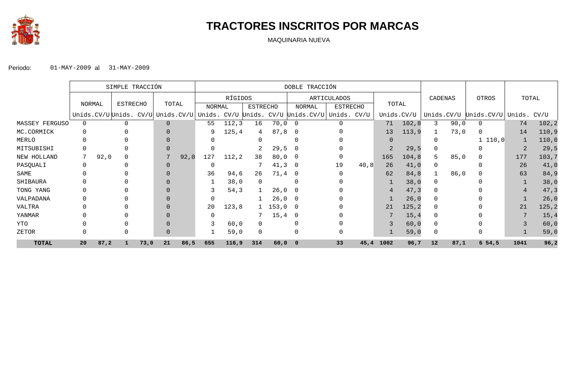

## **TRACTORES INSCRITOS POR MARCAS**

MAQUINARIA NUEVA

|                |          | SIMPLE TRACCIÓN |                 |      |          |      | DOBLE TRACCIÓN                                                                   |        |                 |              |                          |        |                 |       |          |            |       |            |               |                |       |
|----------------|----------|-----------------|-----------------|------|----------|------|----------------------------------------------------------------------------------|--------|-----------------|--------------|--------------------------|--------|-----------------|-------|----------|------------|-------|------------|---------------|----------------|-------|
|                |          |                 |                 |      |          |      | RÍGIDOS<br>ARTICULADOS                                                           |        |                 |              |                          |        |                 |       | CADENAS  |            | OTROS |            | TOTAL         |                |       |
|                | NORMAL   |                 | <b>ESTRECHO</b> |      | TOTAL    |      | NORMAL                                                                           |        | <b>ESTRECHO</b> |              |                          | NORMAL | <b>ESTRECHO</b> |       | TOTAL    |            |       |            |               |                |       |
|                |          |                 |                 |      |          |      | Unids.CV/U Unids. CV/U Unids.CV/U Unids. CV/U Unids. CV/U Unids.CV/U Unids. CV/U |        |                 |              |                          |        |                 |       |          | Unids.CV/U |       | Unids.CV/U | Unids. $CV/U$ | Unids.         | CV/U  |
| MASSEY FERGUSO | $\Omega$ |                 | $\Omega$        |      | $\Omega$ |      | 55                                                                               | 112,3  | 16              | $70$ , $0$   | $\overline{0}$           |        |                 |       | 71       | 102,8      | 3     | 90,0       | $\Omega$      | 74             | 102,2 |
| MC.CORMICK     |          |                 |                 |      |          |      | 9                                                                                | 125, 4 | 4               | 87,8         | $\overline{\phantom{0}}$ |        |                 |       | 13       | 113,9      |       | 73,0       | 0             | 14             | 110,9 |
| MERLO          |          |                 |                 |      | $\Omega$ |      |                                                                                  |        |                 |              |                          |        |                 |       | $\Omega$ |            |       |            | 1 110, 0      | 1              | 110,0 |
| MITSUBISHI     |          |                 |                 |      |          |      |                                                                                  |        |                 | 29,5         | $\overline{0}$           |        |                 |       |          | 29,5       |       |            |               | $\overline{2}$ | 29,5  |
| NEW HOLLAND    |          | 92,0            |                 |      | 7        | 92,0 | 127                                                                              | 112, 2 | 38              | $80,0$ 0     |                          |        |                 |       | 165      | 104,8      |       | 85,0       |               | 177            | 103,7 |
| PASQUALI       |          |                 |                 |      |          |      |                                                                                  |        |                 | $41,3$ 0     |                          |        | 19              | 40, 8 | 26       | 41,0       |       |            |               | 26             | 41,0  |
| SAME           |          |                 |                 |      | $\Omega$ |      | 36                                                                               | 94,6   | 26              | 71,4         |                          |        |                 |       | 62       | 84,8       |       | 86,0       |               | 63             | 84,9  |
| SHIBAURA       |          |                 |                 |      |          |      |                                                                                  | 38,0   |                 |              | $\Omega$                 |        |                 |       |          | 38,0       |       |            |               |                | 38,0  |
| TONG YANG      |          |                 |                 |      |          |      | 3                                                                                | 54, 3  |                 | 26,0         | $\overline{0}$           |        |                 |       |          | 47,3       |       |            |               |                | 47,3  |
| VALPADANA      |          |                 |                 |      | $\Omega$ |      |                                                                                  |        |                 | $26,0$ 0     |                          |        |                 |       |          | 26,0       |       |            |               |                | 26,0  |
| VALTRA         |          |                 |                 |      | $\Omega$ |      | 20                                                                               | 123, 8 |                 | 1, 153, 0, 0 |                          |        |                 |       | 21       | 125, 2     |       |            |               | 21             | 125,2 |
| YANMAR         |          |                 |                 |      |          |      |                                                                                  |        |                 | 15,4         | $\overline{\phantom{0}}$ |        |                 |       |          | 15,4       |       |            |               |                | 15,4  |
| YTO            |          |                 |                 |      |          |      | 3                                                                                | 60,0   |                 |              |                          |        |                 |       |          | 60,0       |       |            |               |                | 60,0  |
| ZETOR          |          |                 |                 |      |          |      |                                                                                  | 59,0   | $\Omega$        |              |                          |        |                 |       |          | 59,0       |       |            |               |                | 59,0  |
| <b>TOTAL</b>   | 20       | 87,2            | 1               | 73,0 | 21       | 86,5 | 655                                                                              | 116,9  | 314             | 60, 0 0      |                          |        | 33              | 45,4  | 1002     | 96,7       | 12    | 87,1       | 654,5         | 1041           | 96,2  |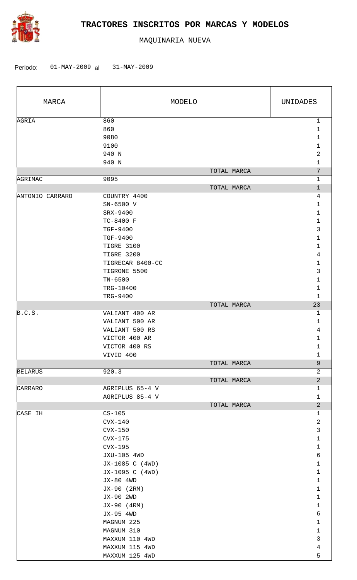

| MARCA           |                                                                                                                                                                                                                                                                          | MODELO      | UNIDADES                                                                                                                                                                                                                                                         |  |  |
|-----------------|--------------------------------------------------------------------------------------------------------------------------------------------------------------------------------------------------------------------------------------------------------------------------|-------------|------------------------------------------------------------------------------------------------------------------------------------------------------------------------------------------------------------------------------------------------------------------|--|--|
| AGRIA           | 860<br>860<br>9080<br>9100<br>940 N<br>940 N                                                                                                                                                                                                                             |             | $\mathbf 1$<br>1<br>1<br>1<br>2<br>1                                                                                                                                                                                                                             |  |  |
|                 |                                                                                                                                                                                                                                                                          | TOTAL MARCA | 7                                                                                                                                                                                                                                                                |  |  |
| AGRIMAC         | 9095                                                                                                                                                                                                                                                                     | TOTAL MARCA | $\mathbf{1}$<br>$\mathbf 1$                                                                                                                                                                                                                                      |  |  |
| ANTONIO CARRARO | COUNTRY 4400<br>SN-6500 V<br>SRX-9400<br>TC-8400 F<br>TGF-9400<br>TGF-9400<br>TIGRE 3100<br>TIGRE 3200<br>TIGRECAR 8400-CC<br>TIGRONE 5500<br>$TN-6500$<br>TRG-10400<br>TRG-9400                                                                                         |             | 4<br>1<br>1<br>1<br>3<br>1<br>1<br>4<br>$\mathbf 1$<br>3<br>1<br>$\mathbf{1}$<br>$\mathbf 1$                                                                                                                                                                     |  |  |
|                 |                                                                                                                                                                                                                                                                          | TOTAL MARCA | 23                                                                                                                                                                                                                                                               |  |  |
| B.C.S.          | VALIANT 400 AR<br>VALIANT 500 AR<br>VALIANT 500 RS<br>VICTOR 400 AR<br>VICTOR 400 RS<br>VIVID 400                                                                                                                                                                        |             | $\mathbf{1}$<br>1<br>4<br>1<br>1<br>1<br>$\mathsf{Q}$                                                                                                                                                                                                            |  |  |
| <b>BELARUS</b>  | 920.3                                                                                                                                                                                                                                                                    | TOTAL MARCA | $\overline{c}$                                                                                                                                                                                                                                                   |  |  |
|                 |                                                                                                                                                                                                                                                                          | TOTAL MARCA | $\overline{a}$                                                                                                                                                                                                                                                   |  |  |
| CARRARO         | AGRIPLUS 65-4 V<br>AGRIPLUS 85-4 V                                                                                                                                                                                                                                       |             | $\mathbf{1}$<br>$\mathbf{1}$                                                                                                                                                                                                                                     |  |  |
| CASE IH         | $CS-105$<br>$CVX-140$<br>$Cvx-150$<br>$CVX-175$<br>$Cvx-195$<br>JXU-105 4WD<br>JX-1085 C (4WD)<br>JX-1095 C (4WD)<br>JX-80 4WD<br>JX-90 (2RM)<br>JX-90 2WD<br>JX-90 (4RM)<br>JX-95 4WD<br>MAGNUM 225<br>MAGNUM 310<br>MAXXUM 110 4WD<br>MAXXUM 115 4WD<br>MAXXUM 125 4WD | TOTAL MARCA | $\overline{2}$<br>$\mathbf{1}$<br>$\overline{2}$<br>$\mathbf{3}$<br>$\mathbf 1$<br>$\mathbf 1$<br>б<br>$\mathbf{1}$<br>$\mathbf 1$<br>$\mathbf{1}$<br>$\mathbf 1$<br>$\mathbf{1}$<br>$\mathbf 1$<br>б<br>$\mathbf 1$<br>$\mathbf{1}$<br>3<br>$\overline{4}$<br>5 |  |  |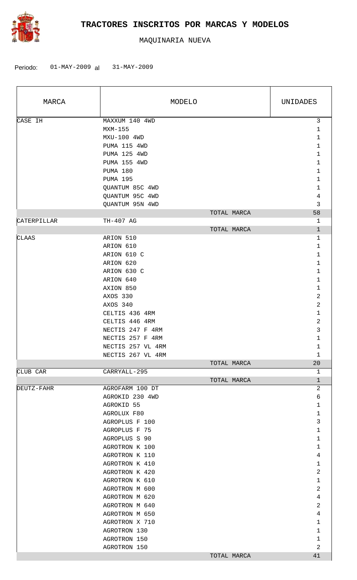

| MARCA       |                                                                                                                                                                                                                                                                                                                                                         | MODELO      | UNIDADES                                                                                                   |
|-------------|---------------------------------------------------------------------------------------------------------------------------------------------------------------------------------------------------------------------------------------------------------------------------------------------------------------------------------------------------------|-------------|------------------------------------------------------------------------------------------------------------|
| CASE IH     | MAXXUM 140 4WD<br>$MXM-155$<br>MXU-100 4WD<br>PUMA 115 4WD<br>PUMA 125 4WD<br>PUMA 155 4WD<br>PUMA 180<br><b>PUMA 195</b><br>QUANTUM 85C 4WD<br>QUANTUM 95C 4WD<br>QUANTUM 95N 4WD                                                                                                                                                                      |             | $\mathsf{3}$<br>1<br>1<br>1<br>1<br>1<br>1<br>1<br>1<br>4<br>3                                             |
|             |                                                                                                                                                                                                                                                                                                                                                         | TOTAL MARCA | 58                                                                                                         |
| CATERPILLAR | TH-407 AG                                                                                                                                                                                                                                                                                                                                               | TOTAL MARCA | 1<br>$\mathbf 1$                                                                                           |
| CLAAS       | ARION 510<br>ARION 610<br>ARION 610 C<br>ARION 620<br>ARION 630 C<br>ARION 640<br>AXION 850                                                                                                                                                                                                                                                             |             | 1<br>1<br>1<br>1<br>1<br>1<br>$\mathbf 1$                                                                  |
|             | AXOS 330<br>AXOS 340<br>CELTIS 436 4RM<br>CELTIS 446 4RM<br>NECTIS 247 F 4RM<br>NECTIS 257 F 4RM<br>NECTIS 257 VL 4RM                                                                                                                                                                                                                                   |             | $\overline{\mathbf{c}}$<br>$\overline{a}$<br>1<br>2<br>3<br>1<br>1                                         |
|             | NECTIS 267 VL 4RM                                                                                                                                                                                                                                                                                                                                       | TOTAL MARCA | 1<br>20                                                                                                    |
| CLUB CAR    | CARRYALL-295                                                                                                                                                                                                                                                                                                                                            |             | 1                                                                                                          |
|             |                                                                                                                                                                                                                                                                                                                                                         | TOTAL MARCA | $\mathbf 1$                                                                                                |
| DEUTZ-FAHR  | AGROFARM 100 DT<br>AGROKID 230 4WD<br>AGROKID 55<br>AGROLUX F80<br>AGROPLUS F 100<br>AGROPLUS F 75<br>AGROPLUS S 90<br>AGROTRON K 100<br>AGROTRON K 110<br>AGROTRON K 410<br>AGROTRON K 420<br>AGROTRON K 610<br>AGROTRON M 600<br>AGROTRON M 620<br>AGROTRON M 640<br>AGROTRON M 650<br>AGROTRON X 710<br>AGROTRON 130<br>AGROTRON 150<br>AGROTRON 150 |             | 2<br>6<br>1<br>1<br>3<br>$\mathbf 1$<br>1<br>1<br>4<br>1<br>2<br>1<br>2<br>4<br>2<br>4<br>1<br>1<br>1<br>2 |
|             |                                                                                                                                                                                                                                                                                                                                                         | TOTAL MARCA | 41                                                                                                         |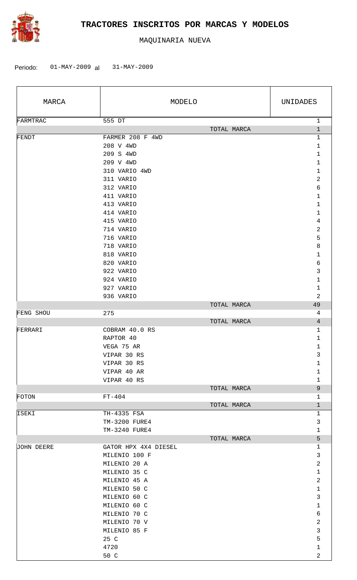

| MARCA      |                        | MODELO      |             | UNIDADES       |
|------------|------------------------|-------------|-------------|----------------|
| FARMTRAC   | 555 DT                 |             |             | $\mathbf{1}$   |
|            |                        | TOTAL MARCA |             | $\mathbf 1$    |
| FENDT      | FARMER 208 F 4WD       |             |             | 1              |
|            | 208 V 4WD              |             |             | $\mathbf{1}$   |
|            | 209 S 4WD<br>209 V 4WD |             |             | 1<br>1         |
|            | 310 VARIO 4WD          |             |             | $\mathbf{1}$   |
|            | 311 VARIO              |             |             | $\overline{a}$ |
|            | 312 VARIO              |             |             | 6              |
|            | 411 VARIO              |             |             | $\mathbf{1}$   |
|            | 413 VARIO              |             |             | 1              |
|            | 414 VARIO              |             |             | $\mathbf{1}$   |
|            | 415 VARIO              |             |             | $\overline{4}$ |
|            | 714 VARIO              |             |             | $\overline{a}$ |
|            | 716 VARIO              |             |             | 5              |
|            | 718 VARIO              |             |             | 8              |
|            | 818 VARIO              |             |             | 1              |
|            | 820 VARIO              |             |             | 6              |
|            | 922 VARIO              |             |             | 3              |
|            | 924 VARIO              |             |             | $\mathbf{1}$   |
|            | 927 VARIO              |             |             | $\mathbf{1}$   |
|            | 936 VARIO              |             |             | $\overline{a}$ |
|            |                        | TOTAL MARCA |             | 49             |
| FENG SHOU  | 275                    |             |             | 4              |
|            |                        | TOTAL MARCA |             | $\overline{4}$ |
| FERRARI    | COBRAM 40.0 RS         |             |             | $\mathbf{1}$   |
|            | RAPTOR 40              |             |             | 1              |
|            | VEGA 75 AR             |             |             | 1              |
|            | VIPAR 30 RS            |             |             | 3              |
|            | VIPAR 30 RS            |             |             | $\mathbf 1$    |
|            | VIPAR 40 AR            |             |             | $\mathbf{1}$   |
|            | VIPAR 40 RS            |             |             | $\mathbf{1}$   |
|            |                        |             | TOTAL MARCA | $\overline{9}$ |
| FOTON      | $FT-404$               |             |             | $\mathbf{1}$   |
|            |                        |             | TOTAL MARCA | $\mathbf{1}$   |
| ISEKI      | TH-4335 FSA            |             |             | $\mathbf{1}$   |
|            | TM-3200 FURE4          |             |             | 3              |
|            | TM-3240 FURE4          |             |             | $\mathbf 1$    |
|            |                        |             | TOTAL MARCA | 5              |
| JOHN DEERE | GATOR HPX 4X4 DIESEL   |             |             | $\mathbf{1}$   |
|            | MILENIO 100 F          |             |             | $\mathbf{3}$   |
|            | MILENIO 20 A           |             |             | $\overline{a}$ |
|            | MILENIO 35 C           |             |             | $\mathbf{1}$   |
|            | MILENIO 45 A           |             |             | $\overline{a}$ |
|            | MILENIO 50 C           |             |             | $\mathbf{1}$   |
|            | MILENIO 60 C           |             |             | $\mathfrak{Z}$ |
|            | MILENIO 60 C           |             |             | $\mathbf{1}$   |
|            | MILENIO 70 C           |             |             | $\sqrt{6}$     |
|            | MILENIO 70 V           |             |             | $\overline{a}$ |
|            | MILENIO 85 F           |             |             | $\mathbf{3}$   |
|            | 25 C                   |             |             | 5              |
|            | 4720                   |             |             | $\mathbf 1$    |
|            | 50 C                   |             |             | $\overline{2}$ |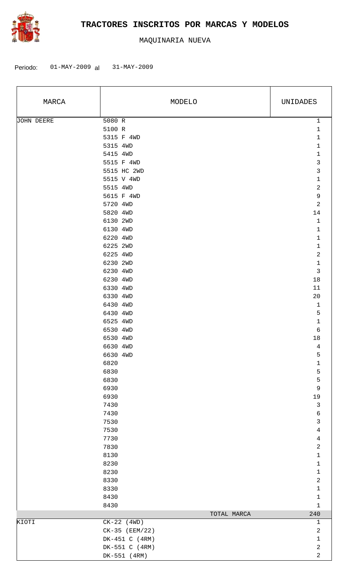

| MARCA      | MODELO         | UNIDADES                  |
|------------|----------------|---------------------------|
| JOHN DEERE | 5080 R         | $\mathbf 1$               |
|            | 5100 R         | $\mathbf{1}$              |
|            | 5315 F 4WD     | $1\,$                     |
|            | 5315 4WD       | $\mathbf{1}$              |
|            | 5415 4WD       | $1\,$                     |
|            | 5515 F 4WD     | $\mathbf{3}$              |
|            | 5515 HC 2WD    | 3                         |
|            | 5515 V 4WD     | $\mathbf 1$               |
|            | 5515 4WD       | $\overline{\mathbf{c}}$   |
|            | 5615 F 4WD     | 9                         |
|            | 5720 4WD       | $\overline{a}$            |
|            | 5820 4WD       | 14                        |
|            | 6130 2WD       | $1\,$                     |
|            | 6130 4WD       | $\mathbf{1}$              |
|            | 6220 4WD       | $1\,$                     |
|            | 6225 2WD       | $\mathbf{1}$              |
|            | 6225 4WD       | $\overline{\mathbf{c}}$   |
|            | 6230 2WD       | $\mathbf 1$               |
|            | 6230 4WD       | $\mathbf{3}$              |
|            | 6230 4WD       | 18                        |
|            | 6330 4WD       | 11                        |
|            | 6330 4WD       | 20                        |
|            | 6430 4WD       | $1\,$                     |
|            | 6430 4WD       | 5                         |
|            | 6525 4WD       | $\mathbf{1}$              |
|            | 6530 4WD       | 6                         |
|            | 6530 4WD       | 18                        |
|            | 6630 4WD       | $\sqrt{4}$                |
|            | 6630 4WD       | 5                         |
|            | 6820           | $\mathbf{1}$              |
|            | 6830           | $\mathsf S$               |
|            | 6830           | $\mathsf S$               |
|            | 6930           | 9                         |
|            | 6930           | 19                        |
|            | 7430           | $\mathsf 3$               |
|            | 7430           | $\epsilon$                |
|            | 7530           | $\mathfrak{Z}$            |
|            | 7530           | $\overline{4}$            |
|            | 7730           | $\overline{\mathbf{4}}$   |
|            | 7830           | $\sqrt{2}$                |
|            | 8130           | $\mathbf 1$               |
|            | 8230           | $\mathbf 1$               |
|            | 8230           | $\mathbf 1$               |
|            | 8330           | $\sqrt{2}$                |
|            | 8330           | $\mathbf 1$               |
|            | 8430           | $\mathbf 1$               |
|            | 8430           | $\mathbf{1}$              |
|            | TOTAL MARCA    | 240                       |
| KIOTI      | $CK-22$ (4WD)  | $\mathbf{1}$              |
|            | CK-35 (EEM/22) | $\overline{a}$            |
|            | DK-451 C (4RM) | $\mathbf 1$<br>$\sqrt{2}$ |
|            | DK-551 C (4RM) | $\overline{\mathbf{c}}$   |
|            | DK-551 (4RM)   |                           |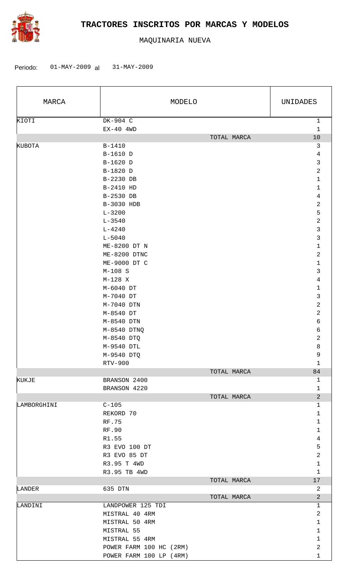

| MARCA         | MODELO                    |             | UNIDADES                |
|---------------|---------------------------|-------------|-------------------------|
| KIOTI         | DK-904 C                  |             | $1\,$                   |
|               | $EX-40$ 4WD               |             | $1\,$<br>$10$           |
| <b>KUBOTA</b> | $B-1410$                  | TOTAL MARCA | $\mathfrak{Z}$          |
|               | B-1610 D                  |             | $\sqrt{4}$              |
|               | B-1620 D                  |             | 3                       |
|               | B-1820 D                  |             | $\overline{\mathbf{c}}$ |
|               | B-2230 DB                 |             | $1\,$                   |
|               | B-2410 HD                 |             | $\mathbf 1$             |
|               | B-2530 DB                 |             | 4                       |
|               | B-3030 HDB                |             | $\overline{\mathbf{c}}$ |
|               | $L - 3200$                |             | 5                       |
|               | $L - 3540$                |             | $\overline{\mathbf{c}}$ |
|               | $L - 4240$                |             | 3                       |
|               | $L - 5040$                |             | 3                       |
|               | ME-8200 DT N              |             | $\mathbf 1$             |
|               | ME-8200 DTNC              |             | $\overline{\mathbf{c}}$ |
|               | ME-9000 DT C              |             | $\mathbf 1$             |
|               | $M-108$ S                 |             | 3                       |
|               | $M-128$ X                 |             | $\overline{4}$          |
|               | M-6040 DT                 |             | $\mathbf 1$             |
|               | M-7040 DT                 |             | 3                       |
|               |                           |             | $\overline{\mathbf{c}}$ |
|               | M-7040 DTN                |             | $\overline{\mathbf{c}}$ |
|               | M-8540 DT                 |             | $\sqrt{6}$              |
|               | M-8540 DTN<br>M-8540 DTNQ |             | $\epsilon$              |
|               | M-8540 DTQ                |             | $\sqrt{2}$              |
|               | M-9540 DTL                |             | 8                       |
|               | M-9540 DTQ                |             | 9                       |
|               | RTV-900                   |             | $\mathbf 1$             |
|               |                           | TOTAL MARCA | 84                      |
| KUKJE         | BRANSON 2400              |             | 1                       |
|               | BRANSON 4220              |             | $\mathbf{1}$            |
|               |                           | TOTAL MARCA | $\overline{a}$          |
| LAMBORGHINI   | $C-105$                   |             | $\mathbf{1}$            |
|               | REKORD 70                 |             | $\mathbf 1$             |
|               | RF.75                     |             | $\mathbf{1}$            |
|               | RF.90                     |             | $\mathbf 1$             |
|               | R1.55                     |             | $\overline{4}$          |
|               | R3 EVO 100 DT             |             | 5                       |
|               | R3 EVO 85 DT              |             | $\overline{c}$          |
|               | R3.95 T 4WD               |             | $\mathbf 1$             |
|               | R3.95 TB 4WD              |             | $\mathbf{1}$            |
|               |                           | TOTAL MARCA | 17                      |
| LANDER        | 635 DTN                   |             | 2                       |
|               |                           | TOTAL MARCA | $\overline{a}$          |
| LANDINI       | LANDPOWER 125 TDI         |             | $\mathbf{1}$            |
|               | MISTRAL 40 4RM            |             | $\overline{2}$          |
|               | MISTRAL 50 4RM            |             | $\mathbf{1}$            |
|               | MISTRAL 55                |             | $\mathbf 1$             |
|               | MISTRAL 55 4RM            |             | $\mathbf{1}$            |
|               | POWER FARM 100 HC (2RM)   |             | $\overline{c}$          |
|               | POWER FARM 100 LP (4RM)   |             | $\mathbf{1}$            |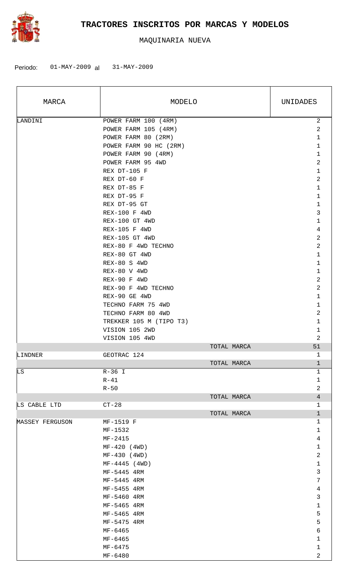

| MARCA                  | MODELO                  |             | UNIDADES       |
|------------------------|-------------------------|-------------|----------------|
| LANDINI                | POWER FARM 100 (4RM)    |             | $\overline{2}$ |
|                        | POWER FARM 105 (4RM)    |             | $\sqrt{2}$     |
|                        | POWER FARM 80 (2RM)     |             | $\mathbf{1}$   |
|                        | POWER FARM 90 HC (2RM)  |             | $\mathbf 1$    |
|                        | POWER FARM 90 (4RM)     |             | 1              |
|                        | POWER FARM 95 4WD       |             | 2              |
|                        | REX DT-105 F            |             | $\mathbf{1}$   |
|                        | REX DT-60 F             |             | 2              |
|                        | REX DT-85 F             |             | $\mathbf{1}$   |
|                        | REX DT-95 F             |             | $\mathbf 1$    |
|                        | REX DT-95 GT            |             | $\mathbf{1}$   |
|                        | REX-100 F 4WD           |             | 3              |
|                        | REX-100 GT 4WD          |             | $\mathbf{1}$   |
|                        | REX-105 F 4WD           |             | 4              |
|                        | REX-105 GT 4WD          |             | 2              |
|                        | REX-80 F 4WD TECHNO     |             | 2              |
|                        | REX-80 GT 4WD           |             | $\mathbf{1}$   |
|                        | REX-80 S 4WD            |             | $\mathbf 1$    |
|                        | REX-80 V 4WD            |             | $\mathbf{1}$   |
|                        | REX-90 F 4WD            |             | 2              |
|                        | REX-90 F 4WD TECHNO     |             | 2              |
|                        | REX-90 GE 4WD           |             | $\mathbf 1$    |
|                        | TECHNO FARM 75 4WD      |             | $\mathbf 1$    |
|                        | TECHNO FARM 80 4WD      |             | 2              |
|                        | TREKKER 105 M (TIPO T3) |             | $\mathbf{1}$   |
|                        | VISION 105 2WD          |             | $\mathbf 1$    |
|                        | VISION 105 4WD          |             | $\overline{a}$ |
|                        |                         | TOTAL MARCA | 51             |
| LINDNER                | GEOTRAC 124             |             | 1              |
|                        |                         | TOTAL MARCA | 1              |
| LS                     | $R-36$ I                |             | $\mathbf{1}$   |
|                        | $R-41$                  |             | $\mathbf{1}$   |
|                        | $R-50$                  |             | $\overline{a}$ |
|                        |                         | TOTAL MARCA | $\overline{4}$ |
| LS CABLE LTD           | $CT-28$                 |             | $\mathbf 1$    |
|                        |                         | TOTAL MARCA | $\mathbf{1}$   |
| <b>MASSEY FERGUSON</b> | MF-1519 F               |             | $\mathbf 1$    |
|                        | MF-1532                 |             | $\mathbf{1}$   |
|                        | $MF-2415$               |             | 4              |
|                        | $MF-420$ (4WD)          |             | $\mathbf 1$    |
|                        | $MF-430$ (4WD)          |             | 2              |
|                        | $MF-4445$ (4WD)         |             | $\mathbf 1$    |
|                        | MF-5445 4RM             |             | 3              |
|                        | MF-5445 4RM             |             | 7              |
|                        | MF-5455 4RM             |             | 4              |
|                        | MF-5460 4RM             |             | 3              |
|                        | MF-5465 4RM             |             | $1\,$          |
|                        | MF-5465 4RM             |             | 5              |
|                        | MF-5475 4RM             |             | 5              |
|                        | MF-6465                 |             | 6              |
|                        | MF-6465                 |             | $\mathbf 1$    |
|                        | MF-6475                 |             | $\mathbf{1}$   |
|                        | MF-6480                 |             | 2              |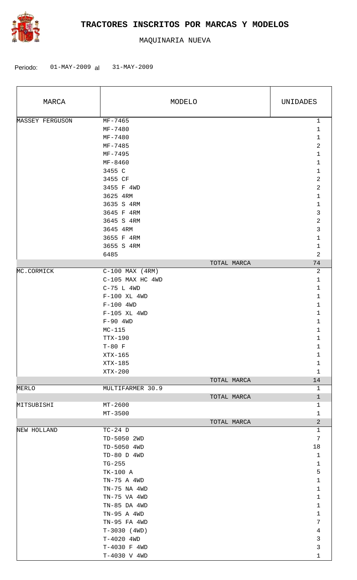

| MARCA           |                     | MODELO      | UNIDADES                |
|-----------------|---------------------|-------------|-------------------------|
| MASSEY FERGUSON | MF-7465             |             | $\mathbf{1}$            |
|                 | MF-7480             |             | $\mathbf 1$             |
|                 | MF-7480             |             | $\mathbf 1$             |
|                 | MF-7485             |             | $\mathbf 2$             |
|                 | MF-7495             |             | 1                       |
|                 | MF-8460             |             | $\mathbf 1$             |
|                 | 3455 C              |             | $\mathbf 1$             |
|                 | 3455 CF             |             | $\mathbf 2$             |
|                 | 3455 F 4WD          |             | $\overline{\mathbf{c}}$ |
|                 | 3625 4RM            |             | $\mathbf 1$             |
|                 | 3635 S 4RM          |             | $\mathbf 1$             |
|                 | 3645 F 4RM          |             | 3                       |
|                 | 3645 S 4RM          |             | $\mathbf 2$             |
|                 | 3645 4RM            |             | 3                       |
|                 | 3655 F 4RM          |             | $\mathbf 1$             |
|                 | 3655 S 4RM          |             | 1                       |
|                 | 6485                |             | 2                       |
|                 |                     | TOTAL MARCA | 74                      |
| MC.CORMICK      | $C-100$ MAX $(4RM)$ |             | $\sqrt{2}$              |
|                 | C-105 MAX HC 4WD    |             | $\mathbf{1}$            |
|                 | $C-75$ L $4WD$      |             | $\mathbf{1}$            |
|                 |                     |             |                         |
|                 | $F-100$ XL 4WD      |             | 1                       |
|                 | $F-100$ 4WD         |             | $\mathbf{1}$            |
|                 | F-105 XL 4WD        |             | 1                       |
|                 | $F-90$ 4WD          |             | $\mathbf{1}$            |
|                 | $MC-115$            |             | 1                       |
|                 | $TTX-190$           |             | 1                       |
|                 | $T-80$ F            |             | 1                       |
|                 | $XTX-165$           |             | 1                       |
|                 | XTX-185             |             | $\mathbf 1$             |
|                 | $XTX-200$           |             | $\mathbf{1}$            |
|                 |                     | TOTAL MARCA | 14                      |
| MERLO           | MULTIFARMER 30.9    |             | $\mathbf{1}$            |
|                 |                     | TOTAL MARCA | $\mathbf{1}$            |
| MITSUBISHI      | $MT-2600$           |             | $\mathbf{1}$            |
|                 | $MT - 3500$         |             | $\mathbf{1}$            |
|                 |                     | TOTAL MARCA | $\overline{a}$          |
| NEW HOLLAND     | $TC-24$ D           |             | $\mathbf{1}$            |
|                 | TD-5050 2WD         |             | $\overline{7}$          |
|                 | TD-5050 4WD         |             | 18                      |
|                 | TD-80 D 4WD         |             | $\mathbf{1}$            |
|                 | TG-255              |             | $\mathbf{1}$            |
|                 | TK-100 A            |             | 5                       |
|                 | TN-75 A 4WD         |             | $\mathbf{1}$            |
|                 | TN-75 NA 4WD        |             | $\mathbf{1}$            |
|                 | TN-75 VA 4WD        |             | $\mathbf{1}$            |
|                 | TN-85 DA 4WD        |             | $\mathbf{1}$            |
|                 | TN-95 A 4WD         |             | $\mathbf{1}$            |
|                 | TN-95 FA 4WD        |             | $\overline{7}$          |
|                 | $T-3030$ (4WD)      |             | $\overline{4}$          |
|                 | $T-4020$ 4WD        |             | $\mathsf{3}$            |
|                 | T-4030 F 4WD        |             | $\mathbf{3}$            |
|                 | T-4030 V 4WD        |             | $\mathbf{1}$            |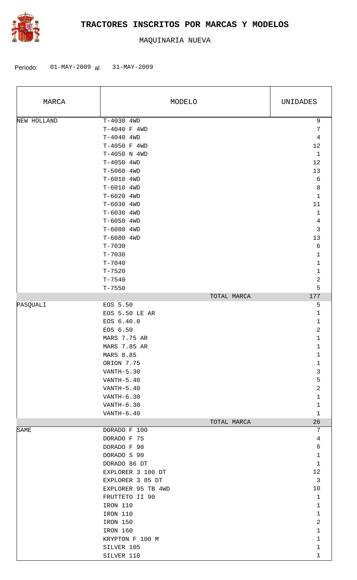

| MARCA       |                    | MODELO      | UNIDADES       |
|-------------|--------------------|-------------|----------------|
| NEW HOLLAND | $T-4030$ 4WD       |             | $\mathsf 9$    |
|             | T-4040 F 4WD       |             | $\overline{7}$ |
|             | $T-4040$ 4WD       |             | $\overline{4}$ |
|             | T-4050 F 4WD       |             | $12\,$         |
|             | T-4050 N 4WD       |             | $\mathbf{1}$   |
|             | T-4050 4WD         |             | 12             |
|             | T-5060 4WD         |             | 13             |
|             | T-6010 4WD         |             | $\sqrt{6}$     |
|             | T-6010 4WD         |             | 8              |
|             | T-6020 4WD         |             | $\mathbf 1$    |
|             | T-6030 4WD         |             | 11             |
|             | T-6030 4WD         |             | $1\,$          |
|             | T-6050 4WD         |             | $\overline{4}$ |
|             | T-6080 4WD         |             | $\mathfrak{Z}$ |
|             | T-6080 4WD         |             | 13             |
|             | $T - 7030$         |             | $\sqrt{6}$     |
|             | $T - 7030$         |             | $\mathbf{1}$   |
|             | $T - 7040$         |             | 1              |
|             | $T - 7520$         |             | $1\,$          |
|             | $T - 7540$         |             | $\overline{c}$ |
|             | $T - 7550$         |             | 5              |
|             |                    | TOTAL MARCA | 177            |
| PASQUALI    | EOS 5.50           |             | 5              |
|             | EOS 5.50 LE AR     |             | $\mathbf 1$    |
|             | EOS 6.40.0         |             | 1              |
|             | EOS 6.50           |             | 2              |
|             | MARS 7.75 AR       |             | 1              |
|             | MARS 7.85 AR       |             | 1              |
|             | MARS 8.85          |             | $\mathbf 1$    |
|             | ORION 7.75         |             | $\mathbf{1}$   |
|             | $VANTH-5.30$       |             | $\mathfrak{Z}$ |
|             | VANTH-5.40         |             | 5              |
|             | $VANTH-5.40$       |             | 2              |
|             | $VANTH-6.30$       |             | $\mathbf 1$    |
|             | $VANTH-6.30$       |             | $\mathbf{1}$   |
|             | $VANTH-6.40$       |             | $\mathbf{1}$   |
|             |                    | TOTAL MARCA | 26             |
| <b>SAME</b> | DORADO F 100       |             | 7              |
|             | DORADO F 75        |             | 4              |
|             | DORADO F 90        |             | б              |
|             | DORADO S 90        |             | $\mathbf 1$    |
|             | DORADO 86 DT       |             | $\mathbf 1$    |
|             | EXPLORER 3 100 DT  |             | 12             |
|             | EXPLORER 3 85 DT   |             | 3              |
|             | EXPLORER 95 TB 4WD |             | 10             |
|             | FRUTTETO II 90     |             | $\mathbf{1}$   |
|             | IRON 110           |             | $\mathbf{1}$   |
|             | IRON 110           |             | $\mathbf{1}$   |
|             | IRON 150           |             | $\overline{2}$ |
|             | IRON 160           |             | $\mathbf{1}$   |
|             | KRYPTON F 100 M    |             | $\mathbf 1$    |
|             | SILVER 105         |             | $\mathbf{1}$   |
|             | SILVER 110         |             | $\mathbf 1$    |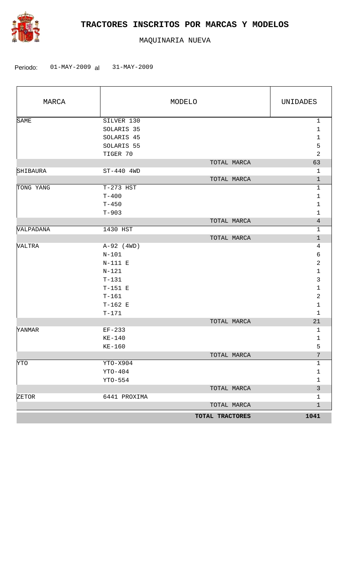

| MARCA         |                       | UNIDADES        |                |
|---------------|-----------------------|-----------------|----------------|
| <b>SAME</b>   | SILVER 130            |                 | $\mathbf{1}$   |
|               | SOLARIS <sub>35</sub> |                 | $\mathbf 1$    |
|               | SOLARIS <sub>45</sub> |                 | $\mathbf 1$    |
|               | SOLARIS 55            |                 | 5              |
|               | TIGER 70              |                 | $\overline{a}$ |
|               |                       | TOTAL MARCA     | 63             |
| SHIBAURA      | $ST-440$ 4WD          |                 | $\mathbf{1}$   |
|               |                       | TOTAL MARCA     | $\mathbf{1}$   |
| TONG YANG     | T-273 HST             |                 | 1              |
|               | $T - 400$             |                 | $\mathbf{1}$   |
|               | $T - 450$             |                 | 1              |
|               | $T - 903$             |                 | $\mathbf{1}$   |
|               |                       | TOTAL MARCA     | $\overline{4}$ |
| VALPADANA     | 1430 HST              |                 | $\mathbf 1$    |
|               |                       | TOTAL MARCA     | $1\,$          |
| <b>VALTRA</b> | $A-92$ (4WD)          |                 | 4              |
|               | $N-101$               |                 | 6              |
|               | $N-111$ E             |                 | 2              |
|               | $N - 121$             |                 | $1\,$          |
|               | $T - 131$             |                 | 3              |
|               | $T-151$ E             |                 | $1\,$          |
|               | $T - 161$             |                 | 2              |
|               | $T-162$ E             |                 | $\mathbf{1}$   |
|               | $T-171$               |                 | $\mathbf{1}$   |
|               |                       | TOTAL MARCA     | 21             |
| YANMAR        | $EF-233$              |                 | 1              |
|               | $KE-140$              |                 | 1              |
|               | $KE-160$              |                 | 5              |
|               |                       | TOTAL MARCA     | 7              |
| <b>YTO</b>    | YTO-X904              |                 | $\mathbf{1}$   |
|               | $YTO-404$             |                 | $\mathbf{1}$   |
|               | $YTO-554$             |                 | $1\,$          |
|               |                       | TOTAL MARCA     | $\mathsf{3}$   |
| ZETOR         | 6441 PROXIMA          |                 | 1              |
|               |                       | TOTAL MARCA     | $1\,$          |
|               |                       | TOTAL TRACTORES | 1041           |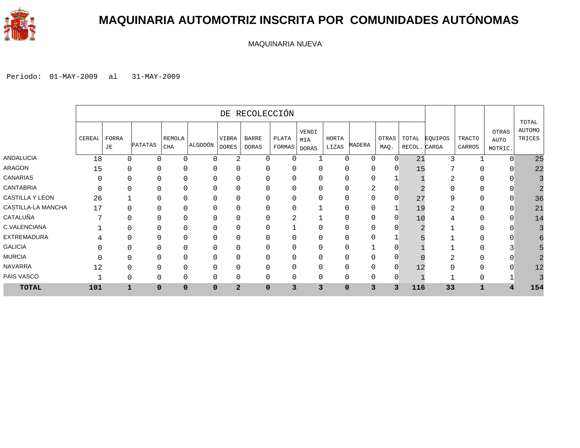

### **MAQUINARIA AUTOMOTRIZ INSCRITA POR COMUNIDADES AUTÓNOMAS**

MAQUINARIA NUEVA

|                    |              |             |                             |               |             |                       | DE RECOLECCIÓN        |                 |                       |                |        |                |                       |         |                         |                                 |                                  |
|--------------------|--------------|-------------|-----------------------------|---------------|-------------|-----------------------|-----------------------|-----------------|-----------------------|----------------|--------|----------------|-----------------------|---------|-------------------------|---------------------------------|----------------------------------|
|                    | CEREAL       | FORRA<br>JE | PATATAS                     | REMOLA<br>CHA | ALGODÓN     | VIBRA<br><b>DORES</b> | BARRE<br><b>DORAS</b> | PLATA<br>FORMAS | VENDI<br>MIA<br>DORAS | HORTA<br>LIZAS | MADERA | OTRAS<br>MAQ.  | TOTAL<br>RECOL. CARGA | EQUIPOS | <b>TRACTO</b><br>CARROS | <b>OTRAS</b><br>AUTO<br>MOTRIC. | TOTAL<br><b>AUTOMO</b><br>TRICES |
| ANDALUCIA          | 18           |             | 0<br>O                      |               |             | 2                     | 0                     | 0               |                       | $\Omega$       | 0      | $\Omega$       | 21                    |         |                         |                                 | 25                               |
| ARAGON             | 15           |             | 0                           |               |             | $\mathbf{0}$          |                       | 0               | C                     | 0              | 0      | $\Omega$       | 15                    |         |                         |                                 | 22                               |
| <b>CANARIAS</b>    |              |             | $\Omega$                    |               | $\Omega$    | $\mathbf{0}$          | 0                     | 0               |                       |                | 0      |                |                       | 2       |                         |                                 |                                  |
| <b>CANTABRIA</b>   |              |             | 0                           |               | $\Omega$    | $\mathbf{0}$          | 0                     | 0               | 0                     |                | 2      | $\mathcal{C}$  |                       |         |                         |                                 |                                  |
| CASTILLA Y LEON    | 26           |             |                             |               | $\Omega$    | $\mathbf 0$           | 0                     | 0               | $\mathbf 0$           | 0              | 0      | $\Omega$       | 27                    | 9       |                         |                                 | 36                               |
| CASTILLA-LA MANCHA | 17           |             | $\Omega$<br>$\Omega$        |               |             | 0                     | 0                     | 0               |                       | 0              | 0      |                | 19                    | 2       |                         |                                 | 21                               |
| CATALUÑA           | $\mathbf{r}$ |             | $\Omega$                    |               |             | $\mathbf{0}$          | 0                     | 2               |                       | 0              | 0      | $\mathbf 0$    | 10                    | 4       |                         |                                 | 14                               |
| C.VALENCIANA       |              |             | 0<br>$\Omega$               |               |             | $\mathbf{0}$          | 0                     |                 | C                     | 0              | 0      | $\Omega$       |                       |         |                         |                                 |                                  |
| <b>EXTREMADURA</b> |              |             | 0<br>$\Omega$               |               | $\Omega$    | 0                     | 0                     | 0               | 0                     | 0              | 0      |                |                       |         |                         |                                 |                                  |
| <b>GALICIA</b>     |              |             | 0<br>$\Omega$               |               | $\Omega$    | $\mathbf{0}$          | 0                     | 0               | 0                     | 0              |        |                |                       |         |                         |                                 |                                  |
| <b>MURCIA</b>      |              |             | $\Omega$                    |               | $\Omega$    | $\mathbf{0}$          | 0                     | 0               | C                     | 0              | 0      | C              |                       | 2       |                         |                                 |                                  |
| NAVARRA            | 12           |             | $\Omega$<br>$\Omega$        |               | $\Omega$    | $\mathbf{0}$          | 0                     | 0               | 0                     | 0              | 0      | $\mathbf{0}$   | 12                    |         |                         |                                 | 12                               |
| PAIS VASCO         |              |             | 0                           |               | $\Omega$    | 0                     | 0                     | 0               | 0                     | 0              | 0      | 0              |                       |         |                         |                                 |                                  |
| <b>TOTAL</b>       | 101          |             | $\mathbf{1}$<br>$\mathbf 0$ | 0             | $\mathbf 0$ | $\overline{a}$        | $\mathbf 0$           | 3               | З                     | $\mathbf 0$    | 3      | $\overline{3}$ | 116                   | 33      | 1                       | 4                               | 154                              |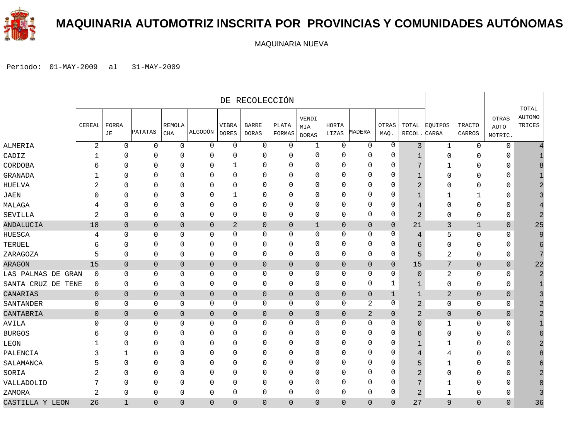

### **MAQUINARIA AUTOMOTRIZ INSCRITA POR PROVINCIAS Y COMUNIDADES AUTÓNOMAS**

MAQUINARIA NUEVA

|                    |                |                |                |                             |              |                              | DE RECOLECCIÓN        |                 |                              |                |                  |               |                 |                  |                         |                                       |                                  |
|--------------------|----------------|----------------|----------------|-----------------------------|--------------|------------------------------|-----------------------|-----------------|------------------------------|----------------|------------------|---------------|-----------------|------------------|-------------------------|---------------------------------------|----------------------------------|
|                    | CEREAL         | FORRA<br>JE    | PATATAS        | <b>REMOLA</b><br><b>CHA</b> | ALGODÓN      | <b>VIBRA</b><br><b>DORES</b> | <b>BARRE</b><br>DORAS | PLATA<br>FORMAS | VENDI<br>MIA<br><b>DORAS</b> | HORTA<br>LIZAS | MADERA           | OTRAS<br>MAQ. | TOTAL<br>RECOL. | EQUIPOS<br>CARGA | <b>TRACTO</b><br>CARROS | <b>OTRAS</b><br><b>AUTO</b><br>MOTRIC | TOTAL<br><b>AUTOMO</b><br>TRICES |
| <b>ALMERIA</b>     | 2              | $\mathbf 0$    | $\mathbf 0$    | $\mathbf 0$                 | 0            | $\mathbf 0$                  | 0                     | 0               | $\mathbf 1$                  | $\mathbf 0$    | 0                | 0             | 3               | $\mathbf{1}$     | $\mathbf 0$             | $\mathbf 0$                           |                                  |
| CADIZ              | 1              | $\Omega$       | 0              | $\Omega$                    | 0            | $\mathbf{0}$                 | 0                     | O               | 0                            | $\Omega$       | $\Omega$         | 0             |                 | $\mathbf 0$      | $\Omega$                | 0                                     |                                  |
| CORDOBA            | 6              | 0              | $\mathbf{0}$   | $\Omega$                    | 0            | 1                            | 0                     | $\mathbf{0}$    | 0                            | $\Omega$       | $\Omega$         | $\mathbf 0$   | 7               | $\mathbf{1}$     | $\mathbf{0}$            | $\mathbf 0$                           |                                  |
| GRANADA            |                | $\mathbf 0$    | $\Omega$       | $\Omega$                    | 0            | $\mathbf{0}$                 | 0                     | $\Omega$        | 0                            | $\Omega$       | $\mathbf{0}$     | 0             | $\mathbf{1}$    | $\Omega$         | $\Omega$                | $\mathbf 0$                           |                                  |
| HUELVA             | 2              | $\Omega$       | 0              | 0                           | 0            | $\mathbf{0}$                 | 0                     | 0               | 0                            | $\Omega$       | $\Omega$         | 0             | $\overline{2}$  | $\mathbf 0$      | 0                       | 0                                     |                                  |
| <b>JAEN</b>        | $\Omega$       | $\mathbf 0$    | $\mathbf{0}$   | $\Omega$                    | 0            | 1                            | 0                     | 0               | 0                            | $\mathbf{0}$   | 0                | $\mathbf 0$   | $\mathbf{1}$    | $\mathbf{1}$     | 1                       | $\mathbf 0$                           |                                  |
| MALAGA             | 4              | $\mathbf 0$    | $\Omega$       | $\Omega$                    | 0            | $\mathbf{0}$                 | 0                     | 0               | 0                            | $\Omega$       | 0                | 0             | 4               | $\mathbf 0$      | $\mathbf 0$             | 0                                     |                                  |
| SEVILLA            | $\overline{a}$ | $\mathbf 0$    | $\mathbf{0}$   | $\mathbf 0$                 | 0            | $\mathbf 0$                  | 0                     | 0               | $\mathbf{0}$                 | $\mathbf 0$    | 0                | 0             | $\overline{2}$  | $\mathbf 0$      | $\mathbf 0$             | 0                                     |                                  |
| ANDALUCIA          | 18             | $\mathbf 0$    | $\mathbf{0}$   | $\mathbf{0}$                | $\mathbf{0}$ | $\overline{2}$               | 0                     | $\mathbf 0$     | $\mathbf{1}$                 | $\mathbf{0}$   | $\mathbf 0$      | $\mathbf 0$   | 21              | 3                | $\mathbf{1}$            | $\mathbf{0}$                          | 25                               |
| HUESCA             | 4              | $\mathbf 0$    | 0              | $\Omega$                    | 0            | $\mathbf{0}$                 | 0                     | $\Omega$        | 0                            | $\Omega$       | 0                | 0             | 4               | 5                | $\mathbf 0$             | $\mathbf 0$                           |                                  |
| TERUEL             | 6              | $\mathbf 0$    | $\Omega$       | $\Omega$                    | 0            | $\mathbf 0$                  | 0                     | $\Omega$        | 0                            | $\mathbf{0}$   | $\mathbf 0$      | $\mathbf 0$   | 6               | $\mathbf 0$      | $\Omega$                | $\Omega$                              |                                  |
| ZARAGOZA           | 5              | $\mathbf 0$    | $\mathbf{0}$   | $\mathbf{0}$                | 0            | $\mathbf{0}$                 | 0                     | 0               | 0                            | $\Omega$       | 0                | $\mathbf 0$   | 5               | $\overline{2}$   | $\mathbf 0$             | 0                                     |                                  |
| <b>ARAGON</b>      | 15             | $\overline{0}$ | $\overline{0}$ | $\overline{0}$              | 0            | $\mathsf 0$                  | 0                     | $\mathbf 0$     | 0                            | $\mathbf 0$    | $\overline{0}$   | $\mathbf{0}$  | 15              | 7                | $\overline{0}$          | $\mathbf{0}$                          | 22                               |
| LAS PALMAS DE GRAN | 0              | $\mathbf 0$    | 0              | $\Omega$                    | 0            | $\mathbf 0$                  | 0                     | $\mathbf{0}$    | 0                            | $\Omega$       | 0                | 0             | $\overline{0}$  | $\overline{2}$   | $\mathbf 0$             | $\Omega$                              |                                  |
| SANTA CRUZ DE TENE | 0              | $\mathbf 0$    | 0              | $\mathbf{0}$                | 0            | 0                            | 0                     | 0               | 0                            | $\Omega$       | 0                | $\mathbf{1}$  | 1               | 0                | $\mathbf 0$             | 0                                     |                                  |
| CANARIAS           | $\overline{0}$ | $\mathbf{0}$   | $\mathbf{0}$   | $\overline{0}$              | 0            | $\mathbf{0}$                 | $\mathbf 0$           | $\overline{0}$  | $\Omega$                     | $\overline{0}$ | $\overline{0}$   | $\mathbf{1}$  | $\mathbf{1}$    | $\overline{2}$   | $\overline{0}$          | $\Omega$                              |                                  |
| SANTANDER          | 0              | 0              | 0              | 0                           | 0            | 0                            | 0                     | 0               | $\mathbf 0$                  | $\mathbf{0}$   | 2                | 0             | 2               | 0                | 0                       | 0                                     |                                  |
| CANTABRIA          | $\mathbf 0$    | $\overline{0}$ | $\overline{0}$ | $\mathbf{0}$                | 0            | $\mathsf 0$                  | 0                     | $\mathbf 0$     | $\mathbf 0$                  | $\mathbf 0$    | $\boldsymbol{2}$ | $\mathbf 0$   | $\overline{2}$  | $\overline{0}$   | $\overline{0}$          | $\mathbf 0$                           |                                  |
| AVILA              | $\Omega$       | $\mathbf 0$    | $\mathbf{0}$   | $\Omega$                    | 0            | $\mathbf 0$                  | 0                     | $\Omega$        | 0                            | $\Omega$       | 0                | 0             | $\Omega$        | $\mathbf{1}$     | $\mathbf 0$             | $\Omega$                              |                                  |
| <b>BURGOS</b>      | 6              | 0              | 0              | $\Omega$                    | 0            | $\mathbf{0}$                 | 0                     | 0               | 0                            | $\mathbf{0}$   | $\Omega$         | 0             | 6               | 0                | $\mathbf 0$             | $\mathbf 0$                           |                                  |
| LEON               | 1              | $\mathbf 0$    | $\Omega$       | $\mathbf{0}$                | 0            | $\mathbf 0$                  | 0                     | $\mathbf{0}$    | 0                            | $\Omega$       | 0                | $\mathbf 0$   | $\mathbf{1}$    | 1                | $\Omega$                | $\mathbf 0$                           |                                  |
| PALENCIA           | 3              | 1              | $\mathbf{0}$   | $\Omega$                    | 0            | $\Omega$                     | 0                     | 0               | 0                            | $\Omega$       | $\mathbf{0}$     | 0             | 4               | 4                | $\mathbf 0$             | 0                                     |                                  |
| SALAMANCA          | 5              | 0              | $\Omega$       | 0                           | 0            | $\mathbf{0}$                 | 0                     | $\Omega$        | 0                            | $\Omega$       | $\Omega$         | 0             | 5               | 1                | 0                       | $\mathbf 0$                           |                                  |
| SORIA              | 2              | $\Omega$       | $\Omega$       | $\Omega$                    | 0            | $\mathbf{0}$                 | 0                     | 0               | 0                            | $\Omega$       | $\mathbf{0}$     | 0             | 2               | $\mathbf 0$      | $\mathbf 0$             | $\mathbf 0$                           |                                  |
| VALLADOLID         | 7              | $\Omega$       | $\mathbf{0}$   | $\Omega$                    | 0            | $\mathbf{0}$                 | 0                     | 0               | 0                            | $\Omega$       | $\mathbf{0}$     | 0             | 7               | 1                | $\mathbf 0$             | $\mathbf 0$                           |                                  |
| ZAMORA             | $\overline{2}$ | $\mathbf 0$    | $\mathbf{0}$   | $\Omega$                    | 0            | $\mathbf{0}$                 | 0                     | $\mathbf{0}$    | 0                            | $\mathbf{0}$   | $\mathbf 0$      | $\mathbf 0$   | $\overline{2}$  | -1               | $\mathbf 0$             | $\mathbf 0$                           |                                  |
| CASTILLA Y LEON    | 26             | $\mathbf 1$    | 0              | $\mathbf{0}$                | 0            | $\overline{0}$               | $\overline{0}$        | $\overline{0}$  | 0                            | $\overline{0}$ | $\overline{0}$   | 0             | 27              | 9                | $\overline{0}$          | $\Omega$                              | 36                               |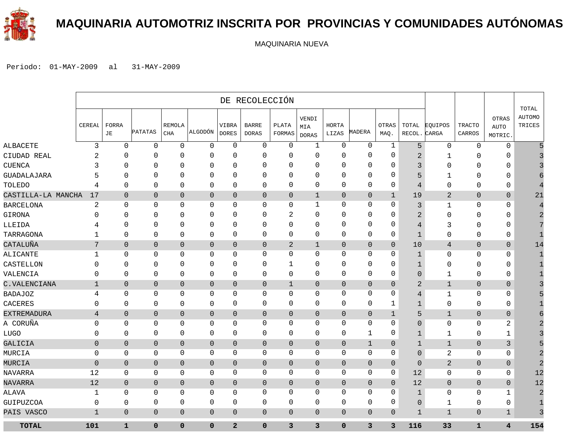

### **MAQUINARIA AUTOMOTRIZ INSCRITA POR PROVINCIAS Y COMUNIDADES AUTÓNOMAS**

MAQUINARIA NUEVA

|                    |                |                |                |                      |                |                       | DE RECOLECCIÓN               |                 |                              |                |                |                |                 |                  |                  |                                 |                                  |
|--------------------|----------------|----------------|----------------|----------------------|----------------|-----------------------|------------------------------|-----------------|------------------------------|----------------|----------------|----------------|-----------------|------------------|------------------|---------------------------------|----------------------------------|
|                    | CEREAL         | FORRA<br>JE    | <b>PATATAS</b> | <b>REMOLA</b><br>CHA | ALGODÓN        | VIBRA<br><b>DORES</b> | <b>BARRE</b><br><b>DORAS</b> | PLATA<br>FORMAS | VENDI<br>MIA<br><b>DORAS</b> | HORTA<br>LIZAS | MADERA         | OTRAS<br>MAQ.  | TOTAL<br>RECOL. | EQUIPOS<br>CARGA | TRACTO<br>CARROS | OTRAS<br><b>AUTO</b><br>MOTRIC. | TOTAL<br><b>AUTOMO</b><br>TRICES |
| ALBACETE           | 3              | $\Omega$       | 0              | 0                    | $\mathbf 0$    | $\Omega$              | $\mathbf{0}$                 | $\mathbf 0$     | $\mathbf{1}$                 | $\mathbf 0$    | $\mathbf 0$    | 1              | 5               | 0                | $\mathbf 0$      | $\mathbf 0$                     |                                  |
| CIUDAD REAL        | 2              | 0              | 0              | $\mathbf 0$          | 0              | $\Omega$              | 0                            | 0               | 0                            | $\mathbf{0}$   | $\mathbf 0$    | 0              | 2               | 1                | $\mathbf{0}$     | 0                               |                                  |
| CUENCA             |                | $\Omega$       | $\mathbf 0$    | 0                    | $\mathbf 0$    | $\mathbf 0$           | 0                            | 0               | 0                            | $\mathbf{0}$   | 0              | 0              | 3               | 0                | $\mathbf{0}$     | 0                               |                                  |
| GUADALAJARA        |                | O              | 0              | $\Omega$             | $\mathbf 0$    | $\Omega$              | 0                            | $\Omega$        | $\Omega$                     | 0              | $\mathbf 0$    | 0              | 5               | 1                | $\Omega$         | 0                               |                                  |
| TOLEDO             | 4              | $\Omega$       | 0              | 0                    | 0              | 0                     | 0                            | 0               | $\Omega$                     | $\mathbf{0}$   | $\mathbf 0$    | 0              | 4               | 0                | $\mathbf{0}$     | 0                               |                                  |
| CASTILLA-LA MANCHA | 17             | $\mathbf{0}$   | $\mathbf 0$    | $\mathbf{0}$         | $\theta$       | $\mathbf 0$           | 0                            | $\overline{0}$  | $\mathbf{1}$                 | $\mathbf 0$    | $\mathbf{0}$   | $\mathbf{1}$   | 19              | $\overline{2}$   | $\overline{0}$   | $\mathbf 0$                     | 21                               |
| BARCELONA          | $\overline{c}$ | 0              | 0              | $\mathbf 0$          | $\mathbf 0$    | $\mathbf 0$           | 0                            | $\mathbf 0$     | $\mathbf{1}$                 | $\mathbf 0$    | $\mathbf 0$    | $\mathbf 0$    | 3               | $\mathbf{1}$     | $\mathbf 0$      | $\mathbf{0}$                    |                                  |
| GIRONA             | $\Omega$       | $\Omega$       | $\mathbf 0$    | $\Omega$             | 0              | $\Omega$              | 0                            | 2               | $\Omega$                     | $\mathbf 0$    | $\mathbf 0$    | 0              | $\overline{2}$  | 0                | $\Omega$         | $\mathbf 0$                     |                                  |
| LLEIDA             | 4              | 0              | $\Omega$       | $\Omega$             | $\mathbf 0$    | $\Omega$              | 0                            | $\Omega$        | 0                            | $\mathbf 0$    | $\mathbf 0$    | 0              | $\overline{4}$  | 3                | $\Omega$         | $\Omega$                        |                                  |
| TARRAGONA          | -1             | $\Omega$       | 0              | $\mathbf 0$          | $\mathbf 0$    | $\Omega$              | $\mathbf{0}$                 | $\mathbf 0$     | $\Omega$                     | $\mathbf 0$    | $\mathbf 0$    | 0              | $\mathbf{1}$    | $\Omega$         | $\Omega$         | $\mathbf{0}$                    |                                  |
| CATALUÑA           | 7              | $\mathbf{0}$   | $\overline{0}$ | $\overline{0}$       | $\mathbf{0}$   | $\mathbf 0$           | 0                            | $\overline{2}$  | $\mathbf{1}$                 | 0              | $\overline{0}$ | $\overline{0}$ | 10              | 4                | $\overline{0}$   | $\mathbf 0$                     | 14                               |
| ALICANTE           | 1              | $\Omega$       | $\mathbf 0$    | $\mathbf 0$          | $\mathbf 0$    | 0                     | 0                            | $\mathbf 0$     | 0                            | 0              | $\mathbf 0$    | 0              | $1\,$           | 0                | $\mathbf 0$      | 0                               |                                  |
| CASTELLON          | $\Omega$       | O              | 0              | $\mathbf 0$          | $\mathbf{0}$   | $\Omega$              | 0                            | 1               | 0                            | $\mathbf 0$    | $\mathbf 0$    | 0              | $\mathbf{1}$    | 0                | $\Omega$         | 0                               |                                  |
| VALENCIA           | 0              | $\mathbf 0$    | 0              | 0                    | 0              | 0                     | 0                            | 0               | $\Omega$                     | $\mathbf 0$    | $\mathbf 0$    | 0              | $\mathbf{0}$    | 1                | $\mathbf 0$      | $\mathbf{0}$                    |                                  |
| C. VALENCIANA      | $\mathbf 1$    | $\mathbf 0$    | $\mathbf 0$    | $\mathbf 0$          | $\mathbf 0$    | $\mathbf 0$           | 0                            | 1               | 0                            | $\mathbf 0$    | $\mathbf 0$    | $\mathbf{0}$   | 2               | $\mathbf{1}$     | $\overline{0}$   | $\mathbf 0$                     |                                  |
| BADAJOZ            | 4              | 0              | 0              | 0                    | 0              | 0                     | 0                            | 0               | 0                            | $\mathbf{0}$   | 0              | 0              | 4               | 1                | $\mathbf 0$      | $\mathbf{0}$                    |                                  |
| CACERES            | 0              | $\mathbf 0$    | $\mathbf 0$    | 0                    | $\mathbf 0$    | 0                     | 0                            | $\mathbf 0$     | 0                            | 0              | $\mathbf 0$    | 1              | $\mathbf 1$     | 0                | $\mathbf{0}$     | 0                               |                                  |
| <b>EXTREMADURA</b> | 4              | $\mathbf{0}$   | $\overline{0}$ | $\mathbf{0}$         | $\overline{0}$ | $\mathbf 0$           | 0                            | $\overline{0}$  | $\overline{0}$               | $\mathbf{0}$   | $\mathbf{0}$   | $\mathbf 1$    | 5               | $\mathbf{1}$     | $\overline{0}$   | $\mathbf 0$                     |                                  |
| A CORUÑA           | $\Omega$       | $\Omega$       | $\Omega$       | 0                    | $\mathbf 0$    | $\Omega$              | 0                            | $\Omega$        | 0                            | 0              | $\mathbf 0$    | 0              | $\Omega$        | 0                | $\Omega$         | 2                               |                                  |
| LUGO               | 0              | $\mathbf 0$    | 0              | 0                    | $\mathbf 0$    | 0                     | 0                            | $\mathbf 0$     | 0                            | 0              | $\mathbf 1$    | 0              | 1               | $\mathbf{1}$     | $\mathbf 0$      | 1                               |                                  |
| GALICIA            | $\mathbf 0$    | $\overline{0}$ | $\mathbf{0}$   | $\overline{0}$       | $\mathbf{0}$   | $\mathbf 0$           | 0                            | $\overline{0}$  | $\overline{0}$               | $\overline{0}$ | $\mathbf 1$    | $\overline{0}$ | 1               | $\mathbf{1}$     | $\overline{0}$   | 3                               |                                  |
| MURCIA             | 0              | $\mathbf 0$    | 0              | $\mathbf 0$          | $\mathbf 0$    | $\mathbf 0$           | 0                            | 0               | 0                            | 0              | $\mathbf 0$    | 0              | $\overline{0}$  | $\mathbf 2$      | $\mathbf 0$      | 0                               |                                  |
| MURCIA             | $\Omega$       | $\mathbf{0}$   | $\overline{0}$ | $\mathbf{0}$         | $\overline{0}$ | $\mathbf{0}$          | 0                            | $\overline{0}$  | $\overline{0}$               | $\overline{0}$ | $\mathbf{0}$   | $\overline{0}$ | $\overline{0}$  | $\overline{2}$   | $\overline{0}$   | $\mathbf{0}$                    | $\overline{2}$                   |
| NAVARRA            | 12             | 0              | 0              | 0                    | $\mathbf 0$    | $\Omega$              | 0                            | $\Omega$        | $\Omega$                     | $\Omega$       | $\mathbf 0$    | 0              | 12              | 0                | $\mathbf 0$      | 0                               | 12                               |
| NAVARRA            | 12             | $\mathbf 0$    | 0              | $\mathbf 0$          | $\mathbf 0$    | $\mathbf{0}$          | 0                            | $\mathbf 0$     | 0                            | 0              | $\overline{0}$ | $\mathbf 0$    | 12              | $\mathbf 0$      | $\overline{0}$   | $\mathbf 0$                     | 12                               |
| ALAVA              | 1              | $\mathbf 0$    | 0              | $\mathbf 0$          | $\mathbf 0$    | $\mathbf 0$           | 0                            | $\mathbf 0$     | 0                            | 0              | $\mathbf 0$    | 0              | $\mathbf 1$     | 0                | $\mathbf 0$      | $\mathbf{1}$                    | $\overline{2}$                   |
| GUIPUZCOA          | 0              | 0              | 0              | 0                    | 0              | 0                     | 0                            | 0               | 0                            | $\mathbf 0$    | $\mathbf 0$    | 0              | $\overline{0}$  | 1                | $\mathbf 0$      | 0                               |                                  |
| PAIS VASCO         | $\mathbf{1}$   | $\mathbf{0}$   | $\overline{0}$ | $\mathbf{0}$         | $\overline{0}$ | $\overline{0}$        | 0                            | $\overline{0}$  | $\overline{0}$               | $\overline{0}$ | $\mathbf{0}$   | $\overline{0}$ | $\mathbf{1}$    | $\mathbf{1}$     | $\overline{0}$   | $\mathbf{1}$                    | $\overline{3}$                   |
| <b>TOTAL</b>       | 101            | $\mathbf{1}$   | 0              | $\mathbf 0$          | $\mathbf 0$    | $\overline{a}$        | 0                            | 3               | 3                            | 0              | 3              | 3              | 116             | 33               | $\mathbf{1}$     | $\overline{4}$                  | 154                              |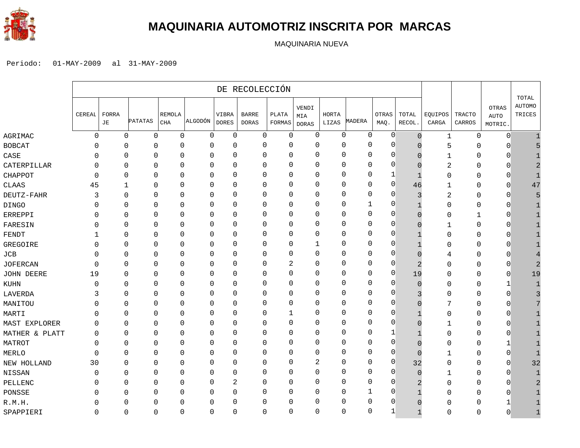

### **MAQUINARIA AUTOMOTRIZ INSCRITA POR MARCAS**

MAQUINARIA NUEVA

|                 | DE RECOLECCIÓN |              |              |                     |             |                       |                              |                        |                              |                |             |               |                 |                  |                     |                                 |                                  |
|-----------------|----------------|--------------|--------------|---------------------|-------------|-----------------------|------------------------------|------------------------|------------------------------|----------------|-------------|---------------|-----------------|------------------|---------------------|---------------------------------|----------------------------------|
|                 | CEREAL         | FORRA<br>JE  | PATATAS      | REMOLA<br>$\rm CHA$ | ALGODÓN     | VIBRA<br><b>DORES</b> | <b>BARRE</b><br><b>DORAS</b> | PLATA<br><b>FORMAS</b> | VENDI<br>MIA<br><b>DORAS</b> | HORTA<br>LIZAS | MADERA      | OTRAS<br>MAQ. | TOTAL<br>RECOL. | EQUIPOS<br>CARGA | TRACTO<br>CARROS    | OTRAS<br><b>AUTO</b><br>MOTRIC. | TOTAL<br><b>AUTOMO</b><br>TRICES |
| AGRIMAC         | $\mathbf{0}$   | $\mathbf 0$  | $\mathsf 0$  | $\mathbf 0$         | $\mathbf 0$ | $\mathsf 0$           | $\mathbf 0$                  | $\mathbf 0$            | 0                            | 0              | $\mathbf 0$ | $\mathbf 0$   | $\overline{0}$  | 1                | $\mathsf{O}\xspace$ | $\overline{0}$                  |                                  |
| <b>BOBCAT</b>   | 0              | $\mathbf 0$  | 0            | 0                   | 0           | $\mathbf 0$           | 0                            | 0                      | 0                            | 0              | 0           | $\mathbf 0$   | $\cap$          | 5                | 0                   | $\mathbf 0$                     |                                  |
| CASE            | U              | $\Omega$     | $\Omega$     | $\Omega$            | 0           | $\mathbf{0}$          | $\mathbf 0$                  | $\mathbf 0$            | 0                            | $\mathbf 0$    | 0           | $\mathbf{0}$  | U               | 1                | 0                   | $\mathbf 0$                     |                                  |
| CATERPILLAR     |                | $\Omega$     | $\Omega$     | 0                   | 0           | $\mathbf{0}$          | $\mathbf{0}$                 | 0                      | 0                            | $\mathbf 0$    | 0           | 0             | $\Box$          | 2                | 0                   | $\mathbf 0$                     |                                  |
| CHAPPOT         | U              | $\mathbf{0}$ | $\mathbf{0}$ | $\Omega$            | 0           | 0                     | $\mathbf 0$                  | $\mathbf 0$            | 0                            | $\mathbf{0}$   | $\mathbf 0$ | 1             |                 | $\Omega$         | 0                   | $\mathbf 0$                     |                                  |
| CLAAS           | 45             | 1            | $\mathbf 0$  | $\Omega$            | 0           | $\mathbf 0$           | $\mathbf 0$                  | $\mathbf 0$            | 0                            | $\mathbf{0}$   | $\Omega$    | $\mathbf 0$   | 46              |                  | 0                   | $\mathbf{0}$                    | 47                               |
| DEUTZ-FAHR      |                | $\Omega$     | $\Omega$     | $\Omega$            | 0           | $\mathbf 0$           | $\mathbf{0}$                 | 0                      | $\Omega$                     | $\Omega$       | $\Omega$    | $\Omega$      | 3               | $\overline{2}$   | 0                   | $\Omega$                        |                                  |
| <b>DINGO</b>    | U              | $\mathbf{0}$ | $\Omega$     | $\mathbf 0$         | 0           | $\mathbf{0}$          | 0                            | 0                      | $\Omega$                     | $\mathbf 0$    | 1           | $\mathbf{0}$  |                 | $\mathbf 0$      | 0                   | $\mathbf 0$                     |                                  |
| ERREPPI         | U              | $\mathbf{0}$ | $\mathbf{0}$ | 0                   | 0           | $\mathbf{0}$          | $\mathbf 0$                  | 0                      | 0                            | $\mathbf 0$    | 0           | $\mathbf{0}$  | $\cap$          | $\mathbf 0$      | 1                   | $\mathbf 0$                     |                                  |
| FARESIN         |                | $\Omega$     | $\mathbf 0$  | $\Omega$            | $\mathbf 0$ | 0                     | $\mathbf 0$                  | 0                      | 0                            | $\mathbf 0$    | 0           | $\mathbf{0}$  |                 | 1                | 0                   | $\mathbf 0$                     |                                  |
| FENDT           |                | $\Omega$     | $\mathbf 0$  | $\Omega$            | $\Omega$    | $\mathbf 0$           | $\mathbf 0$                  | $\Omega$               | $\Omega$                     | $\mathbf 0$    | $\Omega$    | $\Omega$      |                 | $\Omega$         | 0                   | $\mathbf 0$                     |                                  |
| GREGOIRE        |                | $\mathbf{0}$ | $\mathbf{0}$ | 0                   | 0           | $\mathbf{0}$          | 0                            | 0                      | 1                            | $\mathbf 0$    | 0           | $\mathbf{0}$  |                 | $\Omega$         | 0                   | $\mathbf 0$                     |                                  |
| JCB             | O              | $\Omega$     | $\mathbf{0}$ | 0                   | 0           | $\mathbf{0}$          | $\mathbf 0$                  | 0                      | 0                            | 0              | 0           | $\mathbf{0}$  | $\Omega$        | 4                | 0                   | $\mathbf 0$                     |                                  |
| <b>JOFERCAN</b> | $\cap$         | $\Omega$     | $\mathbf 0$  | $\Omega$            | 0           | 0                     | $\mathbf 0$                  | 2                      | 0                            | $\mathbf 0$    | 0           | $\mathbf 0$   |                 | $\mathbf 0$      | 0                   | 0                               |                                  |
| JOHN DEERE      | 19             | $\mathbf 0$  | $\mathbf{0}$ | $\Omega$            | 0           | 0                     | $\mathbf 0$                  | $\mathbf 0$            | 0                            | $\mathbf 0$    | $\mathbf 0$ | $\mathbf{0}$  | 19              | $\Omega$         | 0                   | $\mathbf{0}$                    | 19                               |
| KUHN            |                | 0            | $\mathbf{0}$ | $\Omega$            | 0           | $\mathbf 0$           | $\mathbf 0$                  | 0                      | $\Omega$                     | $\mathbf{0}$   | 0           | $\Omega$      | $\Omega$        | $\Omega$         | 0                   | $\mathbf{1}$                    |                                  |
| LAVERDA         |                | $\mathbf{0}$ | 0            | 0                   | 0           | $\mathbf{0}$          | 0                            | 0                      | $\Omega$                     | $\mathbf{0}$   | 0           | $\mathbf{0}$  |                 | $\Omega$         | 0                   | $\mathbf 0$                     |                                  |
| MANITOU         | 0              | $\mathbf 0$  | $\mathbf 0$  | $\mathbf 0$         | 0           | $\mathbf 0$           | $\mathbf 0$                  | $\mathbf 0$            | 0                            | $\mathbf{0}$   | 0           | $\mathbf{0}$  | 0               |                  | 0                   | $\mathbf 0$                     |                                  |
| MARTI           | U              | 0            | $\mathbf 0$  | 0                   | 0           | 0                     | $\mathbf 0$                  | 1                      | 0                            | $\mathbf 0$    | 0           | $\mathbf{0}$  |                 | $\mathbf 0$      | 0                   | $\mathbf 0$                     |                                  |
| MAST EXPLORER   | U              | $\Omega$     | $\Omega$     | $\mathbf 0$         | 0           | $\mathbf{0}$          | $\mathbf 0$                  | $\mathbf 0$            | 0                            | $\mathbf 0$    | $\mathbf 0$ | $\mathbf{0}$  | U               | 1                | 0                   | $\mathbf 0$                     |                                  |
| MATHER & PLATT  | $\Omega$       | 0            | $\mathbf 0$  | $\Omega$            | 0           | $\mathbf 0$           | $\mathbf 0$                  | 0                      | 0                            | $\mathbf 0$    | 0           | 1             |                 | O                | 0                   | $\mathbf 0$                     |                                  |
| MATROT          | $\Omega$       | $\mathbf{0}$ | 0            | 0                   | 0           | $\mathbf 0$           | $\mathbf 0$                  | $\mathbf 0$            | 0                            | $\mathbf 0$    | $\Omega$    | $\mathbf 0$   | $\Omega$        | $\Omega$         | 0                   | $\mathbf{1}$                    |                                  |
| MERLO           | $\Omega$       | $\mathbf{0}$ | $\mathbf 0$  | $\Omega$            | 0           | $\mathbf 0$           | $\mathbf 0$                  | $\mathbf 0$            | 0                            | 0              | 0           | $\mathbf{0}$  | $\Omega$        | 1                | 0                   | $\mathbf 0$                     |                                  |
| NEW HOLLAND     | 30             | $\Omega$     | $\Omega$     | $\Omega$            | 0           | $\mathbf{0}$          | $\mathbf 0$                  | 0                      | 2                            | $\mathbf 0$    | 0           | $\mathbf{0}$  | 32              | $\mathbf 0$      | 0                   | $\overline{0}$                  | 32                               |
| NISSAN          |                | $\Omega$     | $\Omega$     | 0                   | $\Omega$    | $\mathbf{0}$          | $\mathbf 0$                  | $\mathbf 0$            | 0                            | $\mathbf 0$    | $\mathbf 0$ | $\mathbf{0}$  | $\Omega$        | 1                | 0                   | $\mathbf 0$                     |                                  |
| PELLENC         |                | 0            | $\mathbf{0}$ | 0                   | 0           | 2                     | 0                            | 0                      | 0                            | $\mathbf 0$    | 0           | $\mathbf{0}$  |                 | O                | 0                   | $\mathbf 0$                     |                                  |
| PONSSE          |                | $\mathbf 0$  | $\mathbf{0}$ | 0                   | 0           | 0                     | $\mathbf 0$                  | $\mathbf 0$            | 0                            | $\mathbf 0$    |             | $\mathbf{0}$  |                 | $\mathbf 0$      | 0                   | $\mathbf 0$                     |                                  |
| R.M.H.          |                | 0            | $\Omega$     | $\Omega$            | $\Omega$    | $\Omega$              | $\mathbf 0$                  | $\Omega$               | $\Omega$                     | $\mathbf 0$    | $\Omega$    | $\Omega$      | U               | $\Omega$         | 0                   | 1                               |                                  |
| SPAPPIERI       | $\Omega$       | $\mathbf{0}$ | $\Omega$     | 0                   | 0           | $\mathbf 0$           | $\mathbf{0}$                 | $\Omega$               | $\Omega$                     | $\mathbf{0}$   | $\Omega$    | 1             |                 | $\Omega$         | 0                   | $\Omega$                        |                                  |